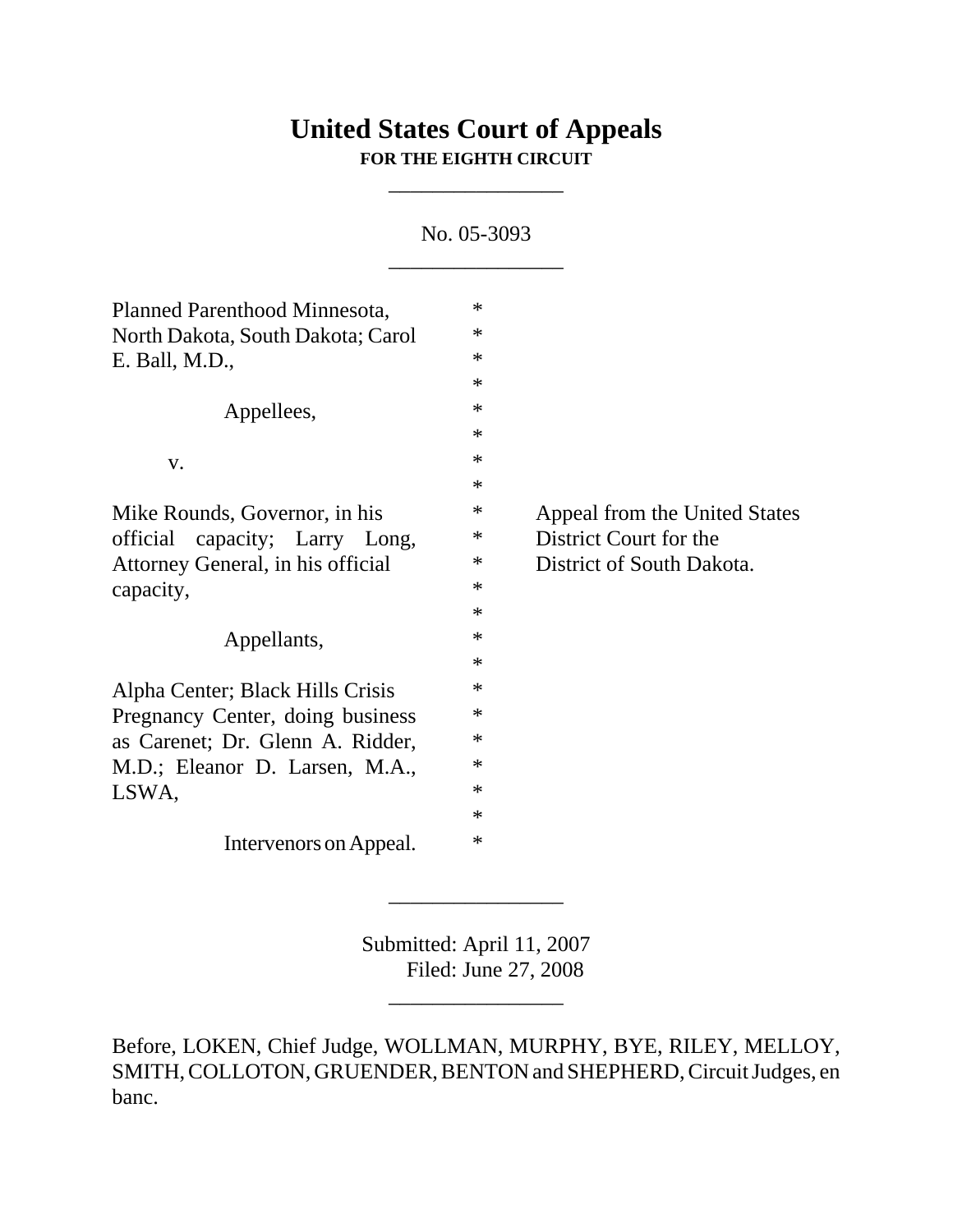# **United States Court of Appeals FOR THE EIGHTH CIRCUIT**

\_\_\_\_\_\_\_\_\_\_\_\_\_\_\_\_

| Planned Parenthood Minnesota,     | $\ast$ |                               |
|-----------------------------------|--------|-------------------------------|
| North Dakota, South Dakota; Carol | $\ast$ |                               |
| E. Ball, M.D.,                    | $\ast$ |                               |
|                                   | $\ast$ |                               |
| Appellees,                        | $\ast$ |                               |
|                                   | $\ast$ |                               |
| V.                                | $\ast$ |                               |
|                                   | $\ast$ |                               |
| Mike Rounds, Governor, in his     | $\ast$ | Appeal from the United States |
| official capacity; Larry Long,    | $\ast$ | District Court for the        |
| Attorney General, in his official | $\ast$ | District of South Dakota.     |
| capacity,                         | $\ast$ |                               |
|                                   | $\ast$ |                               |
| Appellants,                       | $\ast$ |                               |
|                                   | $\ast$ |                               |
| Alpha Center; Black Hills Crisis  | $\ast$ |                               |
| Pregnancy Center, doing business  | $\ast$ |                               |
| as Carenet; Dr. Glenn A. Ridder,  | $\ast$ |                               |
| M.D.; Eleanor D. Larsen, M.A.,    | $\ast$ |                               |
| LSWA,                             | $\ast$ |                               |
|                                   | $\ast$ |                               |
| Intervenors on Appeal.            | $\ast$ |                               |

No. 05-3093

Submitted: April 11, 2007 Filed: June 27, 2008

\_\_\_\_\_\_\_\_\_\_\_\_\_\_\_\_

\_\_\_\_\_\_\_\_\_\_\_\_\_\_\_\_

Before, LOKEN, Chief Judge, WOLLMAN, MURPHY, BYE, RILEY, MELLOY, SMITH, COLLOTON, GRUENDER, BENTON and SHEPHERD, Circuit Judges, en banc.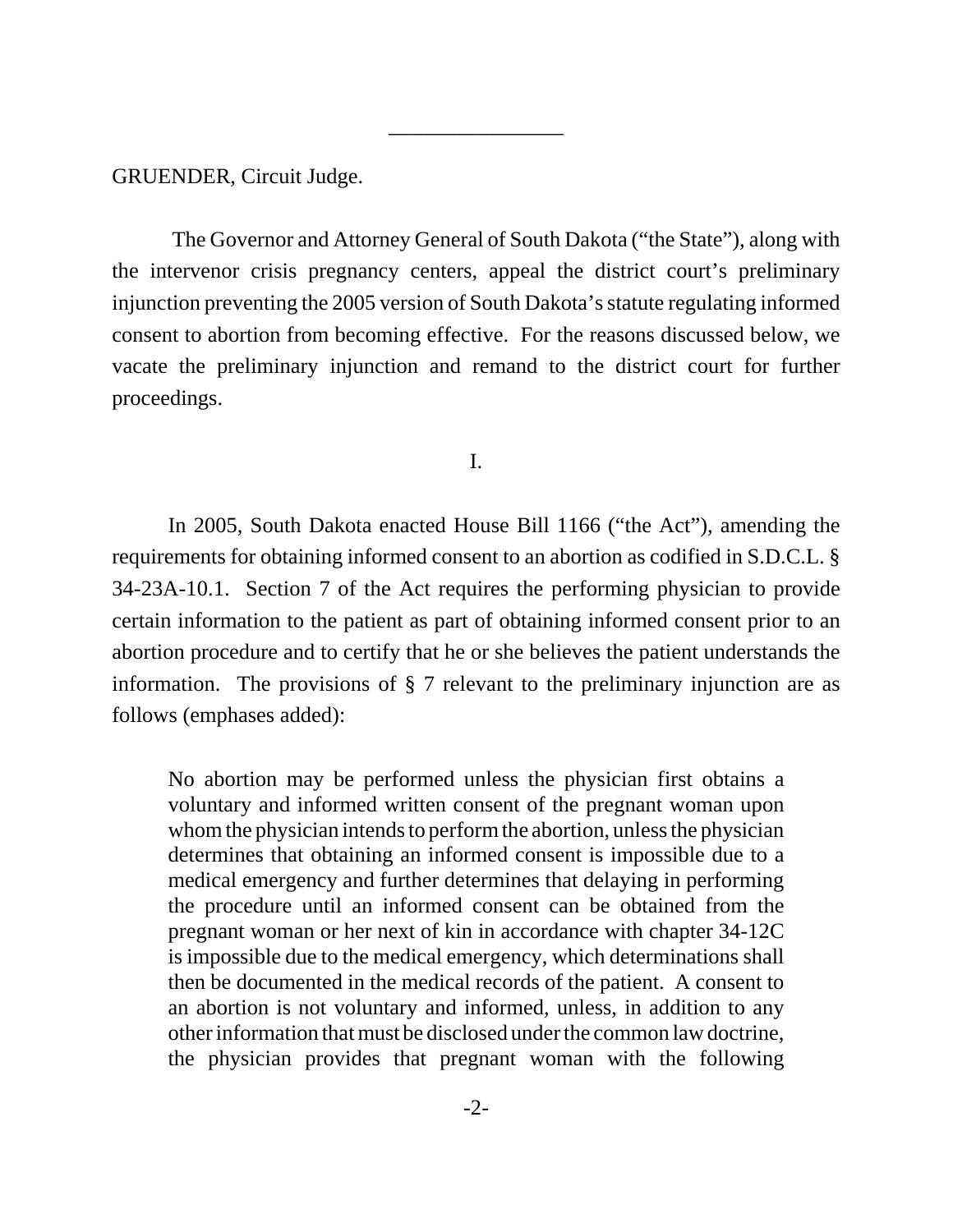GRUENDER, Circuit Judge.

 The Governor and Attorney General of South Dakota ("the State"), along with the intervenor crisis pregnancy centers, appeal the district court's preliminary injunction preventing the 2005 version of South Dakota's statute regulating informed consent to abortion from becoming effective. For the reasons discussed below, we vacate the preliminary injunction and remand to the district court for further proceedings.

\_\_\_\_\_\_\_\_\_\_\_\_\_\_\_\_

I.

In 2005, South Dakota enacted House Bill 1166 ("the Act"), amending the requirements for obtaining informed consent to an abortion as codified in S.D.C.L. § 34-23A-10.1. Section 7 of the Act requires the performing physician to provide certain information to the patient as part of obtaining informed consent prior to an abortion procedure and to certify that he or she believes the patient understands the information. The provisions of § 7 relevant to the preliminary injunction are as follows (emphases added):

No abortion may be performed unless the physician first obtains a voluntary and informed written consent of the pregnant woman upon whom the physician intends to perform the abortion, unless the physician determines that obtaining an informed consent is impossible due to a medical emergency and further determines that delaying in performing the procedure until an informed consent can be obtained from the pregnant woman or her next of kin in accordance with chapter 34-12C is impossible due to the medical emergency, which determinations shall then be documented in the medical records of the patient. A consent to an abortion is not voluntary and informed, unless, in addition to any other information that must be disclosed under the common law doctrine, the physician provides that pregnant woman with the following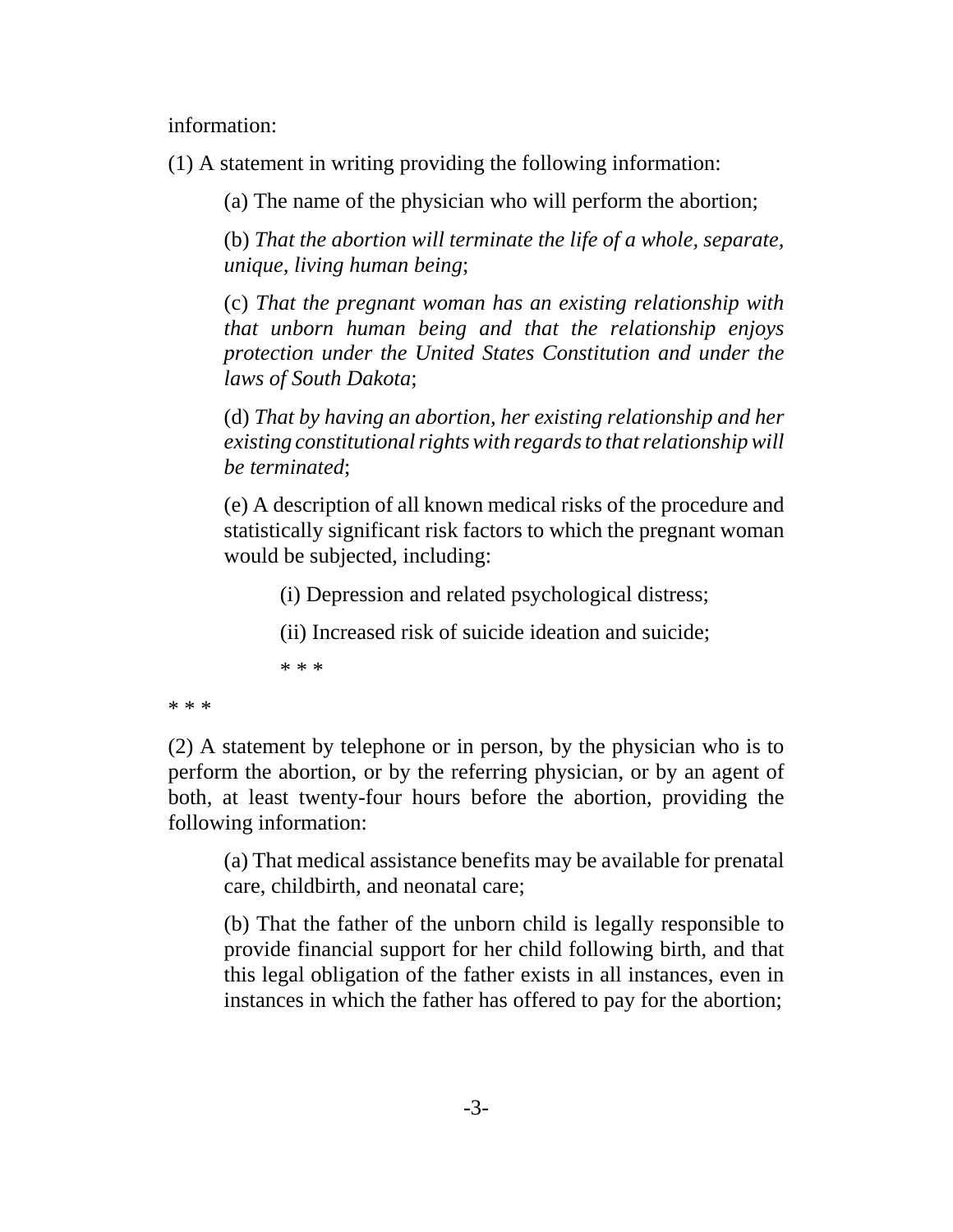information:

(1) A statement in writing providing the following information:

(a) The name of the physician who will perform the abortion;

(b) *That the abortion will terminate the life of a whole, separate, unique, living human being*;

(c) *That the pregnant woman has an existing relationship with that unborn human being and that the relationship enjoys protection under the United States Constitution and under the laws of South Dakota*;

(d) *That by having an abortion, her existing relationship and her existing constitutional rights with regards to that relationship will be terminated*;

(e) A description of all known medical risks of the procedure and statistically significant risk factors to which the pregnant woman would be subjected, including:

(i) Depression and related psychological distress;

(ii) Increased risk of suicide ideation and suicide;

\* \* \*

#### \* \* \*

(2) A statement by telephone or in person, by the physician who is to perform the abortion, or by the referring physician, or by an agent of both, at least twenty-four hours before the abortion, providing the following information:

(a) That medical assistance benefits may be available for prenatal care, childbirth, and neonatal care;

(b) That the father of the unborn child is legally responsible to provide financial support for her child following birth, and that this legal obligation of the father exists in all instances, even in instances in which the father has offered to pay for the abortion;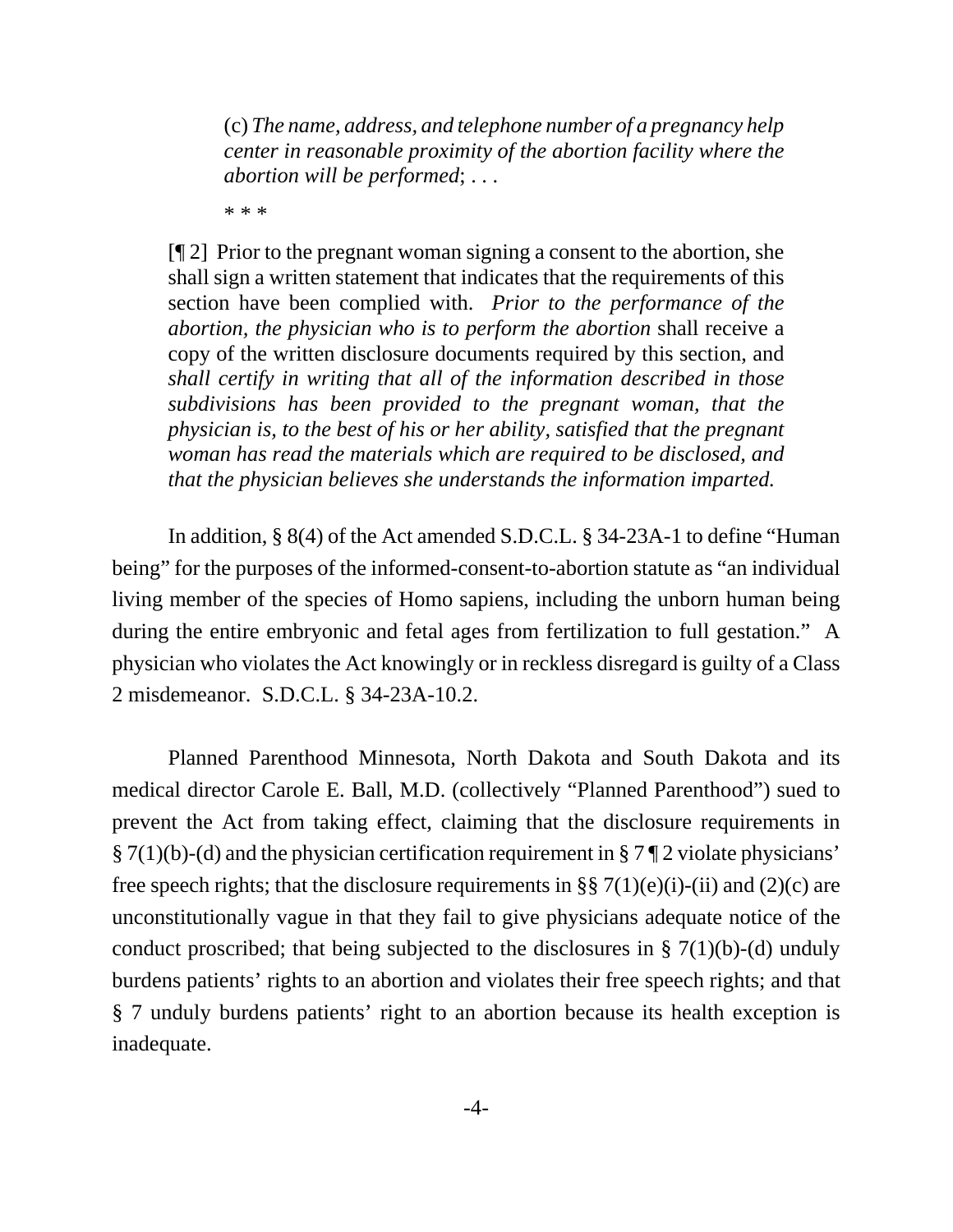(c) *The name, address, and telephone number of a pregnancy help center in reasonable proximity of the abortion facility where the abortion will be performed*; . . .

\* \* \*

[¶ 2] Prior to the pregnant woman signing a consent to the abortion, she shall sign a written statement that indicates that the requirements of this section have been complied with. *Prior to the performance of the abortion, the physician who is to perform the abortion* shall receive a copy of the written disclosure documents required by this section, and *shall certify in writing that all of the information described in those subdivisions has been provided to the pregnant woman, that the physician is, to the best of his or her ability, satisfied that the pregnant woman has read the materials which are required to be disclosed, and that the physician believes she understands the information imparted.*

In addition, § 8(4) of the Act amended S.D.C.L. § 34-23A-1 to define "Human being" for the purposes of the informed-consent-to-abortion statute as "an individual living member of the species of Homo sapiens, including the unborn human being during the entire embryonic and fetal ages from fertilization to full gestation." A physician who violates the Act knowingly or in reckless disregard is guilty of a Class 2 misdemeanor. S.D.C.L. § 34-23A-10.2.

Planned Parenthood Minnesota, North Dakota and South Dakota and its medical director Carole E. Ball, M.D. (collectively "Planned Parenthood") sued to prevent the Act from taking effect, claiming that the disclosure requirements in  $\S 7(1)(b)$ -(d) and the physician certification requirement in  $\S 7 \P 2$  violate physicians' free speech rights; that the disclosure requirements in §§ 7(1)(e)(i)-(ii) and (2)(c) are unconstitutionally vague in that they fail to give physicians adequate notice of the conduct proscribed; that being subjected to the disclosures in  $\S 7(1)(b)-(d)$  unduly burdens patients' rights to an abortion and violates their free speech rights; and that § 7 unduly burdens patients' right to an abortion because its health exception is inadequate.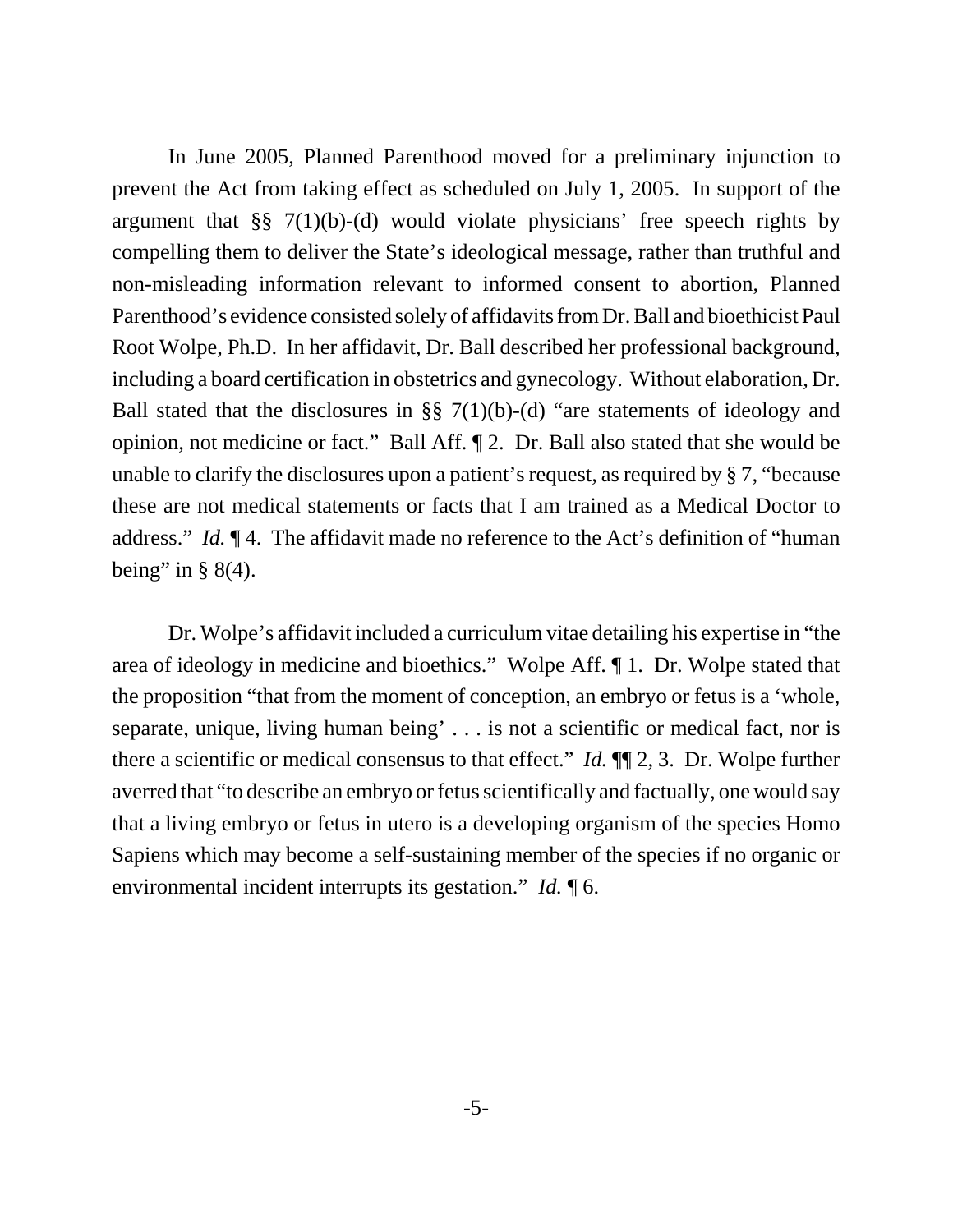In June 2005, Planned Parenthood moved for a preliminary injunction to prevent the Act from taking effect as scheduled on July 1, 2005. In support of the argument that  $\S$ § 7(1)(b)-(d) would violate physicians' free speech rights by compelling them to deliver the State's ideological message, rather than truthful and non-misleading information relevant to informed consent to abortion, Planned Parenthood's evidence consisted solely of affidavits from Dr. Ball and bioethicist Paul Root Wolpe, Ph.D. In her affidavit, Dr. Ball described her professional background, including a board certification in obstetrics and gynecology. Without elaboration, Dr. Ball stated that the disclosures in §§ 7(1)(b)-(d) "are statements of ideology and opinion, not medicine or fact." Ball Aff. ¶ 2. Dr. Ball also stated that she would be unable to clarify the disclosures upon a patient's request, as required by § 7, "because these are not medical statements or facts that I am trained as a Medical Doctor to address." *Id.* ¶ 4. The affidavit made no reference to the Act's definition of "human being" in  $\S$  8(4).

Dr. Wolpe's affidavit included a curriculum vitae detailing his expertise in "the area of ideology in medicine and bioethics." Wolpe Aff. ¶ 1. Dr. Wolpe stated that the proposition "that from the moment of conception, an embryo or fetus is a 'whole, separate, unique, living human being' . . . is not a scientific or medical fact, nor is there a scientific or medical consensus to that effect." *Id.* ¶¶ 2, 3. Dr. Wolpe further averred that "to describe an embryo or fetus scientifically and factually, one would say that a living embryo or fetus in utero is a developing organism of the species Homo Sapiens which may become a self-sustaining member of the species if no organic or environmental incident interrupts its gestation." *Id.* ¶ 6.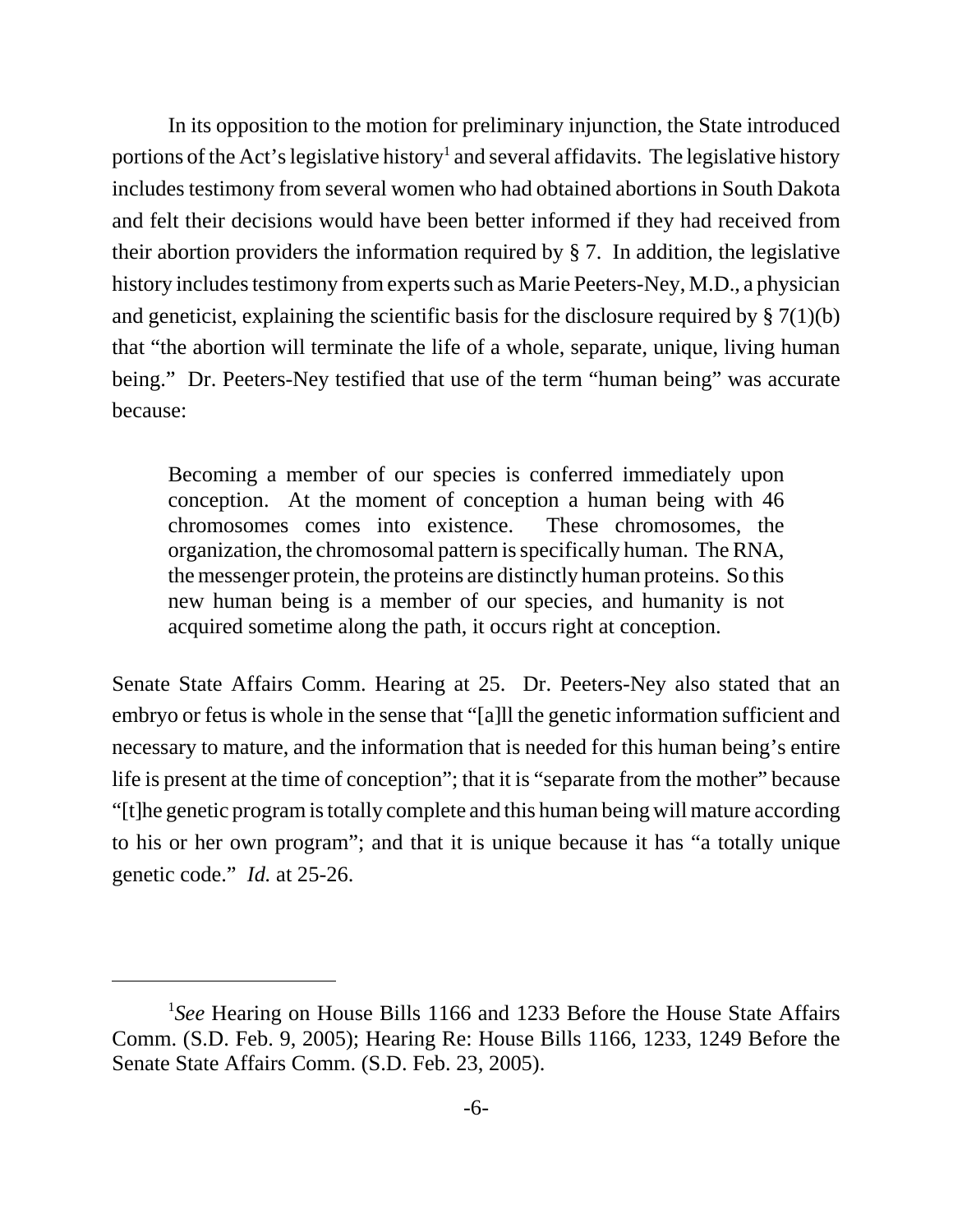In its opposition to the motion for preliminary injunction, the State introduced portions of the Act's legislative history<sup>1</sup> and several affidavits. The legislative history includes testimony from several women who had obtained abortions in South Dakota and felt their decisions would have been better informed if they had received from their abortion providers the information required by § 7. In addition, the legislative history includes testimony from experts such as Marie Peeters-Ney, M.D., a physician and geneticist, explaining the scientific basis for the disclosure required by § 7(1)(b) that "the abortion will terminate the life of a whole, separate, unique, living human being." Dr. Peeters-Ney testified that use of the term "human being" was accurate because:

Becoming a member of our species is conferred immediately upon conception. At the moment of conception a human being with 46 chromosomes comes into existence. These chromosomes, the organization, the chromosomal pattern is specifically human. The RNA, the messenger protein, the proteins are distinctly human proteins. So this new human being is a member of our species, and humanity is not acquired sometime along the path, it occurs right at conception.

Senate State Affairs Comm. Hearing at 25. Dr. Peeters-Ney also stated that an embryo or fetus is whole in the sense that "[a]ll the genetic information sufficient and necessary to mature, and the information that is needed for this human being's entire life is present at the time of conception"; that it is "separate from the mother" because "[t]he genetic program is totally complete and this human being will mature according to his or her own program"; and that it is unique because it has "a totally unique genetic code." *Id.* at 25-26.

<sup>&</sup>lt;sup>1</sup>See Hearing on House Bills 1166 and 1233 Before the House State Affairs Comm. (S.D. Feb. 9, 2005); Hearing Re: House Bills 1166, 1233, 1249 Before the Senate State Affairs Comm. (S.D. Feb. 23, 2005).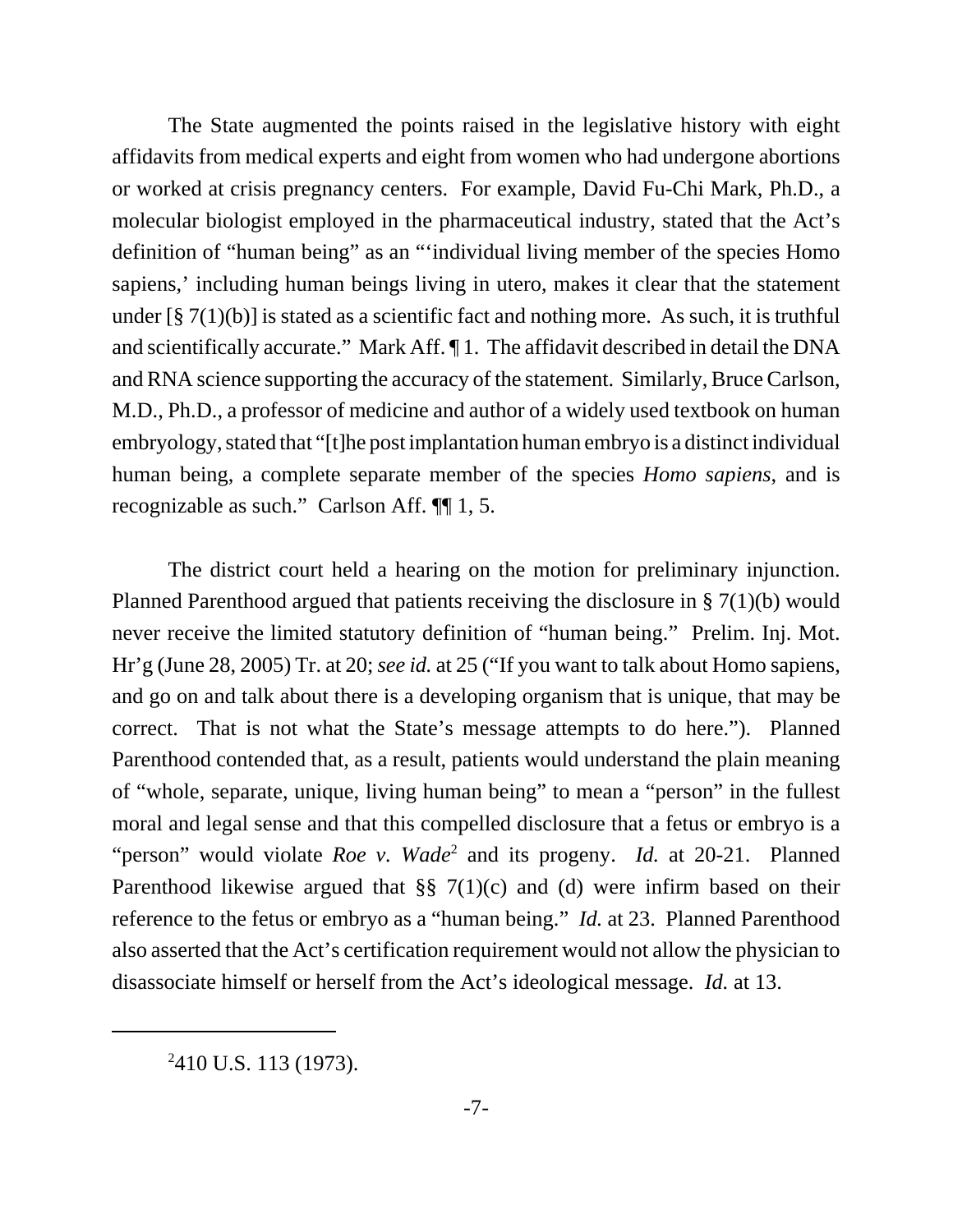The State augmented the points raised in the legislative history with eight affidavits from medical experts and eight from women who had undergone abortions or worked at crisis pregnancy centers. For example, David Fu-Chi Mark, Ph.D., a molecular biologist employed in the pharmaceutical industry, stated that the Act's definition of "human being" as an "'individual living member of the species Homo sapiens,' including human beings living in utero, makes it clear that the statement under  $\lceil \frac{8}{3} \cdot 7(1)(b) \rceil$  is stated as a scientific fact and nothing more. As such, it is truthful and scientifically accurate." Mark Aff. ¶ 1. The affidavit described in detail the DNA and RNA science supporting the accuracy of the statement. Similarly, Bruce Carlson, M.D., Ph.D., a professor of medicine and author of a widely used textbook on human embryology, stated that "[t]he post implantation human embryo is a distinct individual human being, a complete separate member of the species *Homo sapiens*, and is recognizable as such." Carlson Aff. ¶¶ 1, 5.

The district court held a hearing on the motion for preliminary injunction. Planned Parenthood argued that patients receiving the disclosure in § 7(1)(b) would never receive the limited statutory definition of "human being." Prelim. Inj. Mot. Hr'g (June 28, 2005) Tr. at 20; *see id.* at 25 ("If you want to talk about Homo sapiens, and go on and talk about there is a developing organism that is unique, that may be correct. That is not what the State's message attempts to do here."). Planned Parenthood contended that, as a result, patients would understand the plain meaning of "whole, separate, unique, living human being" to mean a "person" in the fullest moral and legal sense and that this compelled disclosure that a fetus or embryo is a "person" would violate *Roe v. Wade*<sup>2</sup> and its progeny. *Id.* at 20-21. Planned Parenthood likewise argued that  $\S$   $7(1)(c)$  and (d) were infirm based on their reference to the fetus or embryo as a "human being." *Id.* at 23. Planned Parenthood also asserted that the Act's certification requirement would not allow the physician to disassociate himself or herself from the Act's ideological message. *Id.* at 13.

<sup>&</sup>lt;sup>2</sup>410 U.S. 113 (1973).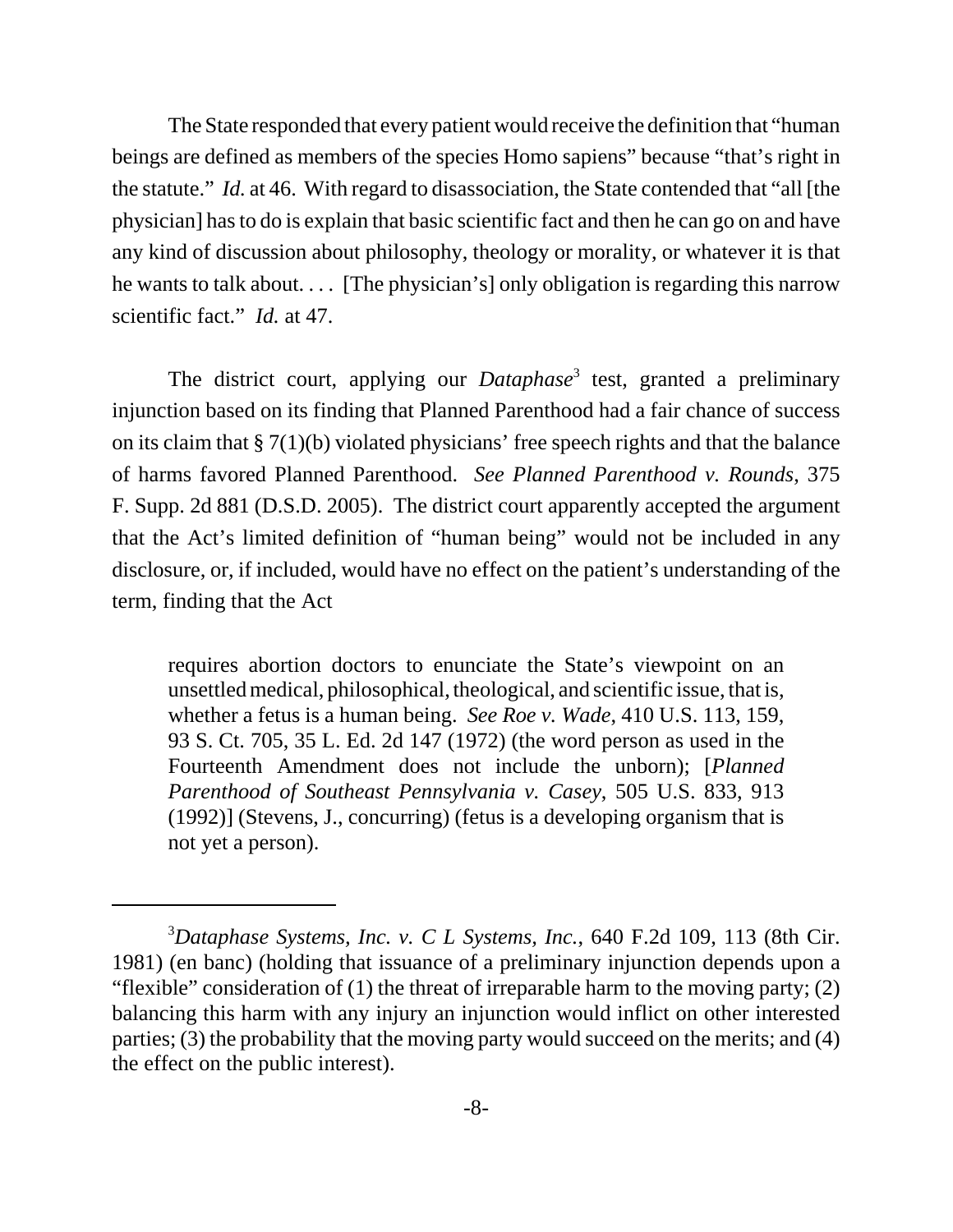The State responded that every patient would receive the definition that "human beings are defined as members of the species Homo sapiens" because "that's right in the statute." *Id.* at 46. With regard to disassociation, the State contended that "all [the physician] has to do is explain that basic scientific fact and then he can go on and have any kind of discussion about philosophy, theology or morality, or whatever it is that he wants to talk about.... [The physician's] only obligation is regarding this narrow scientific fact." *Id.* at 47.

The district court, applying our *Dataphase*<sup>3</sup> test, granted a preliminary injunction based on its finding that Planned Parenthood had a fair chance of success on its claim that § 7(1)(b) violated physicians' free speech rights and that the balance of harms favored Planned Parenthood. *See Planned Parenthood v. Rounds*, 375 F. Supp. 2d 881 (D.S.D. 2005). The district court apparently accepted the argument that the Act's limited definition of "human being" would not be included in any disclosure, or, if included, would have no effect on the patient's understanding of the term, finding that the Act

requires abortion doctors to enunciate the State's viewpoint on an unsettled medical, philosophical, theological, and scientific issue, that is, whether a fetus is a human being. *See Roe v. Wade*, 410 U.S. 113, 159, 93 S. Ct. 705, 35 L. Ed. 2d 147 (1972) (the word person as used in the Fourteenth Amendment does not include the unborn); [*Planned Parenthood of Southeast Pennsylvania v. Casey*, 505 U.S. 833, 913 (1992)] (Stevens, J., concurring) (fetus is a developing organism that is not yet a person).

<sup>3</sup> *Dataphase Systems, Inc. v. C L Systems, Inc.*, 640 F.2d 109, 113 (8th Cir. 1981) (en banc) (holding that issuance of a preliminary injunction depends upon a "flexible" consideration of (1) the threat of irreparable harm to the moving party; (2) balancing this harm with any injury an injunction would inflict on other interested parties; (3) the probability that the moving party would succeed on the merits; and (4) the effect on the public interest).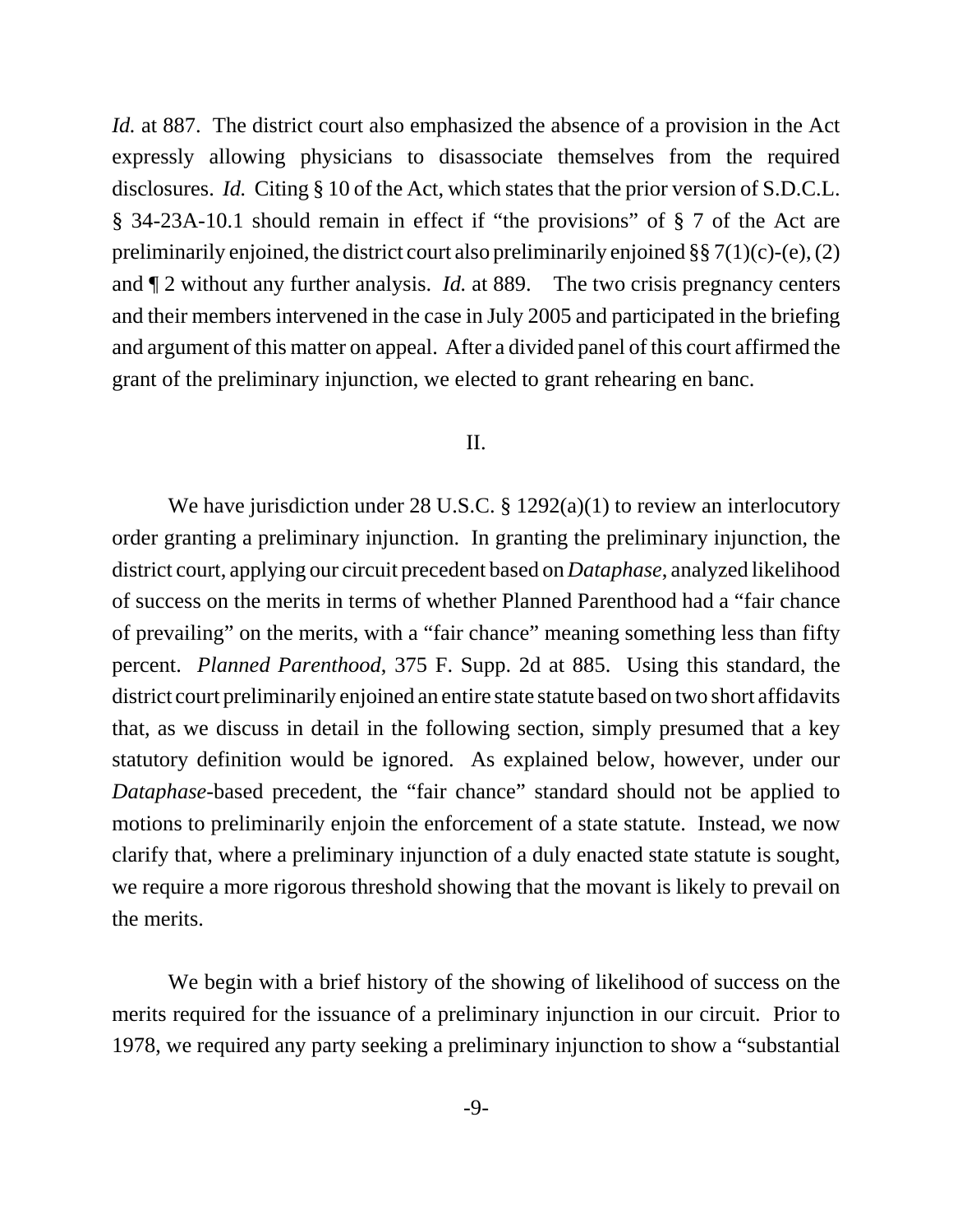*Id.* at 887. The district court also emphasized the absence of a provision in the Act expressly allowing physicians to disassociate themselves from the required disclosures. *Id.* Citing § 10 of the Act, which states that the prior version of S.D.C.L. § 34-23A-10.1 should remain in effect if "the provisions" of § 7 of the Act are preliminarily enjoined, the district court also preliminarily enjoined  $\S$ § 7(1)(c)-(e), (2) and ¶ 2 without any further analysis. *Id.* at 889. The two crisis pregnancy centers and their members intervened in the case in July 2005 and participated in the briefing and argument of this matter on appeal. After a divided panel of this court affirmed the grant of the preliminary injunction, we elected to grant rehearing en banc.

#### II.

We have jurisdiction under 28 U.S.C. § 1292(a)(1) to review an interlocutory order granting a preliminary injunction. In granting the preliminary injunction, the district court, applying our circuit precedent based on *Dataphase*, analyzed likelihood of success on the merits in terms of whether Planned Parenthood had a "fair chance of prevailing" on the merits, with a "fair chance" meaning something less than fifty percent. *Planned Parenthood*, 375 F. Supp. 2d at 885. Using this standard, the district court preliminarily enjoined an entire state statute based on two short affidavits that, as we discuss in detail in the following section, simply presumed that a key statutory definition would be ignored. As explained below, however, under our *Dataphase*-based precedent, the "fair chance" standard should not be applied to motions to preliminarily enjoin the enforcement of a state statute. Instead, we now clarify that, where a preliminary injunction of a duly enacted state statute is sought, we require a more rigorous threshold showing that the movant is likely to prevail on the merits.

We begin with a brief history of the showing of likelihood of success on the merits required for the issuance of a preliminary injunction in our circuit. Prior to 1978, we required any party seeking a preliminary injunction to show a "substantial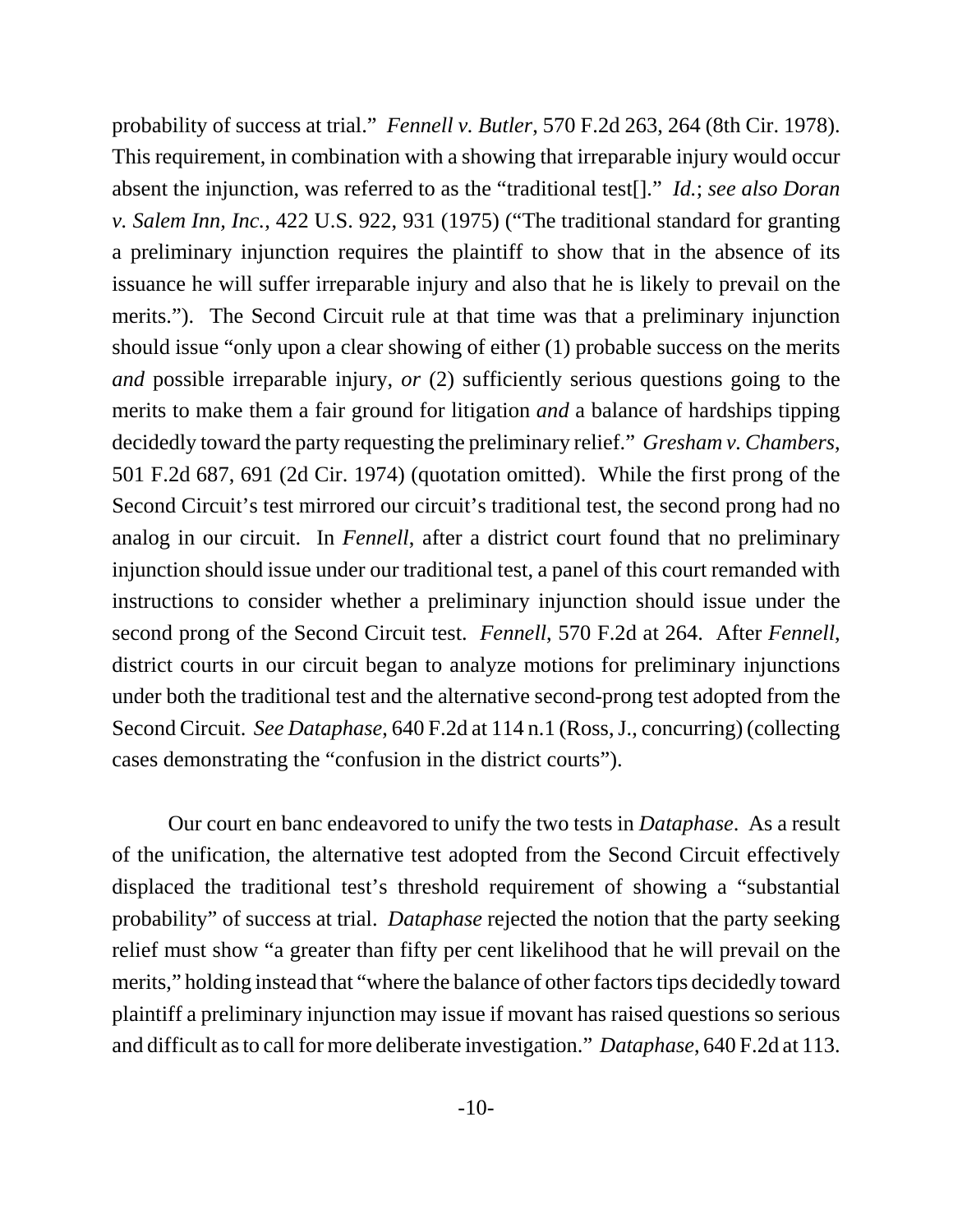probability of success at trial." *Fennell v. Butler*, 570 F.2d 263, 264 (8th Cir. 1978). This requirement, in combination with a showing that irreparable injury would occur absent the injunction, was referred to as the "traditional test[]." *Id.*; *see also Doran v. Salem Inn, Inc.*, 422 U.S. 922, 931 (1975) ("The traditional standard for granting a preliminary injunction requires the plaintiff to show that in the absence of its issuance he will suffer irreparable injury and also that he is likely to prevail on the merits."). The Second Circuit rule at that time was that a preliminary injunction should issue "only upon a clear showing of either (1) probable success on the merits *and* possible irreparable injury, *or* (2) sufficiently serious questions going to the merits to make them a fair ground for litigation *and* a balance of hardships tipping decidedly toward the party requesting the preliminary relief." *Gresham v. Chambers*, 501 F.2d 687, 691 (2d Cir. 1974) (quotation omitted). While the first prong of the Second Circuit's test mirrored our circuit's traditional test, the second prong had no analog in our circuit. In *Fennell*, after a district court found that no preliminary injunction should issue under our traditional test, a panel of this court remanded with instructions to consider whether a preliminary injunction should issue under the second prong of the Second Circuit test. *Fennell*, 570 F.2d at 264. After *Fennell*, district courts in our circuit began to analyze motions for preliminary injunctions under both the traditional test and the alternative second-prong test adopted from the Second Circuit. *See Dataphase*, 640 F.2d at 114 n.1 (Ross, J., concurring) (collecting cases demonstrating the "confusion in the district courts").

Our court en banc endeavored to unify the two tests in *Dataphase*. As a result of the unification, the alternative test adopted from the Second Circuit effectively displaced the traditional test's threshold requirement of showing a "substantial probability" of success at trial. *Dataphase* rejected the notion that the party seeking relief must show "a greater than fifty per cent likelihood that he will prevail on the merits," holding instead that "where the balance of other factors tips decidedly toward plaintiff a preliminary injunction may issue if movant has raised questions so serious and difficult as to call for more deliberate investigation." *Dataphase*, 640 F.2d at 113.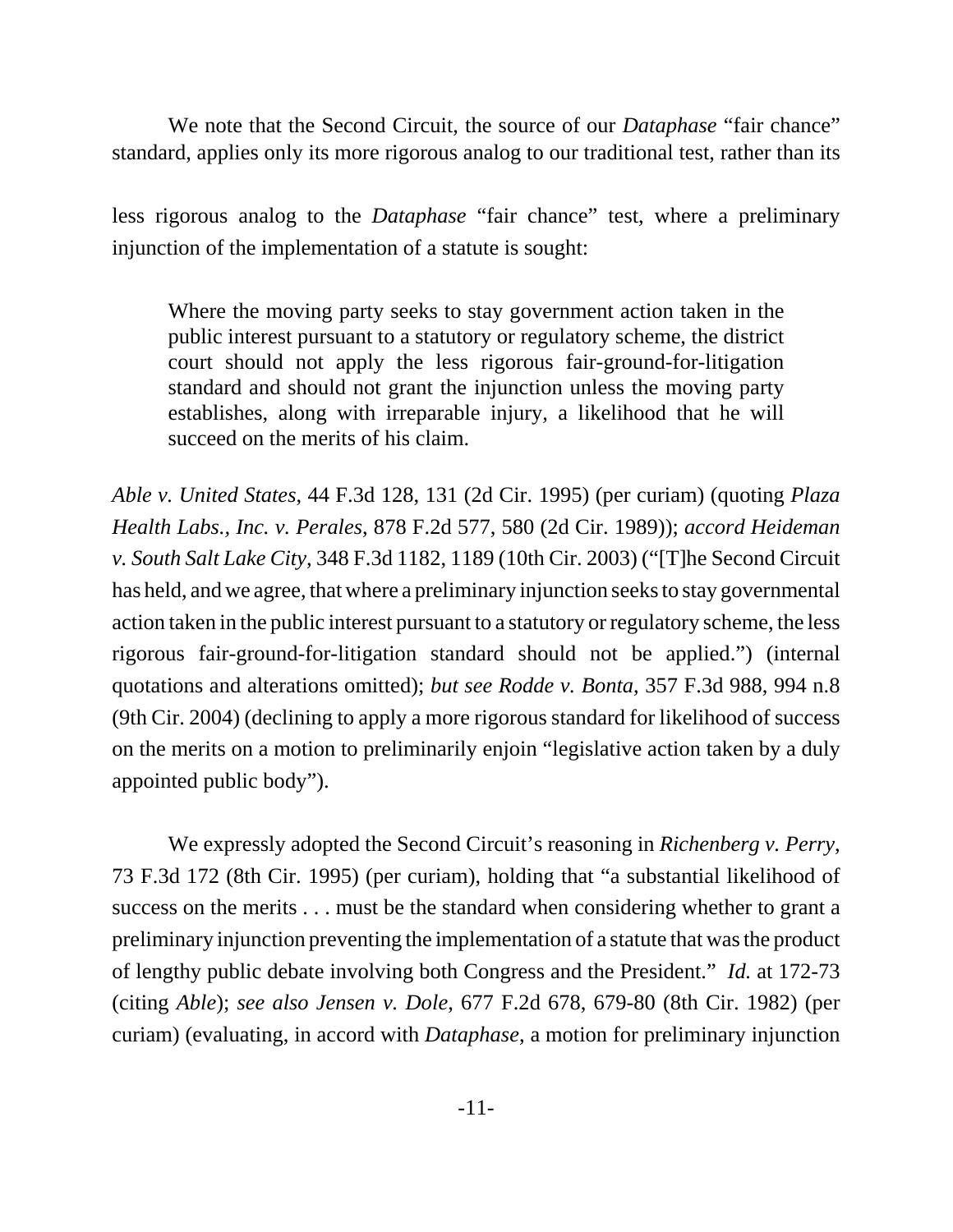We note that the Second Circuit, the source of our *Dataphase* "fair chance" standard, applies only its more rigorous analog to our traditional test, rather than its

less rigorous analog to the *Dataphase* "fair chance" test, where a preliminary injunction of the implementation of a statute is sought:

Where the moving party seeks to stay government action taken in the public interest pursuant to a statutory or regulatory scheme, the district court should not apply the less rigorous fair-ground-for-litigation standard and should not grant the injunction unless the moving party establishes, along with irreparable injury, a likelihood that he will succeed on the merits of his claim.

*Able v. United States*, 44 F.3d 128, 131 (2d Cir. 1995) (per curiam) (quoting *Plaza Health Labs., Inc. v. Perales*, 878 F.2d 577, 580 (2d Cir. 1989)); *accord Heideman v. South Salt Lake City*, 348 F.3d 1182, 1189 (10th Cir. 2003) ("[T]he Second Circuit has held, and we agree, that where a preliminary injunction seeks to stay governmental action taken in the public interest pursuant to a statutory or regulatory scheme, the less rigorous fair-ground-for-litigation standard should not be applied.") (internal quotations and alterations omitted); *but see Rodde v. Bonta*, 357 F.3d 988, 994 n.8 (9th Cir. 2004) (declining to apply a more rigorous standard for likelihood of success on the merits on a motion to preliminarily enjoin "legislative action taken by a duly appointed public body").

We expressly adopted the Second Circuit's reasoning in *Richenberg v. Perry*, 73 F.3d 172 (8th Cir. 1995) (per curiam), holding that "a substantial likelihood of success on the merits . . . must be the standard when considering whether to grant a preliminary injunction preventing the implementation of a statute that was the product of lengthy public debate involving both Congress and the President." *Id.* at 172-73 (citing *Able*); *see also Jensen v. Dole*, 677 F.2d 678, 679-80 (8th Cir. 1982) (per curiam) (evaluating, in accord with *Dataphase*, a motion for preliminary injunction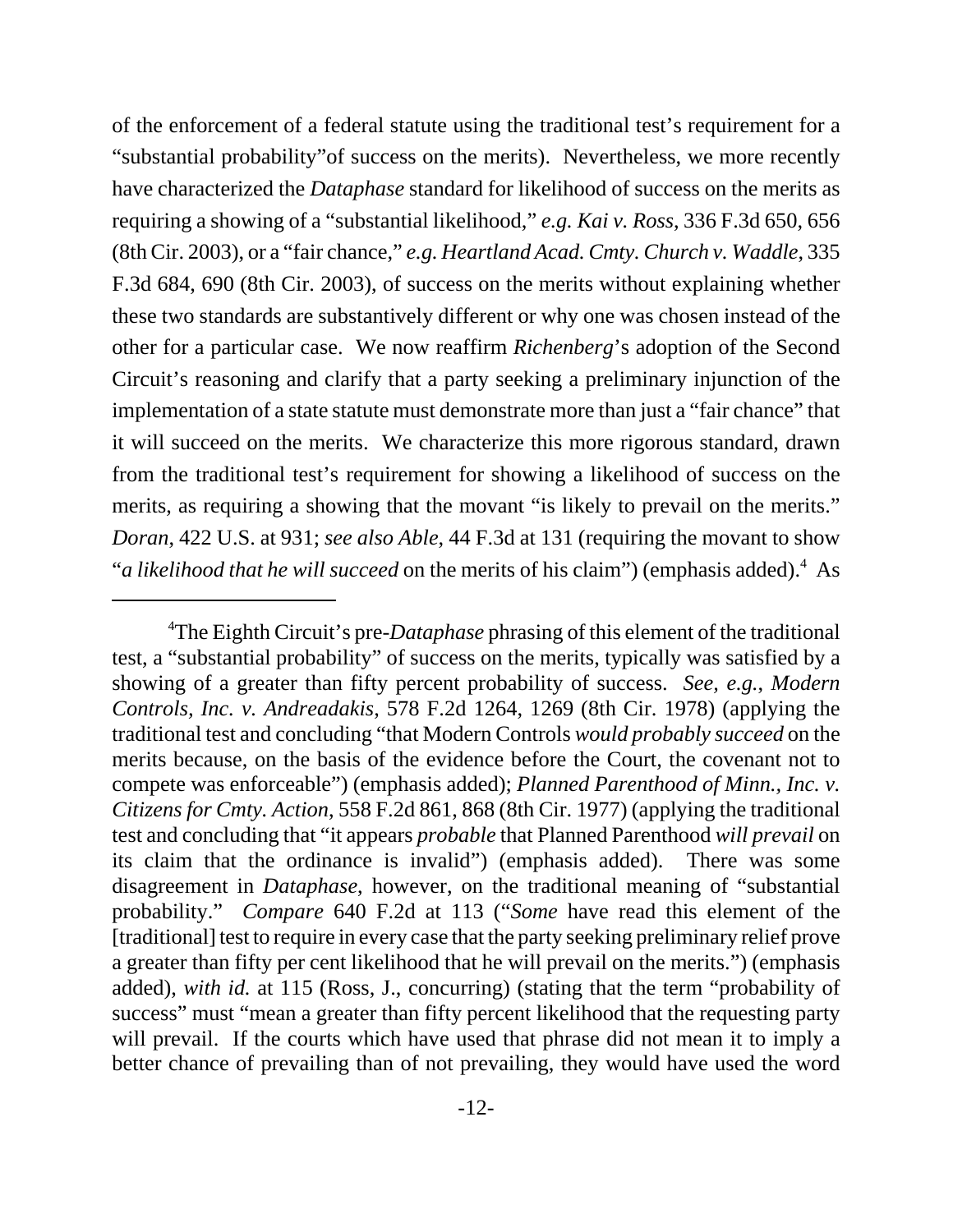of the enforcement of a federal statute using the traditional test's requirement for a "substantial probability"of success on the merits). Nevertheless, we more recently have characterized the *Dataphase* standard for likelihood of success on the merits as requiring a showing of a "substantial likelihood," *e.g. Kai v. Ross*, 336 F.3d 650, 656 (8th Cir. 2003), or a "fair chance," *e.g. Heartland Acad. Cmty. Church v. Waddle*, 335 F.3d 684, 690 (8th Cir. 2003), of success on the merits without explaining whether these two standards are substantively different or why one was chosen instead of the other for a particular case. We now reaffirm *Richenberg*'s adoption of the Second Circuit's reasoning and clarify that a party seeking a preliminary injunction of the implementation of a state statute must demonstrate more than just a "fair chance" that it will succeed on the merits. We characterize this more rigorous standard, drawn from the traditional test's requirement for showing a likelihood of success on the merits, as requiring a showing that the movant "is likely to prevail on the merits." *Doran*, 422 U.S. at 931; *see also Able*, 44 F.3d at 131 (requiring the movant to show "*a likelihood that he will succeed* on the merits of his claim") (emphasis added).<sup>4</sup> As

<sup>4</sup> The Eighth Circuit's pre-*Dataphase* phrasing of this element of the traditional test, a "substantial probability" of success on the merits, typically was satisfied by a showing of a greater than fifty percent probability of success. *See, e.g.*, *Modern Controls, Inc. v. Andreadakis*, 578 F.2d 1264, 1269 (8th Cir. 1978) (applying the traditional test and concluding "that Modern Controls *would probably succeed* on the merits because, on the basis of the evidence before the Court, the covenant not to compete was enforceable") (emphasis added); *Planned Parenthood of Minn., Inc. v. Citizens for Cmty. Action*, 558 F.2d 861, 868 (8th Cir. 1977) (applying the traditional test and concluding that "it appears *probable* that Planned Parenthood *will prevail* on its claim that the ordinance is invalid") (emphasis added). There was some disagreement in *Dataphase*, however, on the traditional meaning of "substantial probability." *Compare* 640 F.2d at 113 ("*Some* have read this element of the [traditional] test to require in every case that the party seeking preliminary relief prove a greater than fifty per cent likelihood that he will prevail on the merits.") (emphasis added), *with id.* at 115 (Ross, J., concurring) (stating that the term "probability of success" must "mean a greater than fifty percent likelihood that the requesting party will prevail. If the courts which have used that phrase did not mean it to imply a better chance of prevailing than of not prevailing, they would have used the word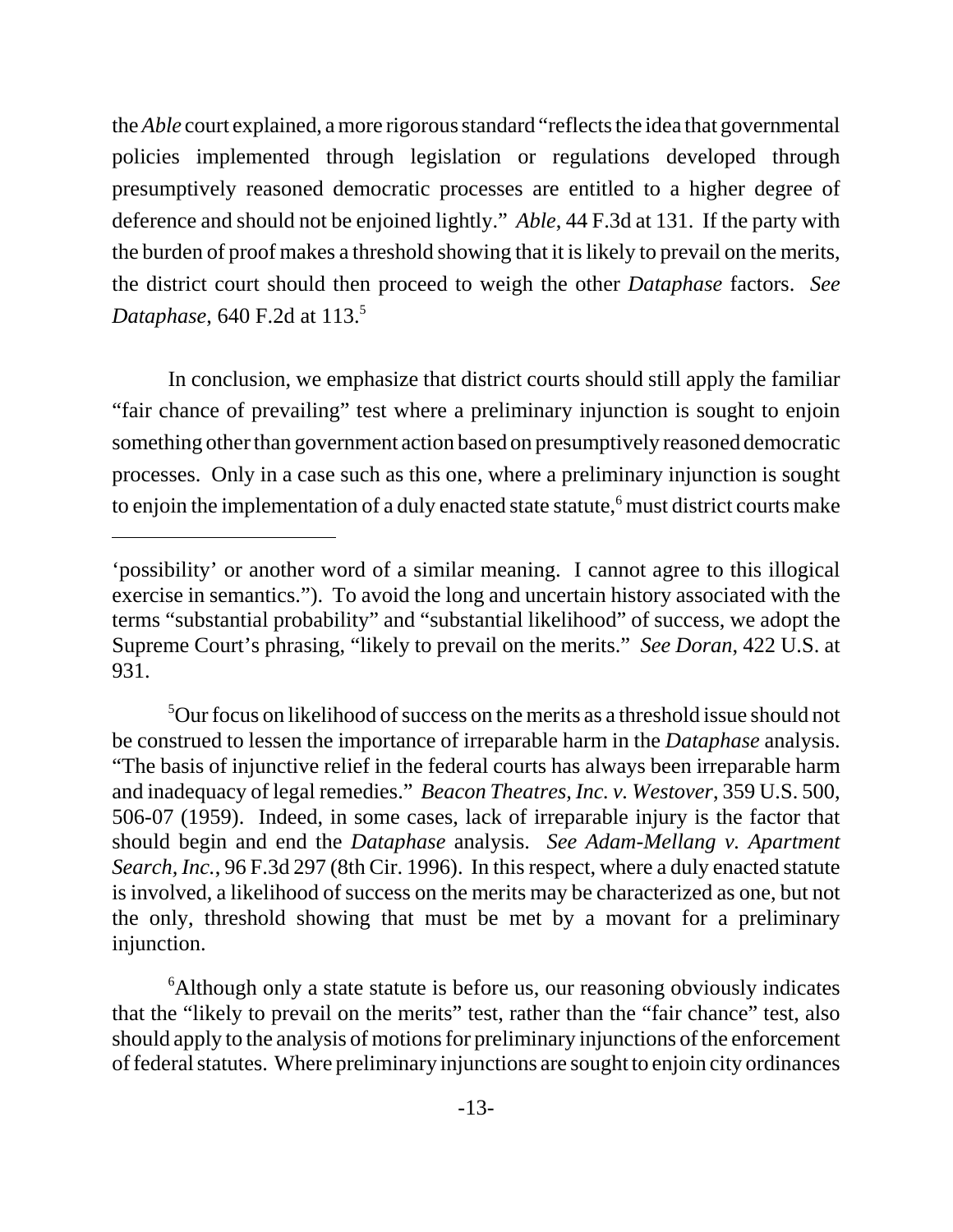the *Able* court explained, a more rigorous standard "reflects the idea that governmental policies implemented through legislation or regulations developed through presumptively reasoned democratic processes are entitled to a higher degree of deference and should not be enjoined lightly." *Able*, 44 F.3d at 131. If the party with the burden of proof makes a threshold showing that it is likely to prevail on the merits, the district court should then proceed to weigh the other *Dataphase* factors. *See Dataphase*, 640 F.2d at 113.<sup>5</sup>

In conclusion, we emphasize that district courts should still apply the familiar "fair chance of prevailing" test where a preliminary injunction is sought to enjoin something other than government action based on presumptively reasoned democratic processes. Only in a case such as this one, where a preliminary injunction is sought to enjoin the implementation of a duly enacted state statute,  $6$  must district courts make

5 Our focus on likelihood of success on the merits as a threshold issue should not be construed to lessen the importance of irreparable harm in the *Dataphase* analysis. "The basis of injunctive relief in the federal courts has always been irreparable harm and inadequacy of legal remedies." *Beacon Theatres, Inc. v. Westover*, 359 U.S. 500, 506-07 (1959). Indeed, in some cases, lack of irreparable injury is the factor that should begin and end the *Dataphase* analysis. *See Adam-Mellang v. Apartment Search, Inc.*, 96 F.3d 297 (8th Cir. 1996). In this respect, where a duly enacted statute is involved, a likelihood of success on the merits may be characterized as one, but not the only, threshold showing that must be met by a movant for a preliminary injunction.

<sup>6</sup>Although only a state statute is before us, our reasoning obviously indicates that the "likely to prevail on the merits" test, rather than the "fair chance" test, also should apply to the analysis of motions for preliminary injunctions of the enforcement of federal statutes. Where preliminary injunctions are sought to enjoin city ordinances

<sup>&#</sup>x27;possibility' or another word of a similar meaning. I cannot agree to this illogical exercise in semantics."). To avoid the long and uncertain history associated with the terms "substantial probability" and "substantial likelihood" of success, we adopt the Supreme Court's phrasing, "likely to prevail on the merits." *See Doran*, 422 U.S. at 931.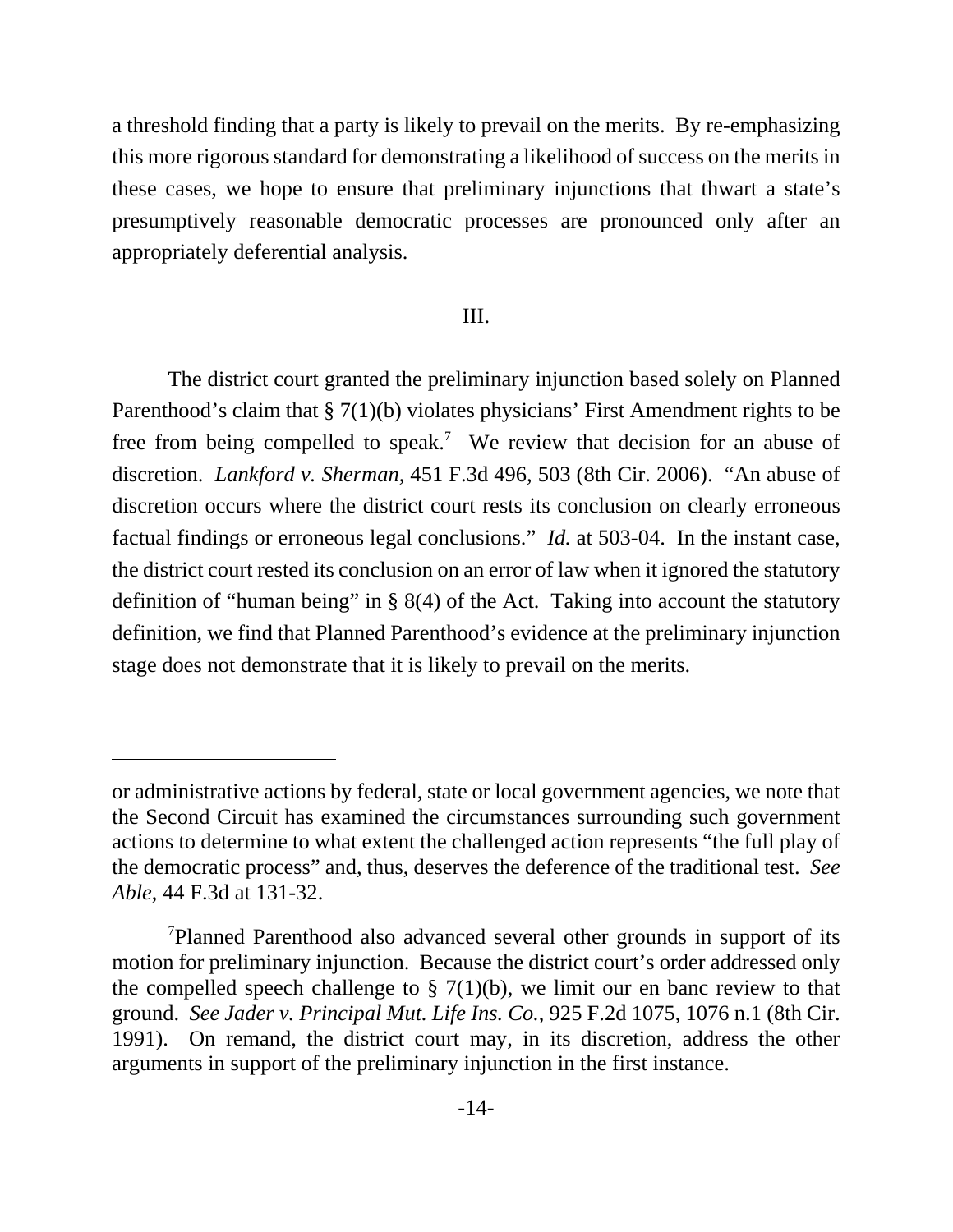a threshold finding that a party is likely to prevail on the merits. By re-emphasizing this more rigorous standard for demonstrating a likelihood of success on the merits in these cases, we hope to ensure that preliminary injunctions that thwart a state's presumptively reasonable democratic processes are pronounced only after an appropriately deferential analysis.

## III.

The district court granted the preliminary injunction based solely on Planned Parenthood's claim that § 7(1)(b) violates physicians' First Amendment rights to be free from being compelled to speak.<sup>7</sup> We review that decision for an abuse of discretion. *Lankford v. Sherman*, 451 F.3d 496, 503 (8th Cir. 2006). "An abuse of discretion occurs where the district court rests its conclusion on clearly erroneous factual findings or erroneous legal conclusions." *Id.* at 503-04. In the instant case, the district court rested its conclusion on an error of law when it ignored the statutory definition of "human being" in § 8(4) of the Act. Taking into account the statutory definition, we find that Planned Parenthood's evidence at the preliminary injunction stage does not demonstrate that it is likely to prevail on the merits.

or administrative actions by federal, state or local government agencies, we note that the Second Circuit has examined the circumstances surrounding such government actions to determine to what extent the challenged action represents "the full play of the democratic process" and, thus, deserves the deference of the traditional test. *See Able*, 44 F.3d at 131-32.

<sup>7</sup> Planned Parenthood also advanced several other grounds in support of its motion for preliminary injunction. Because the district court's order addressed only the compelled speech challenge to  $\S$  7(1)(b), we limit our en banc review to that ground. *See Jader v. Principal Mut. Life Ins. Co.*, 925 F.2d 1075, 1076 n.1 (8th Cir. 1991). On remand, the district court may, in its discretion, address the other arguments in support of the preliminary injunction in the first instance.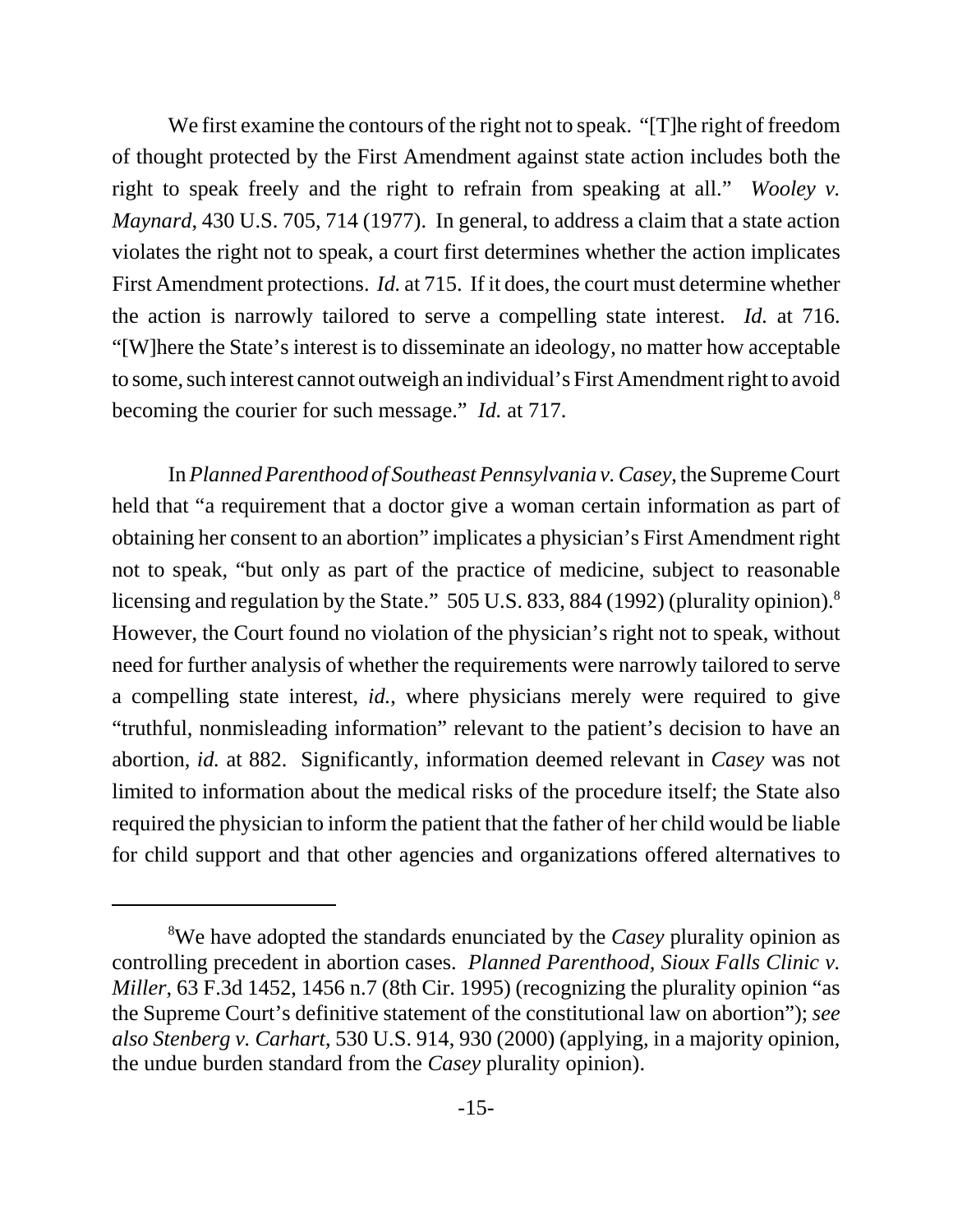We first examine the contours of the right not to speak. "[T]he right of freedom of thought protected by the First Amendment against state action includes both the right to speak freely and the right to refrain from speaking at all." *Wooley v. Maynard*, 430 U.S. 705, 714 (1977). In general, to address a claim that a state action violates the right not to speak, a court first determines whether the action implicates First Amendment protections. *Id.* at 715. If it does, the court must determine whether the action is narrowly tailored to serve a compelling state interest. *Id.* at 716. "[W]here the State's interest is to disseminate an ideology, no matter how acceptable to some, such interest cannot outweigh an individual's First Amendment right to avoid becoming the courier for such message." *Id.* at 717.

In *Planned Parenthood of Southeast Pennsylvania v. Casey*, the Supreme Court held that "a requirement that a doctor give a woman certain information as part of obtaining her consent to an abortion" implicates a physician's First Amendment right not to speak, "but only as part of the practice of medicine, subject to reasonable licensing and regulation by the State." 505 U.S. 833, 884 (1992) (plurality opinion).<sup>8</sup> However, the Court found no violation of the physician's right not to speak, without need for further analysis of whether the requirements were narrowly tailored to serve a compelling state interest, *id.*, where physicians merely were required to give "truthful, nonmisleading information" relevant to the patient's decision to have an abortion, *id.* at 882. Significantly, information deemed relevant in *Casey* was not limited to information about the medical risks of the procedure itself; the State also required the physician to inform the patient that the father of her child would be liable for child support and that other agencies and organizations offered alternatives to

<sup>8</sup> We have adopted the standards enunciated by the *Casey* plurality opinion as controlling precedent in abortion cases. *Planned Parenthood, Sioux Falls Clinic v. Miller*, 63 F.3d 1452, 1456 n.7 (8th Cir. 1995) (recognizing the plurality opinion "as the Supreme Court's definitive statement of the constitutional law on abortion"); *see also Stenberg v. Carhart*, 530 U.S. 914, 930 (2000) (applying, in a majority opinion, the undue burden standard from the *Casey* plurality opinion).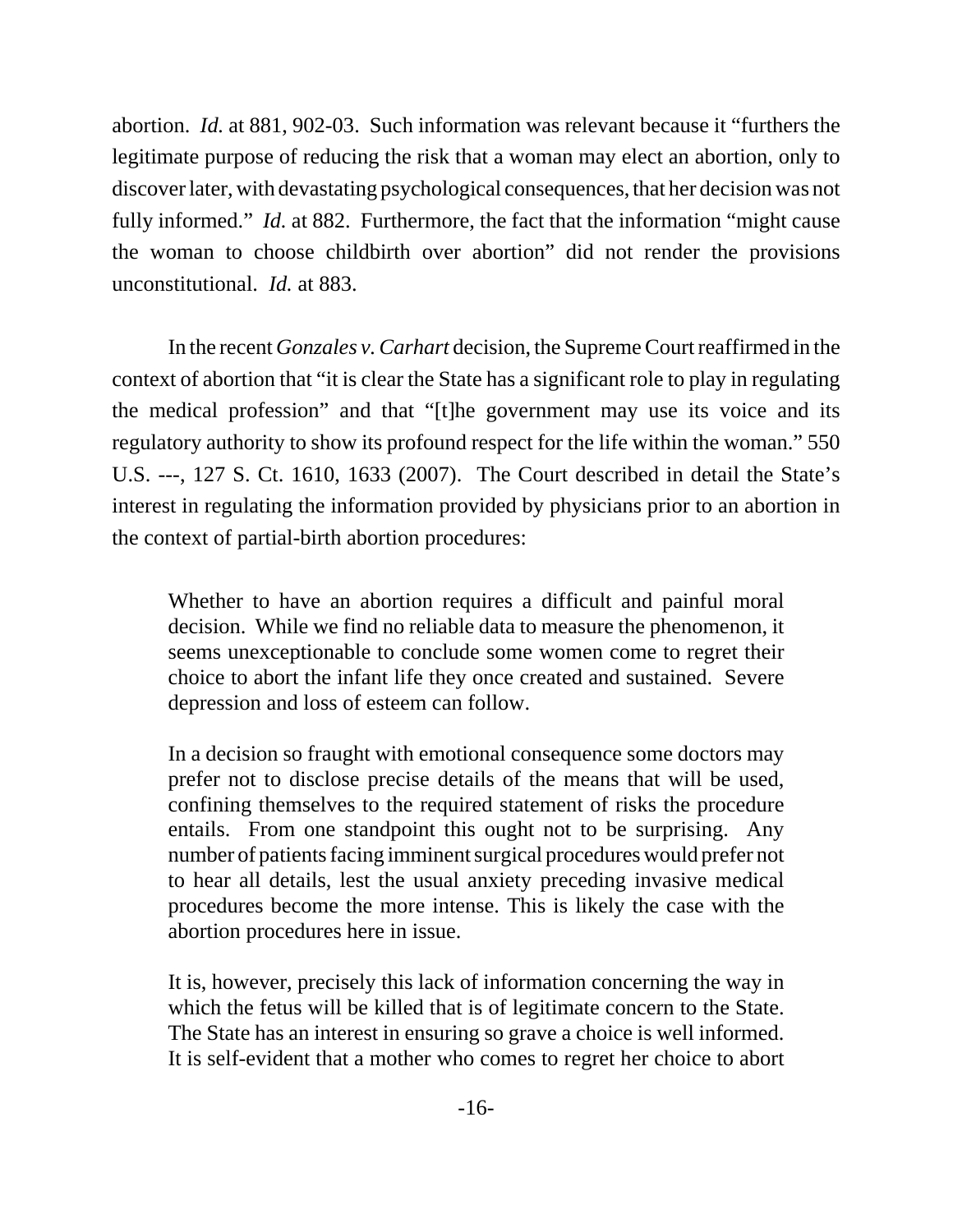abortion. *Id.* at 881, 902-03. Such information was relevant because it "furthers the legitimate purpose of reducing the risk that a woman may elect an abortion, only to discover later, with devastating psychological consequences, that her decision was not fully informed." *Id.* at 882. Furthermore, the fact that the information "might cause the woman to choose childbirth over abortion" did not render the provisions unconstitutional. *Id.* at 883.

In the recent *Gonzales v. Carhart* decision, the Supreme Court reaffirmed in the context of abortion that "it is clear the State has a significant role to play in regulating the medical profession" and that "[t]he government may use its voice and its regulatory authority to show its profound respect for the life within the woman." 550 U.S. ---, 127 S. Ct. 1610, 1633 (2007). The Court described in detail the State's interest in regulating the information provided by physicians prior to an abortion in the context of partial-birth abortion procedures:

Whether to have an abortion requires a difficult and painful moral decision. While we find no reliable data to measure the phenomenon, it seems unexceptionable to conclude some women come to regret their choice to abort the infant life they once created and sustained. Severe depression and loss of esteem can follow.

In a decision so fraught with emotional consequence some doctors may prefer not to disclose precise details of the means that will be used, confining themselves to the required statement of risks the procedure entails. From one standpoint this ought not to be surprising. Any number of patients facing imminent surgical procedures would prefer not to hear all details, lest the usual anxiety preceding invasive medical procedures become the more intense. This is likely the case with the abortion procedures here in issue.

It is, however, precisely this lack of information concerning the way in which the fetus will be killed that is of legitimate concern to the State. The State has an interest in ensuring so grave a choice is well informed. It is self-evident that a mother who comes to regret her choice to abort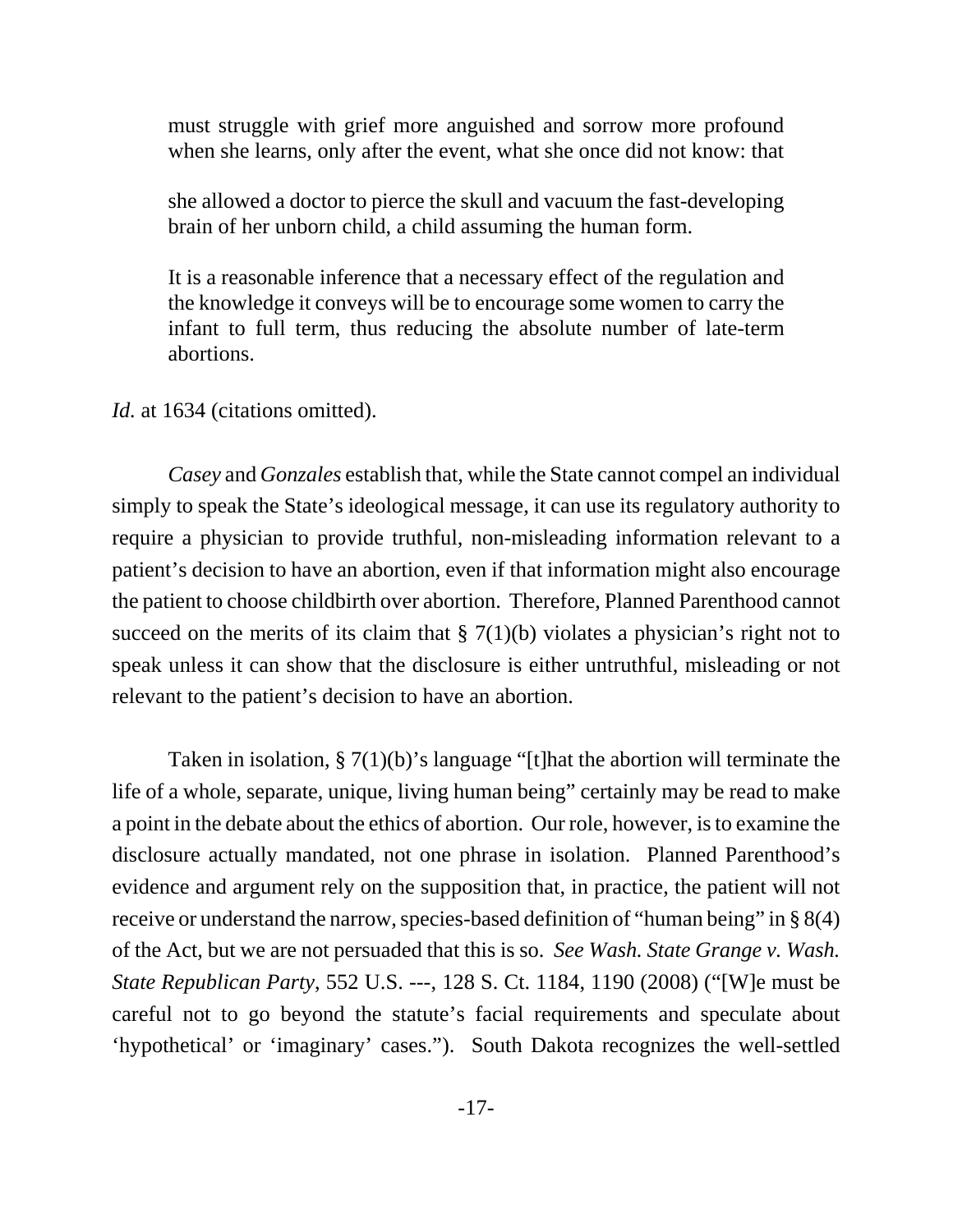must struggle with grief more anguished and sorrow more profound when she learns, only after the event, what she once did not know: that

she allowed a doctor to pierce the skull and vacuum the fast-developing brain of her unborn child, a child assuming the human form.

It is a reasonable inference that a necessary effect of the regulation and the knowledge it conveys will be to encourage some women to carry the infant to full term, thus reducing the absolute number of late-term abortions.

#### *Id.* at 1634 (citations omitted).

*Casey* and *Gonzales* establish that, while the State cannot compel an individual simply to speak the State's ideological message, it can use its regulatory authority to require a physician to provide truthful, non-misleading information relevant to a patient's decision to have an abortion, even if that information might also encourage the patient to choose childbirth over abortion. Therefore, Planned Parenthood cannot succeed on the merits of its claim that  $\S$  7(1)(b) violates a physician's right not to speak unless it can show that the disclosure is either untruthful, misleading or not relevant to the patient's decision to have an abortion.

Taken in isolation, § 7(1)(b)'s language "[t]hat the abortion will terminate the life of a whole, separate, unique, living human being" certainly may be read to make a point in the debate about the ethics of abortion. Our role, however, is to examine the disclosure actually mandated, not one phrase in isolation. Planned Parenthood's evidence and argument rely on the supposition that, in practice, the patient will not receive or understand the narrow, species-based definition of "human being" in § 8(4) of the Act, but we are not persuaded that this is so. *See Wash. State Grange v. Wash. State Republican Party*, 552 U.S. ---, 128 S. Ct. 1184, 1190 (2008) ("[W]e must be careful not to go beyond the statute's facial requirements and speculate about 'hypothetical' or 'imaginary' cases."). South Dakota recognizes the well-settled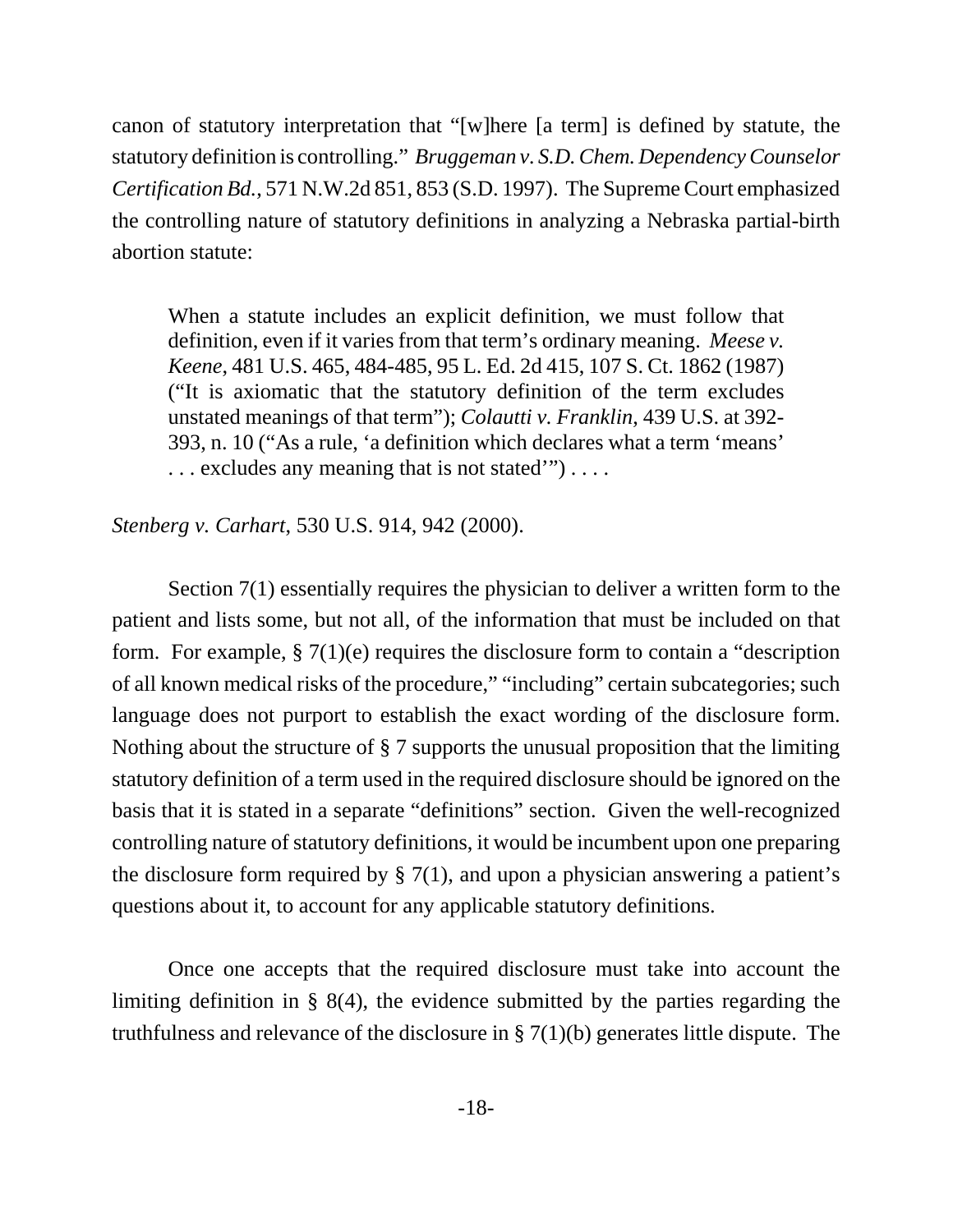canon of statutory interpretation that "[w]here [a term] is defined by statute, the statutory definition is controlling." *Bruggeman v. S.D. Chem. Dependency Counselor Certification Bd.*, 571 N.W.2d 851, 853 (S.D. 1997). The Supreme Court emphasized the controlling nature of statutory definitions in analyzing a Nebraska partial-birth abortion statute:

When a statute includes an explicit definition, we must follow that definition, even if it varies from that term's ordinary meaning. *Meese v. Keene*, 481 U.S. 465, 484-485, 95 L. Ed. 2d 415, 107 S. Ct. 1862 (1987) ("It is axiomatic that the statutory definition of the term excludes unstated meanings of that term"); *Colautti v. Franklin*, 439 U.S. at 392- 393, n. 10 ("As a rule, 'a definition which declares what a term 'means' . . . excludes any meaning that is not stated'") . . . .

*Stenberg v. Carhart*, 530 U.S. 914, 942 (2000).

Section 7(1) essentially requires the physician to deliver a written form to the patient and lists some, but not all, of the information that must be included on that form. For example,  $\S 7(1)(e)$  requires the disclosure form to contain a "description" of all known medical risks of the procedure," "including" certain subcategories; such language does not purport to establish the exact wording of the disclosure form. Nothing about the structure of § 7 supports the unusual proposition that the limiting statutory definition of a term used in the required disclosure should be ignored on the basis that it is stated in a separate "definitions" section. Given the well-recognized controlling nature of statutory definitions, it would be incumbent upon one preparing the disclosure form required by § 7(1), and upon a physician answering a patient's questions about it, to account for any applicable statutory definitions.

Once one accepts that the required disclosure must take into account the limiting definition in § 8(4), the evidence submitted by the parties regarding the truthfulness and relevance of the disclosure in  $\S 7(1)(b)$  generates little dispute. The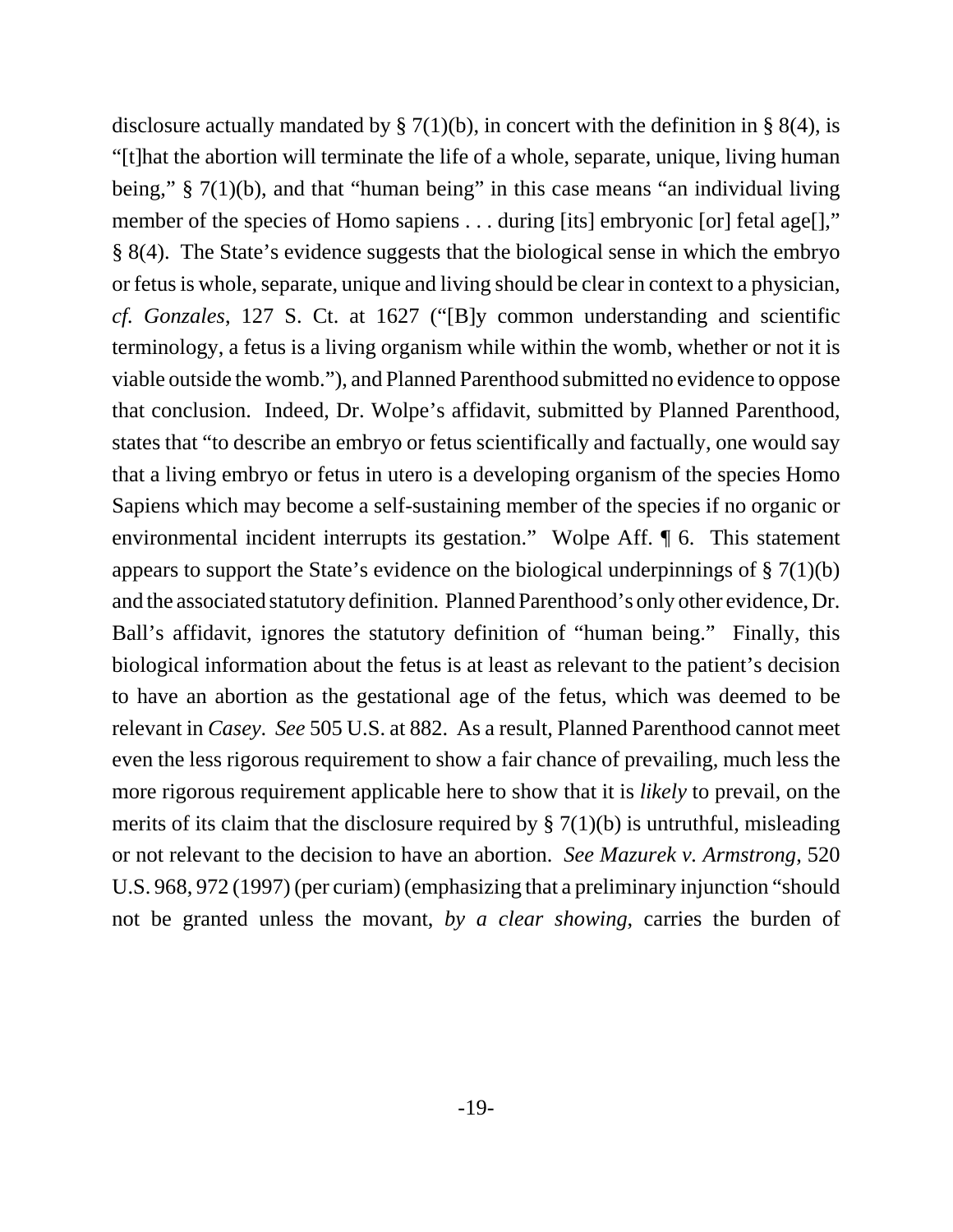disclosure actually mandated by  $\S 7(1)(b)$ , in concert with the definition in  $\S 8(4)$ , is "[t]hat the abortion will terminate the life of a whole, separate, unique, living human being," § 7(1)(b), and that "human being" in this case means "an individual living member of the species of Homo sapiens . . . during [its] embryonic [or] fetal age[]," § 8(4). The State's evidence suggests that the biological sense in which the embryo or fetus is whole, separate, unique and living should be clear in context to a physician, *cf. Gonzales*, 127 S. Ct. at 1627 ("[B]y common understanding and scientific terminology, a fetus is a living organism while within the womb, whether or not it is viable outside the womb."), and Planned Parenthood submitted no evidence to oppose that conclusion. Indeed, Dr. Wolpe's affidavit, submitted by Planned Parenthood, states that "to describe an embryo or fetus scientifically and factually, one would say that a living embryo or fetus in utero is a developing organism of the species Homo Sapiens which may become a self-sustaining member of the species if no organic or environmental incident interrupts its gestation." Wolpe Aff. ¶ 6. This statement appears to support the State's evidence on the biological underpinnings of  $\S 7(1)(b)$ and the associated statutory definition. Planned Parenthood's only other evidence, Dr. Ball's affidavit, ignores the statutory definition of "human being." Finally, this biological information about the fetus is at least as relevant to the patient's decision to have an abortion as the gestational age of the fetus, which was deemed to be relevant in *Casey*. *See* 505 U.S. at 882. As a result, Planned Parenthood cannot meet even the less rigorous requirement to show a fair chance of prevailing, much less the more rigorous requirement applicable here to show that it is *likely* to prevail, on the merits of its claim that the disclosure required by  $\S$  7(1)(b) is untruthful, misleading or not relevant to the decision to have an abortion. *See Mazurek v. Armstrong*, 520 U.S. 968, 972 (1997) (per curiam) (emphasizing that a preliminary injunction "should not be granted unless the movant, *by a clear showing*, carries the burden of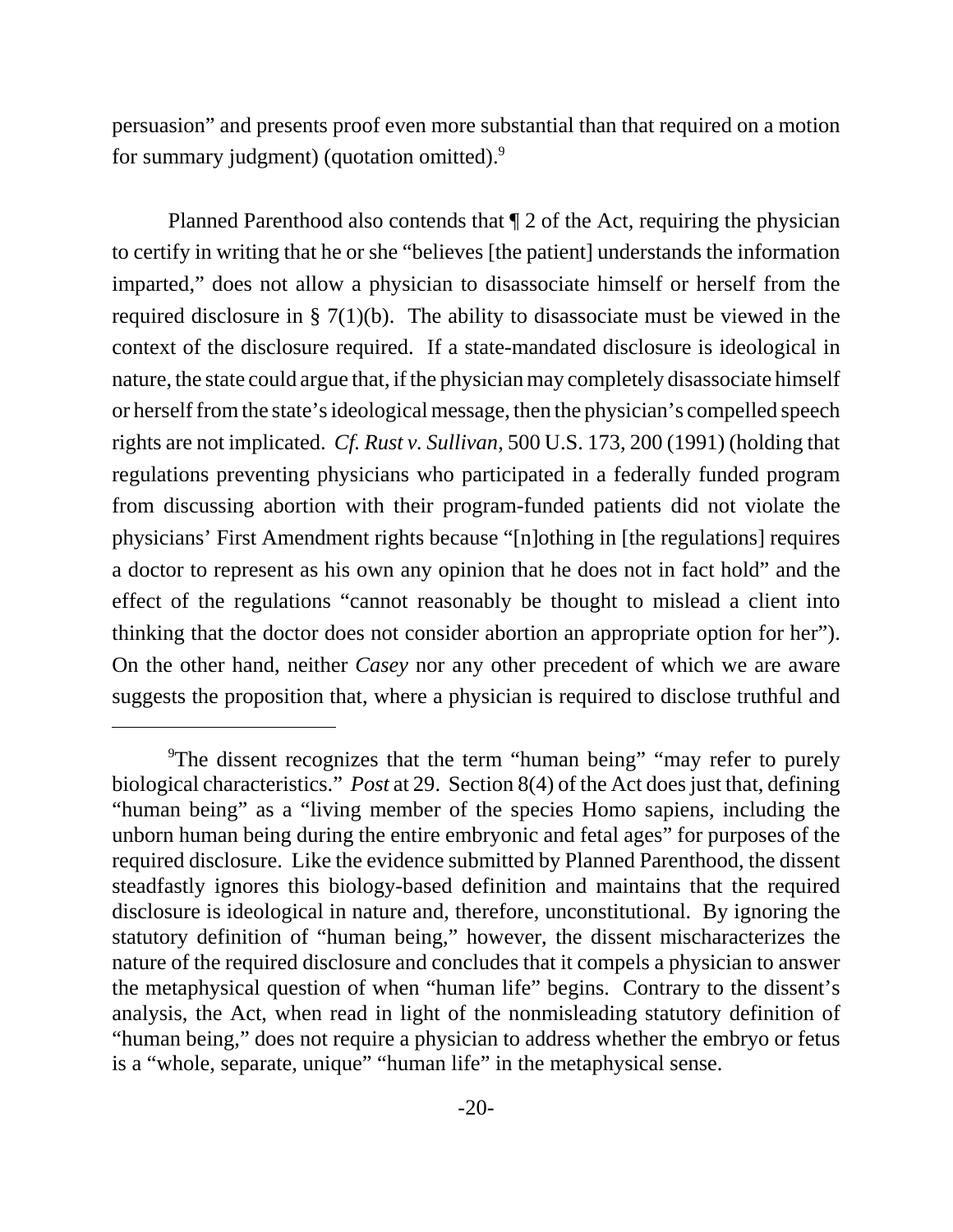persuasion" and presents proof even more substantial than that required on a motion for summary judgment) (quotation omitted).<sup>9</sup>

Planned Parenthood also contends that  $\P$  2 of the Act, requiring the physician to certify in writing that he or she "believes [the patient] understands the information imparted," does not allow a physician to disassociate himself or herself from the required disclosure in § 7(1)(b). The ability to disassociate must be viewed in the context of the disclosure required. If a state-mandated disclosure is ideological in nature, the state could argue that, if the physician may completely disassociate himself or herself from the state's ideological message, then the physician's compelled speech rights are not implicated. *Cf. Rust v. Sullivan*, 500 U.S. 173, 200 (1991) (holding that regulations preventing physicians who participated in a federally funded program from discussing abortion with their program-funded patients did not violate the physicians' First Amendment rights because "[n]othing in [the regulations] requires a doctor to represent as his own any opinion that he does not in fact hold" and the effect of the regulations "cannot reasonably be thought to mislead a client into thinking that the doctor does not consider abortion an appropriate option for her"). On the other hand, neither *Casey* nor any other precedent of which we are aware suggests the proposition that, where a physician is required to disclose truthful and

<sup>&</sup>lt;sup>9</sup>The dissent recognizes that the term "human being" "may refer to purely biological characteristics." *Post* at 29. Section 8(4) of the Act does just that, defining "human being" as a "living member of the species Homo sapiens, including the unborn human being during the entire embryonic and fetal ages" for purposes of the required disclosure. Like the evidence submitted by Planned Parenthood, the dissent steadfastly ignores this biology-based definition and maintains that the required disclosure is ideological in nature and, therefore, unconstitutional. By ignoring the statutory definition of "human being," however, the dissent mischaracterizes the nature of the required disclosure and concludes that it compels a physician to answer the metaphysical question of when "human life" begins. Contrary to the dissent's analysis, the Act, when read in light of the nonmisleading statutory definition of "human being," does not require a physician to address whether the embryo or fetus is a "whole, separate, unique" "human life" in the metaphysical sense.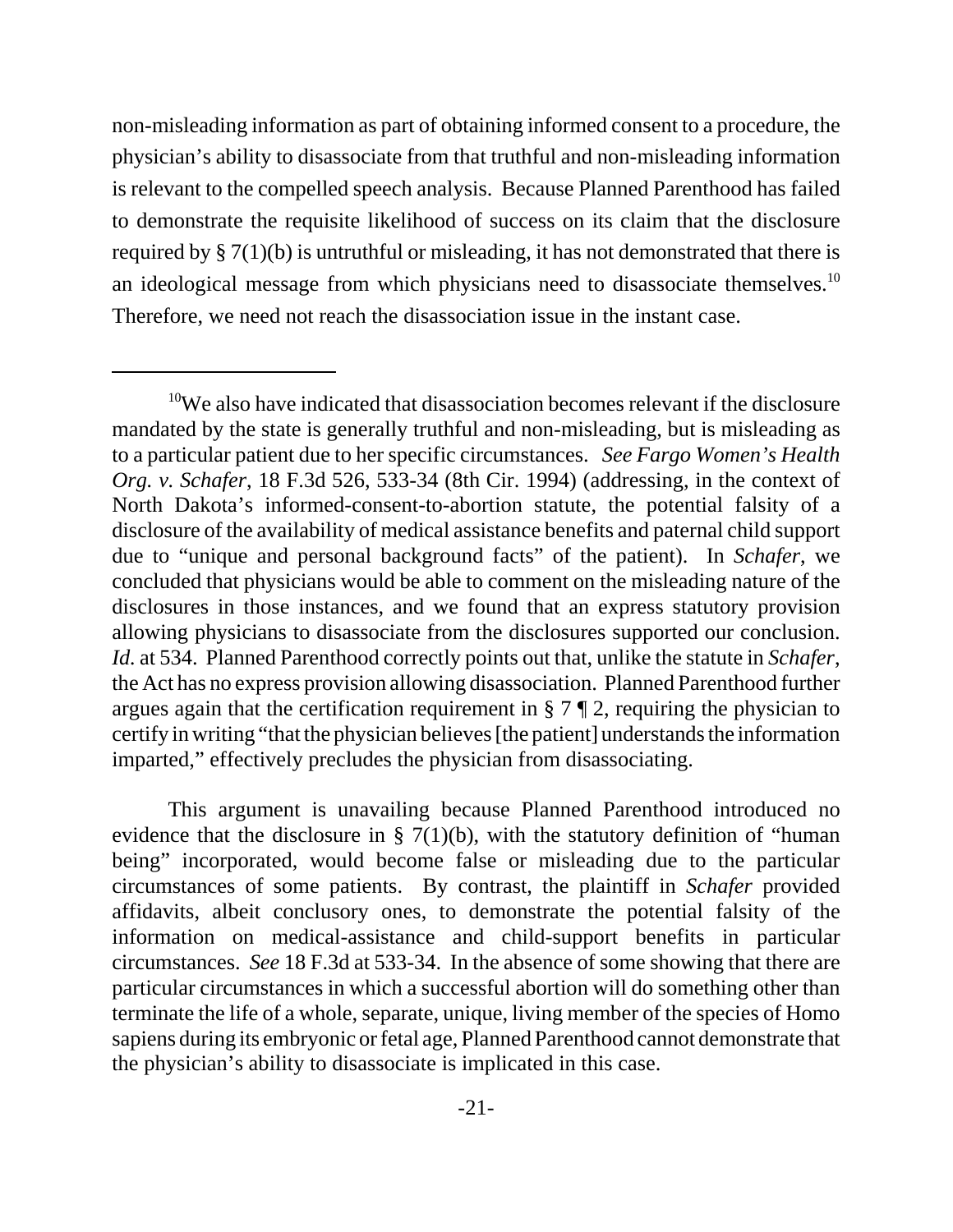non-misleading information as part of obtaining informed consent to a procedure, the physician's ability to disassociate from that truthful and non-misleading information is relevant to the compelled speech analysis. Because Planned Parenthood has failed to demonstrate the requisite likelihood of success on its claim that the disclosure required by § 7(1)(b) is untruthful or misleading, it has not demonstrated that there is an ideological message from which physicians need to disassociate themselves.<sup>10</sup> Therefore, we need not reach the disassociation issue in the instant case.

This argument is unavailing because Planned Parenthood introduced no evidence that the disclosure in  $\S$  7(1)(b), with the statutory definition of "human" being" incorporated, would become false or misleading due to the particular circumstances of some patients. By contrast, the plaintiff in *Schafer* provided affidavits, albeit conclusory ones, to demonstrate the potential falsity of the information on medical-assistance and child-support benefits in particular circumstances. *See* 18 F.3d at 533-34. In the absence of some showing that there are particular circumstances in which a successful abortion will do something other than terminate the life of a whole, separate, unique, living member of the species of Homo sapiens during its embryonic or fetal age, Planned Parenthood cannot demonstrate that the physician's ability to disassociate is implicated in this case.

<sup>&</sup>lt;sup>10</sup>We also have indicated that disassociation becomes relevant if the disclosure mandated by the state is generally truthful and non-misleading, but is misleading as to a particular patient due to her specific circumstances. *See Fargo Women's Health Org. v. Schafer*, 18 F.3d 526, 533-34 (8th Cir. 1994) (addressing, in the context of North Dakota's informed-consent-to-abortion statute, the potential falsity of a disclosure of the availability of medical assistance benefits and paternal child support due to "unique and personal background facts" of the patient). In *Schafer*, we concluded that physicians would be able to comment on the misleading nature of the disclosures in those instances, and we found that an express statutory provision allowing physicians to disassociate from the disclosures supported our conclusion. *Id.* at 534. Planned Parenthood correctly points out that, unlike the statute in *Schafer*, the Act has no express provision allowing disassociation. Planned Parenthood further argues again that the certification requirement in  $\S 7 \P 2$ , requiring the physician to certify in writing "that the physician believes [the patient] understands the information imparted," effectively precludes the physician from disassociating.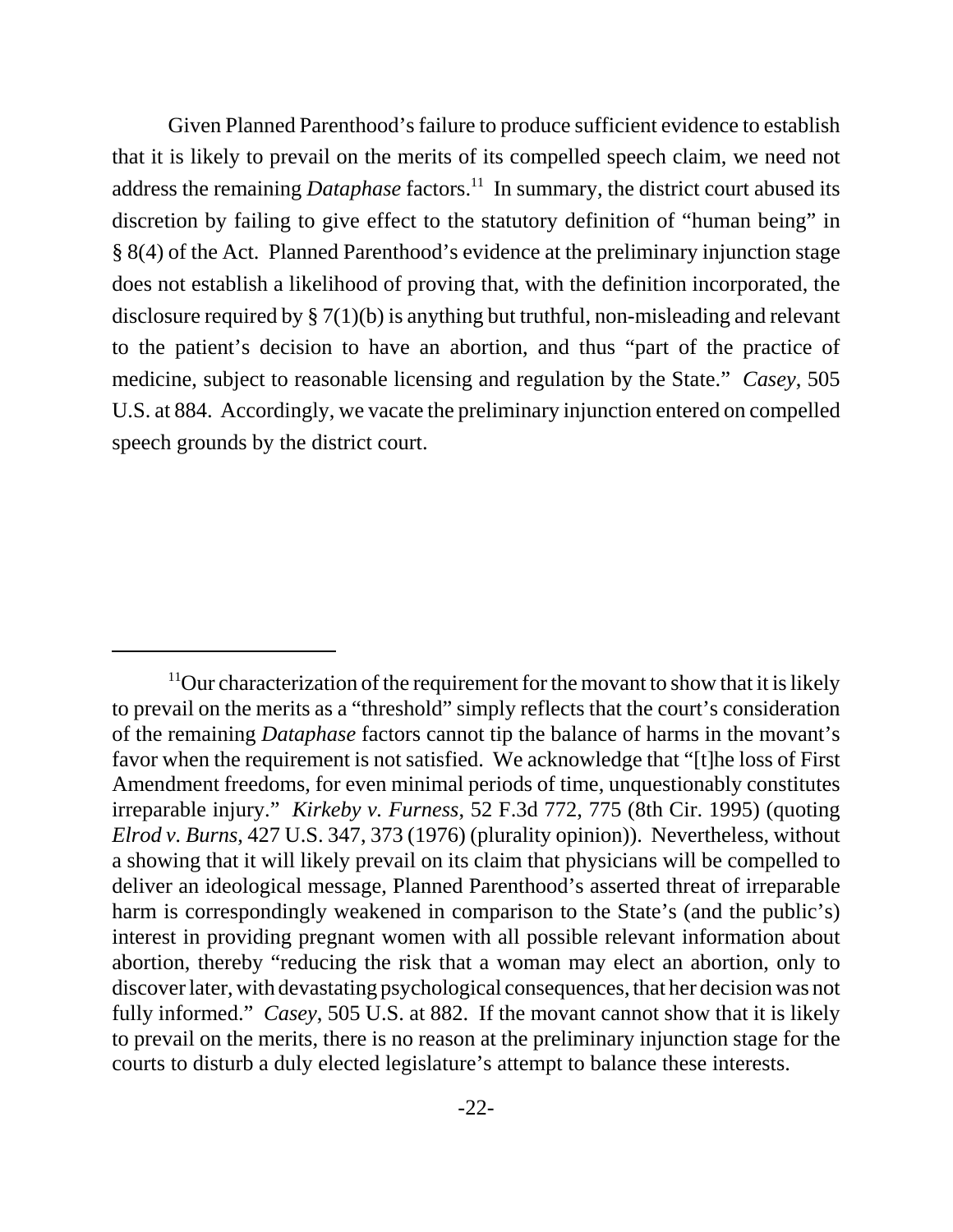Given Planned Parenthood's failure to produce sufficient evidence to establish that it is likely to prevail on the merits of its compelled speech claim, we need not address the remaining *Dataphase* factors.<sup>11</sup> In summary, the district court abused its discretion by failing to give effect to the statutory definition of "human being" in § 8(4) of the Act. Planned Parenthood's evidence at the preliminary injunction stage does not establish a likelihood of proving that, with the definition incorporated, the disclosure required by § 7(1)(b) is anything but truthful, non-misleading and relevant to the patient's decision to have an abortion, and thus "part of the practice of medicine, subject to reasonable licensing and regulation by the State." *Casey*, 505 U.S. at 884. Accordingly, we vacate the preliminary injunction entered on compelled speech grounds by the district court.

 $11$ Our characterization of the requirement for the movant to show that it is likely to prevail on the merits as a "threshold" simply reflects that the court's consideration of the remaining *Dataphase* factors cannot tip the balance of harms in the movant's favor when the requirement is not satisfied. We acknowledge that "[t]he loss of First Amendment freedoms, for even minimal periods of time, unquestionably constitutes irreparable injury." *Kirkeby v. Furness*, 52 F.3d 772, 775 (8th Cir. 1995) (quoting *Elrod v. Burns*, 427 U.S. 347, 373 (1976) (plurality opinion)). Nevertheless, without a showing that it will likely prevail on its claim that physicians will be compelled to deliver an ideological message, Planned Parenthood's asserted threat of irreparable harm is correspondingly weakened in comparison to the State's (and the public's) interest in providing pregnant women with all possible relevant information about abortion, thereby "reducing the risk that a woman may elect an abortion, only to discover later, with devastating psychological consequences, that her decision was not fully informed." *Casey*, 505 U.S. at 882. If the movant cannot show that it is likely to prevail on the merits, there is no reason at the preliminary injunction stage for the courts to disturb a duly elected legislature's attempt to balance these interests.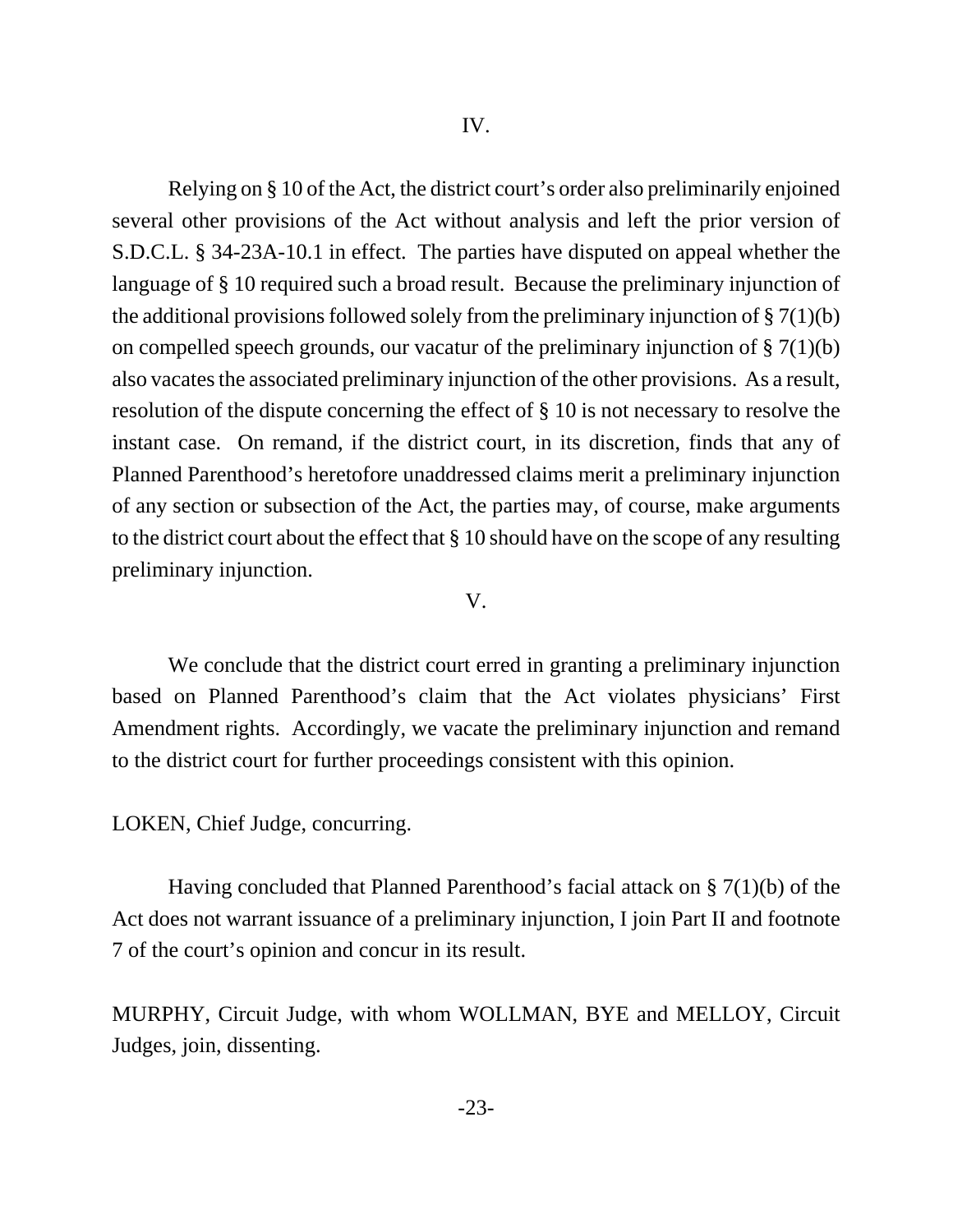Relying on § 10 of the Act, the district court's order also preliminarily enjoined several other provisions of the Act without analysis and left the prior version of S.D.C.L. § 34-23A-10.1 in effect. The parties have disputed on appeal whether the language of § 10 required such a broad result. Because the preliminary injunction of the additional provisions followed solely from the preliminary injunction of  $\S 7(1)(b)$ on compelled speech grounds, our vacatur of the preliminary injunction of § 7(1)(b) also vacates the associated preliminary injunction of the other provisions. As a result, resolution of the dispute concerning the effect of § 10 is not necessary to resolve the instant case. On remand, if the district court, in its discretion, finds that any of Planned Parenthood's heretofore unaddressed claims merit a preliminary injunction of any section or subsection of the Act, the parties may, of course, make arguments to the district court about the effect that § 10 should have on the scope of any resulting preliminary injunction.

#### V.

We conclude that the district court erred in granting a preliminary injunction based on Planned Parenthood's claim that the Act violates physicians' First Amendment rights. Accordingly, we vacate the preliminary injunction and remand to the district court for further proceedings consistent with this opinion.

LOKEN, Chief Judge, concurring.

Having concluded that Planned Parenthood's facial attack on § 7(1)(b) of the Act does not warrant issuance of a preliminary injunction, I join Part II and footnote 7 of the court's opinion and concur in its result.

MURPHY, Circuit Judge, with whom WOLLMAN, BYE and MELLOY, Circuit Judges, join, dissenting.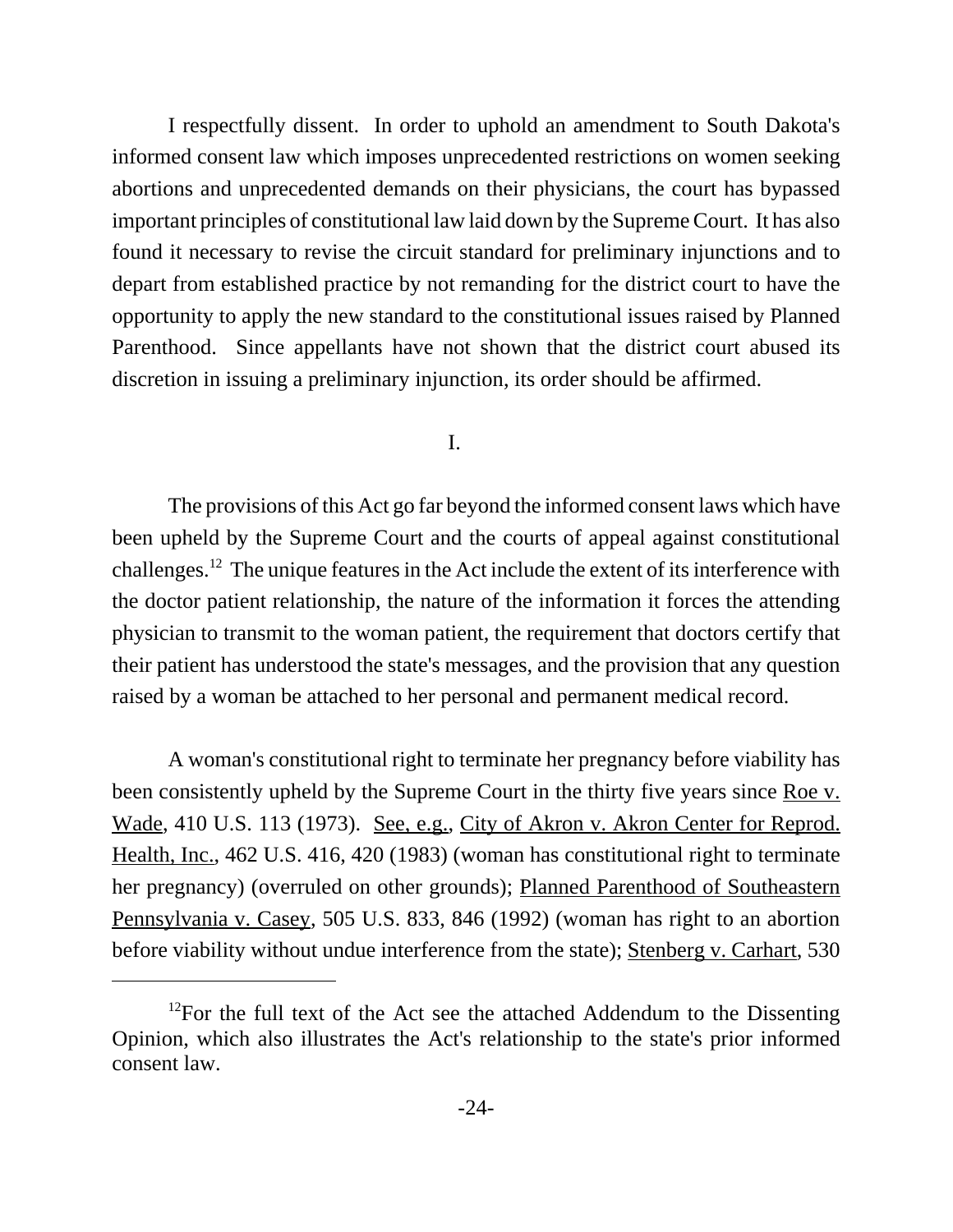I respectfully dissent. In order to uphold an amendment to South Dakota's informed consent law which imposes unprecedented restrictions on women seeking abortions and unprecedented demands on their physicians, the court has bypassed important principles of constitutional law laid down by the Supreme Court. It has also found it necessary to revise the circuit standard for preliminary injunctions and to depart from established practice by not remanding for the district court to have the opportunity to apply the new standard to the constitutional issues raised by Planned Parenthood. Since appellants have not shown that the district court abused its discretion in issuing a preliminary injunction, its order should be affirmed.

I.

The provisions of this Act go far beyond the informed consent laws which have been upheld by the Supreme Court and the courts of appeal against constitutional challenges.12 The unique features in the Act include the extent of its interference with the doctor patient relationship, the nature of the information it forces the attending physician to transmit to the woman patient, the requirement that doctors certify that their patient has understood the state's messages, and the provision that any question raised by a woman be attached to her personal and permanent medical record.

A woman's constitutional right to terminate her pregnancy before viability has been consistently upheld by the Supreme Court in the thirty five years since Roe v. Wade, 410 U.S. 113 (1973). See, e.g., City of Akron v. Akron Center for Reprod. Health, Inc., 462 U.S. 416, 420 (1983) (woman has constitutional right to terminate her pregnancy) (overruled on other grounds); **Planned Parenthood of Southeastern** Pennsylvania v. Casey, 505 U.S. 833, 846 (1992) (woman has right to an abortion before viability without undue interference from the state); Stenberg v. Carhart, 530

<sup>&</sup>lt;sup>12</sup>For the full text of the Act see the attached Addendum to the Dissenting Opinion, which also illustrates the Act's relationship to the state's prior informed consent law.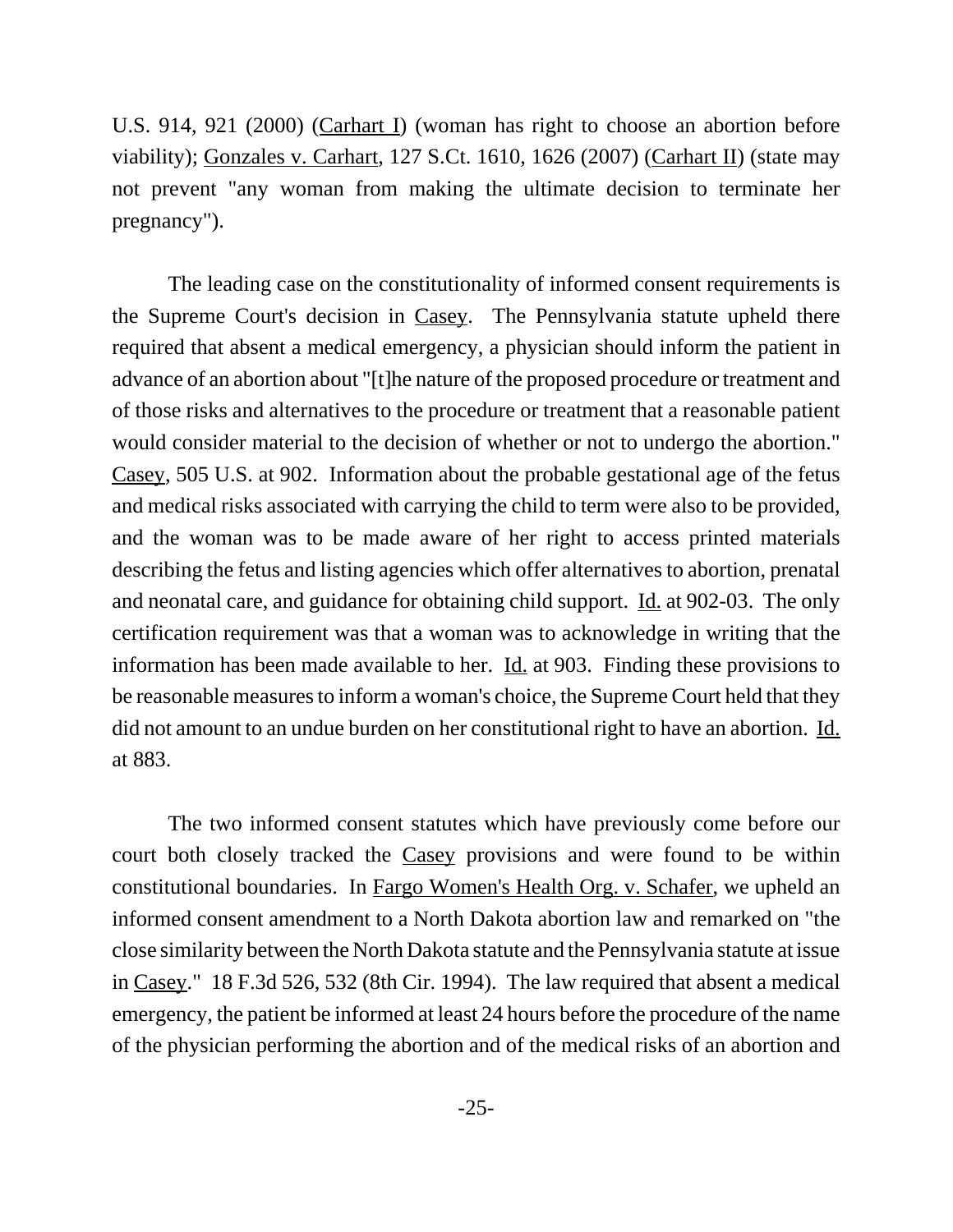U.S. 914, 921 (2000) (Carhart I) (woman has right to choose an abortion before viability); Gonzales v. Carhart, 127 S.Ct. 1610, 1626 (2007) (Carhart II) (state may not prevent "any woman from making the ultimate decision to terminate her pregnancy").

The leading case on the constitutionality of informed consent requirements is the Supreme Court's decision in Casey. The Pennsylvania statute upheld there required that absent a medical emergency, a physician should inform the patient in advance of an abortion about "[t]he nature of the proposed procedure or treatment and of those risks and alternatives to the procedure or treatment that a reasonable patient would consider material to the decision of whether or not to undergo the abortion." Casey, 505 U.S. at 902. Information about the probable gestational age of the fetus and medical risks associated with carrying the child to term were also to be provided, and the woman was to be made aware of her right to access printed materials describing the fetus and listing agencies which offer alternatives to abortion, prenatal and neonatal care, and guidance for obtaining child support. Id. at 902-03. The only certification requirement was that a woman was to acknowledge in writing that the information has been made available to her. <u>Id.</u> at 903. Finding these provisions to be reasonable measures to inform a woman's choice, the Supreme Court held that they did not amount to an undue burden on her constitutional right to have an abortion. Id. at 883.

The two informed consent statutes which have previously come before our court both closely tracked the Casey provisions and were found to be within constitutional boundaries. In Fargo Women's Health Org. v. Schafer, we upheld an informed consent amendment to a North Dakota abortion law and remarked on "the close similarity between the North Dakota statute and the Pennsylvania statute at issue in Casey." 18 F.3d 526, 532 (8th Cir. 1994). The law required that absent a medical emergency, the patient be informed at least 24 hours before the procedure of the name of the physician performing the abortion and of the medical risks of an abortion and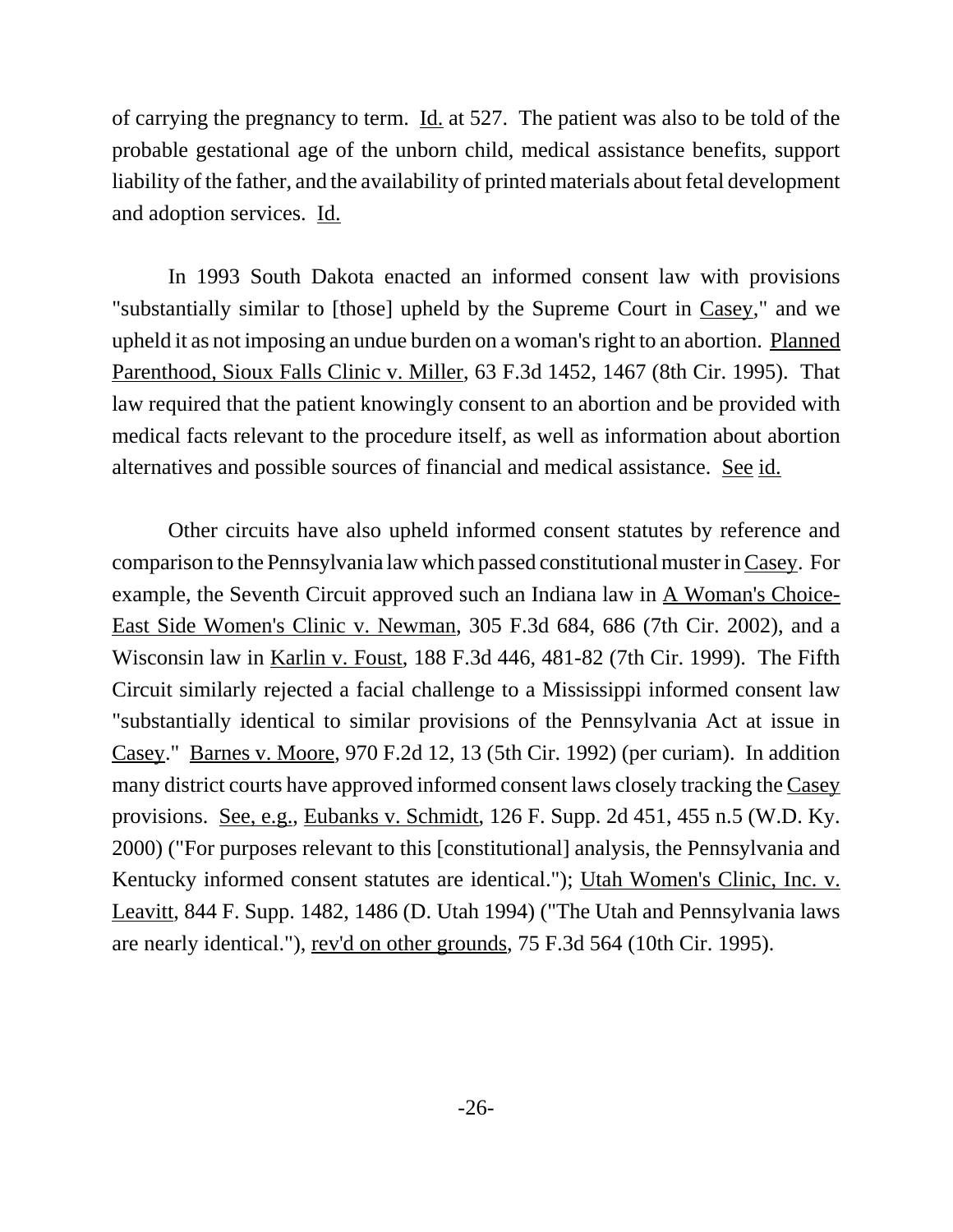of carrying the pregnancy to term. Id. at 527. The patient was also to be told of the probable gestational age of the unborn child, medical assistance benefits, support liability of the father, and the availability of printed materials about fetal development and adoption services. Id.

In 1993 South Dakota enacted an informed consent law with provisions "substantially similar to [those] upheld by the Supreme Court in Casey," and we upheld it as not imposing an undue burden on a woman's right to an abortion. Planned Parenthood, Sioux Falls Clinic v. Miller, 63 F.3d 1452, 1467 (8th Cir. 1995). That law required that the patient knowingly consent to an abortion and be provided with medical facts relevant to the procedure itself, as well as information about abortion alternatives and possible sources of financial and medical assistance. See id.

Other circuits have also upheld informed consent statutes by reference and comparison to the Pennsylvania law which passed constitutional muster in Casey. For example, the Seventh Circuit approved such an Indiana law in  $\underline{A}$  Woman's Choice-East Side Women's Clinic v. Newman, 305 F.3d 684, 686 (7th Cir. 2002), and a Wisconsin law in Karlin v. Foust, 188 F.3d 446, 481-82 (7th Cir. 1999). The Fifth Circuit similarly rejected a facial challenge to a Mississippi informed consent law "substantially identical to similar provisions of the Pennsylvania Act at issue in Casey." Barnes v. Moore, 970 F.2d 12, 13 (5th Cir. 1992) (per curiam). In addition many district courts have approved informed consent laws closely tracking the Casey provisions. See, e.g., Eubanks v. Schmidt, 126 F. Supp. 2d 451, 455 n.5 (W.D. Ky. 2000) ("For purposes relevant to this [constitutional] analysis, the Pennsylvania and Kentucky informed consent statutes are identical."); Utah Women's Clinic, Inc. v. Leavitt, 844 F. Supp. 1482, 1486 (D. Utah 1994) ("The Utah and Pennsylvania laws are nearly identical."), rev'd on other grounds, 75 F.3d 564 (10th Cir. 1995).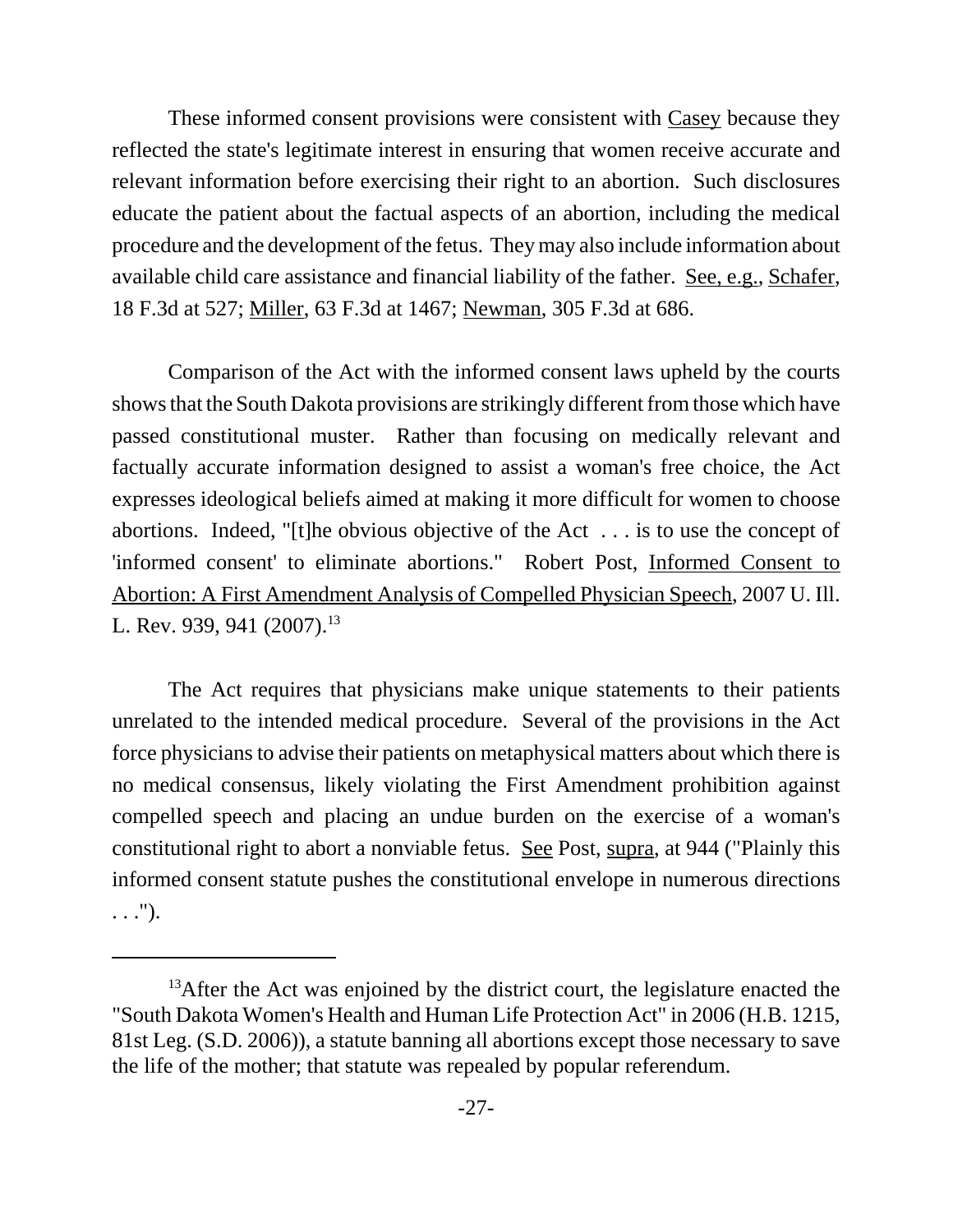These informed consent provisions were consistent with Casey because they reflected the state's legitimate interest in ensuring that women receive accurate and relevant information before exercising their right to an abortion. Such disclosures educate the patient about the factual aspects of an abortion, including the medical procedure and the development of the fetus. They may also include information about available child care assistance and financial liability of the father. See, e.g., Schafer, 18 F.3d at 527; Miller, 63 F.3d at 1467; Newman, 305 F.3d at 686.

Comparison of the Act with the informed consent laws upheld by the courts shows that the South Dakota provisions are strikingly different from those which have passed constitutional muster. Rather than focusing on medically relevant and factually accurate information designed to assist a woman's free choice, the Act expresses ideological beliefs aimed at making it more difficult for women to choose abortions. Indeed, "[t]he obvious objective of the Act . . . is to use the concept of 'informed consent' to eliminate abortions." Robert Post, Informed Consent to Abortion: A First Amendment Analysis of Compelled Physician Speech, 2007 U. Ill. L. Rev. 939, 941 (2007).<sup>13</sup>

The Act requires that physicians make unique statements to their patients unrelated to the intended medical procedure. Several of the provisions in the Act force physicians to advise their patients on metaphysical matters about which there is no medical consensus, likely violating the First Amendment prohibition against compelled speech and placing an undue burden on the exercise of a woman's constitutional right to abort a nonviable fetus. See Post, supra, at 944 ("Plainly this informed consent statute pushes the constitutional envelope in numerous directions . . .").

<sup>&</sup>lt;sup>13</sup>After the Act was enjoined by the district court, the legislature enacted the "South Dakota Women's Health and Human Life Protection Act" in 2006 (H.B. 1215, 81st Leg. (S.D. 2006)), a statute banning all abortions except those necessary to save the life of the mother; that statute was repealed by popular referendum.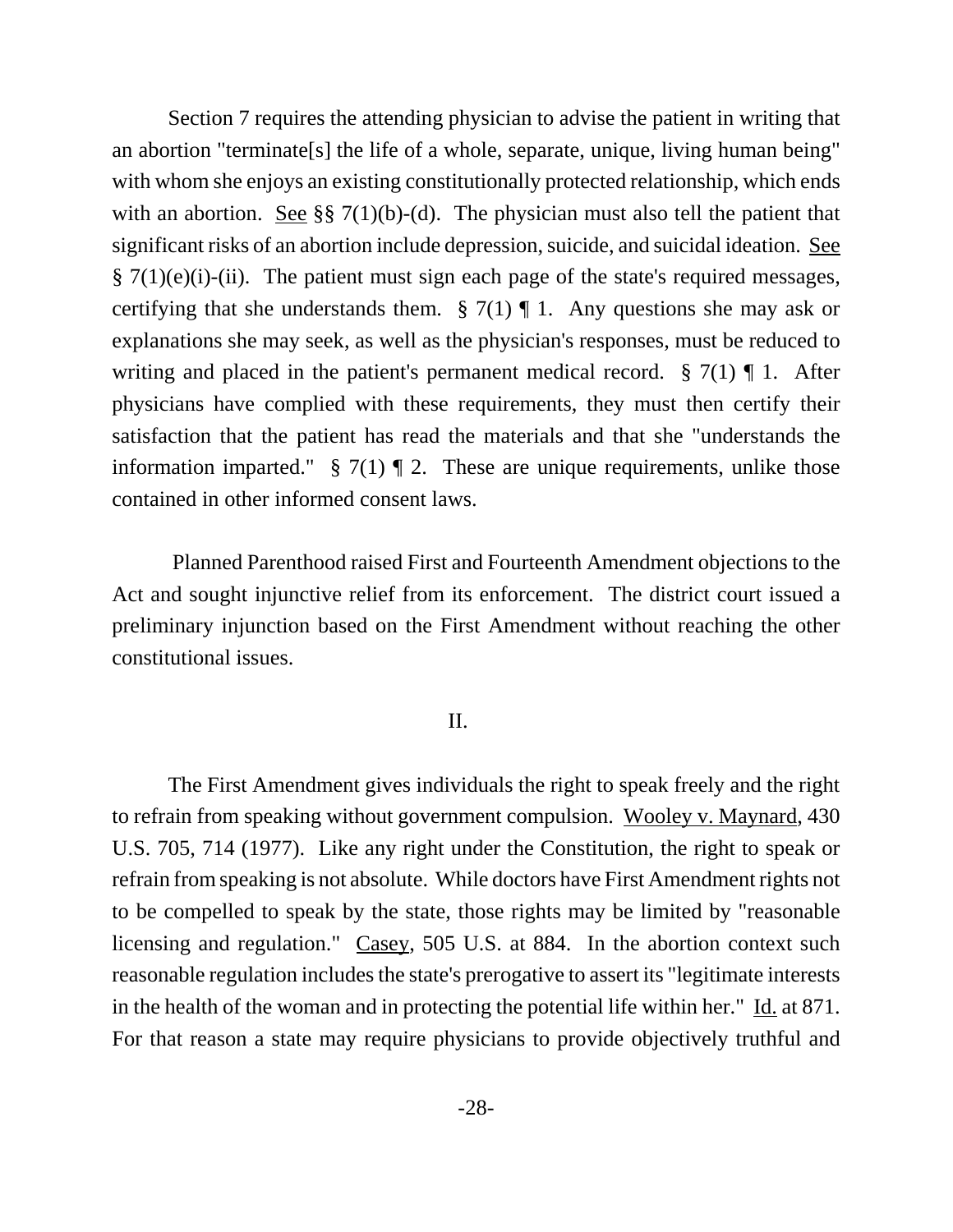Section 7 requires the attending physician to advise the patient in writing that an abortion "terminate[s] the life of a whole, separate, unique, living human being" with whom she enjoys an existing constitutionally protected relationship, which ends with an abortion. See §§ 7(1)(b)-(d). The physician must also tell the patient that significant risks of an abortion include depression, suicide, and suicidal ideation. See § 7(1)(e)(i)-(ii). The patient must sign each page of the state's required messages, certifying that she understands them.  $\S 7(1) \P 1$ . Any questions she may ask or explanations she may seek, as well as the physician's responses, must be reduced to writing and placed in the patient's permanent medical record.  $\S 7(1) \P 1$ . After physicians have complied with these requirements, they must then certify their satisfaction that the patient has read the materials and that she "understands the information imparted."  $\S$  7(1)  $\P$  2. These are unique requirements, unlike those contained in other informed consent laws.

 Planned Parenthood raised First and Fourteenth Amendment objections to the Act and sought injunctive relief from its enforcement. The district court issued a preliminary injunction based on the First Amendment without reaching the other constitutional issues.

## II.

The First Amendment gives individuals the right to speak freely and the right to refrain from speaking without government compulsion. Wooley v. Maynard, 430 U.S. 705, 714 (1977). Like any right under the Constitution, the right to speak or refrain from speaking is not absolute. While doctors have First Amendment rights not to be compelled to speak by the state, those rights may be limited by "reasonable licensing and regulation." Casey, 505 U.S. at 884. In the abortion context such reasonable regulation includes the state's prerogative to assert its "legitimate interests in the health of the woman and in protecting the potential life within her."  $\underline{Id}$  at 871. For that reason a state may require physicians to provide objectively truthful and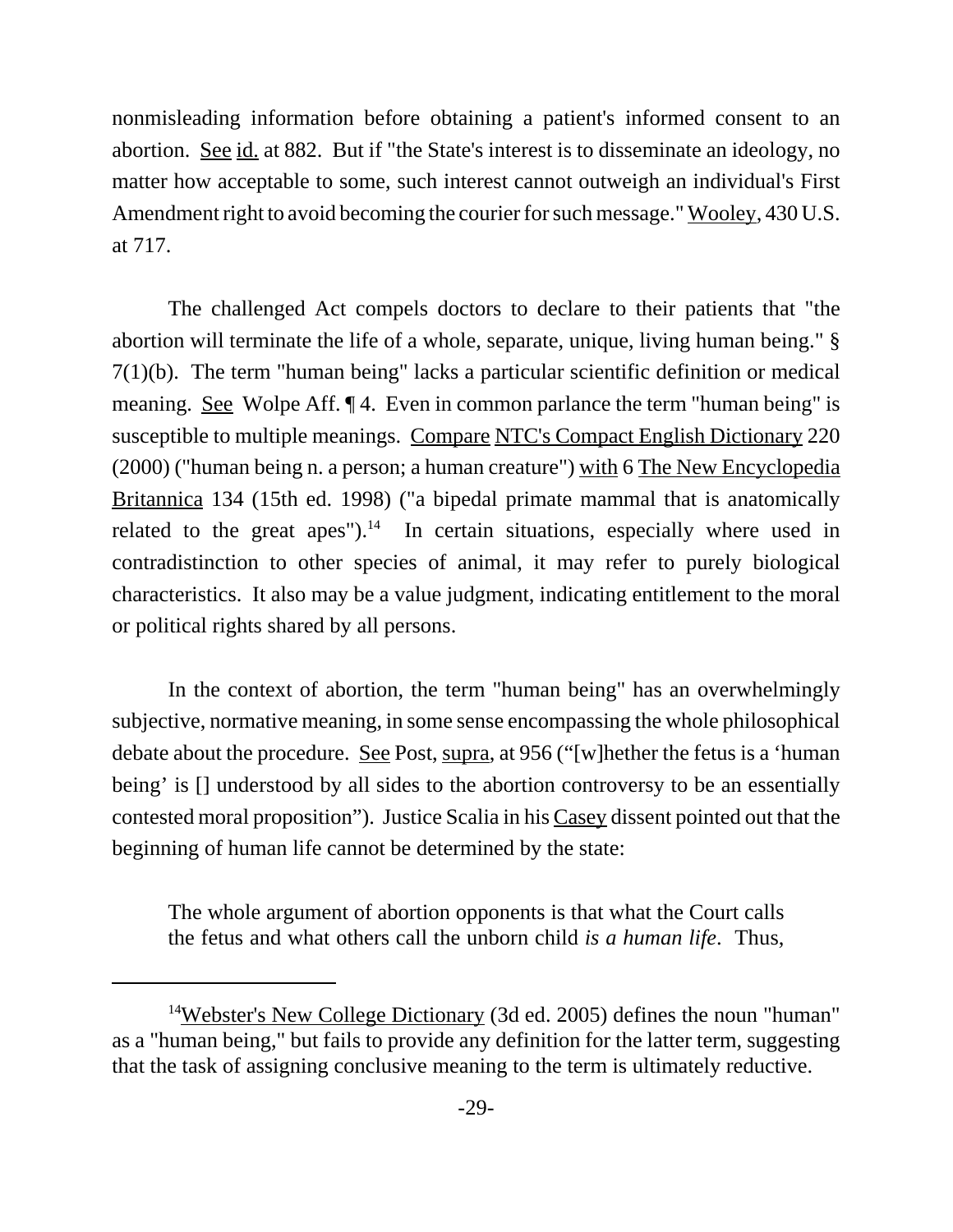nonmisleading information before obtaining a patient's informed consent to an abortion. See id. at 882. But if "the State's interest is to disseminate an ideology, no matter how acceptable to some, such interest cannot outweigh an individual's First Amendment right to avoid becoming the courier for such message." Wooley, 430 U.S. at 717.

The challenged Act compels doctors to declare to their patients that "the abortion will terminate the life of a whole, separate, unique, living human being." § 7(1)(b). The term "human being" lacks a particular scientific definition or medical meaning. See Wolpe Aff. ¶ 4. Even in common parlance the term "human being" is susceptible to multiple meanings. Compare NTC's Compact English Dictionary 220  $(2000)$  ("human being n. a person; a human creature") with 6 The New Encyclopedia Britannica 134 (15th ed. 1998) ("a bipedal primate mammal that is anatomically related to the great apes<sup>"</sup>).<sup>14</sup> In certain situations, especially where used in contradistinction to other species of animal, it may refer to purely biological characteristics. It also may be a value judgment, indicating entitlement to the moral or political rights shared by all persons.

In the context of abortion, the term "human being" has an overwhelmingly subjective, normative meaning, in some sense encompassing the whole philosophical debate about the procedure.See Post, supra, at 956 ("[w]hether the fetus is a 'human being' is  $\Box$  understood by all sides to the abortion controversy to be an essentially contested moral proposition"). Justice Scalia in his Casey dissent pointed out that the beginning of human life cannot be determined by the state:

The whole argument of abortion opponents is that what the Court calls the fetus and what others call the unborn child *is a human life*. Thus,

<sup>14</sup>Webster's New College Dictionary (3d ed. 2005) defines the noun "human" as a "human being," but fails to provide any definition for the latter term, suggesting that the task of assigning conclusive meaning to the term is ultimately reductive.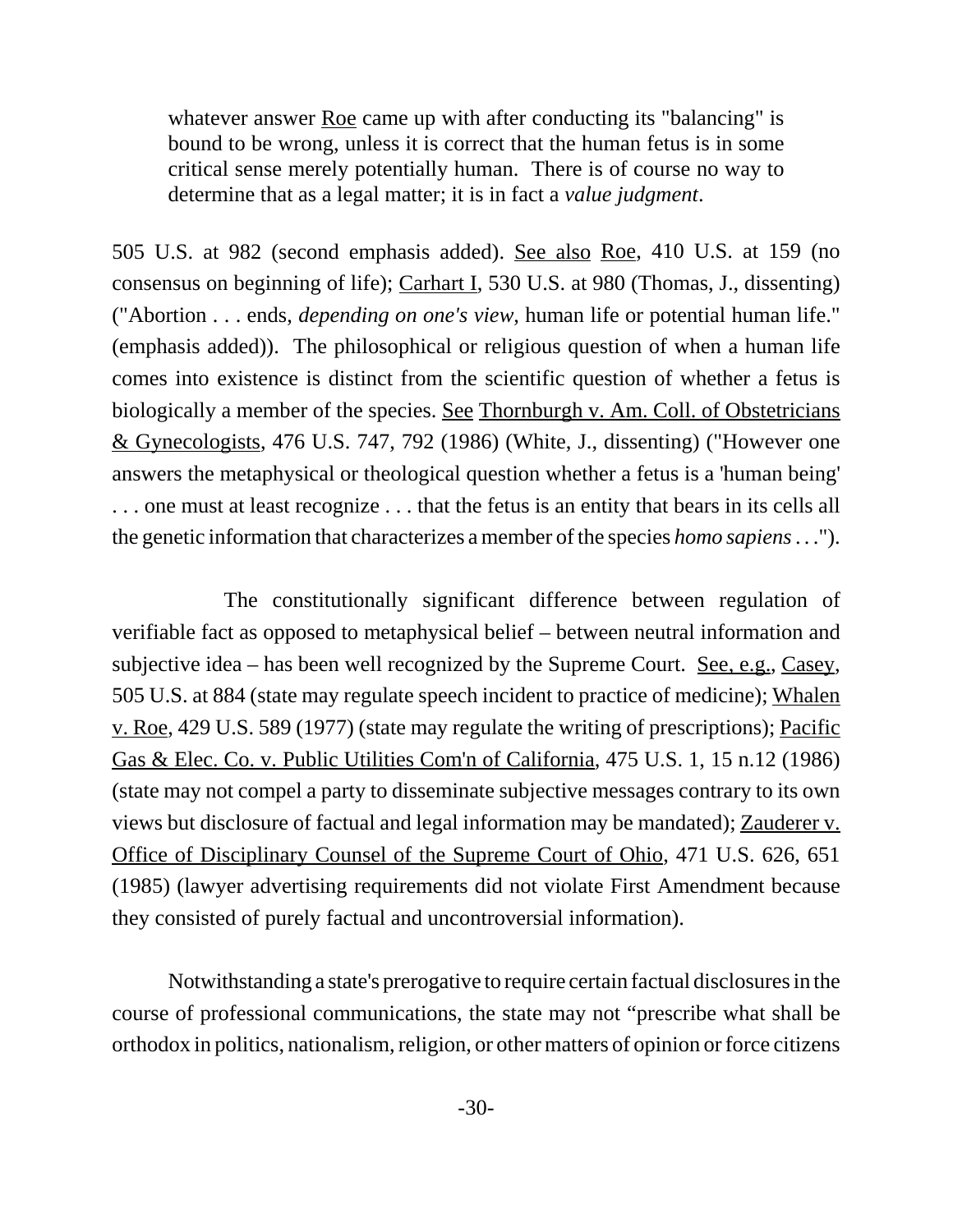whatever answer <u>Roe</u> came up with after conducting its "balancing" is bound to be wrong, unless it is correct that the human fetus is in some critical sense merely potentially human. There is of course no way to determine that as a legal matter; it is in fact a *value judgment*.

505 U.S. at 982 (second emphasis added). See also Roe, 410 U.S. at 159 (no consensus on beginning of life); Carhart I, 530 U.S. at 980 (Thomas, J., dissenting) ("Abortion . . . ends, *depending on one's view*, human life or potential human life." (emphasis added)). The philosophical or religious question of when a human life comes into existence is distinct from the scientific question of whether a fetus is biologically a member of the species. See Thornburgh v. Am. Coll. of Obstetricians & Gynecologists, 476 U.S. 747, 792 (1986) (White, J., dissenting) ("However one answers the metaphysical or theological question whether a fetus is a 'human being' . . . one must at least recognize . . . that the fetus is an entity that bears in its cells all the genetic information that characterizes a member of the species *homo sapiens* . . .").

The constitutionally significant difference between regulation of verifiable fact as opposed to metaphysical belief – between neutral information and subjective idea – has been well recognized by the Supreme Court. See, e.g., Casey, 505 U.S. at 884 (state may regulate speech incident to practice of medicine); Whalen v. Roe, 429 U.S. 589 (1977) (state may regulate the writing of prescriptions); Pacific Gas & Elec. Co. v. Public Utilities Com'n of California, 475 U.S. 1, 15 n.12 (1986) (state may not compel a party to disseminate subjective messages contrary to its own views but disclosure of factual and legal information may be mandated); Zauderer v. Office of Disciplinary Counsel of the Supreme Court of Ohio, 471 U.S. 626, 651 (1985) (lawyer advertising requirements did not violate First Amendment because they consisted of purely factual and uncontroversial information).

Notwithstanding a state's prerogative to require certain factual disclosures in the course of professional communications, the state may not "prescribe what shall be orthodox in politics, nationalism, religion, or other matters of opinion or force citizens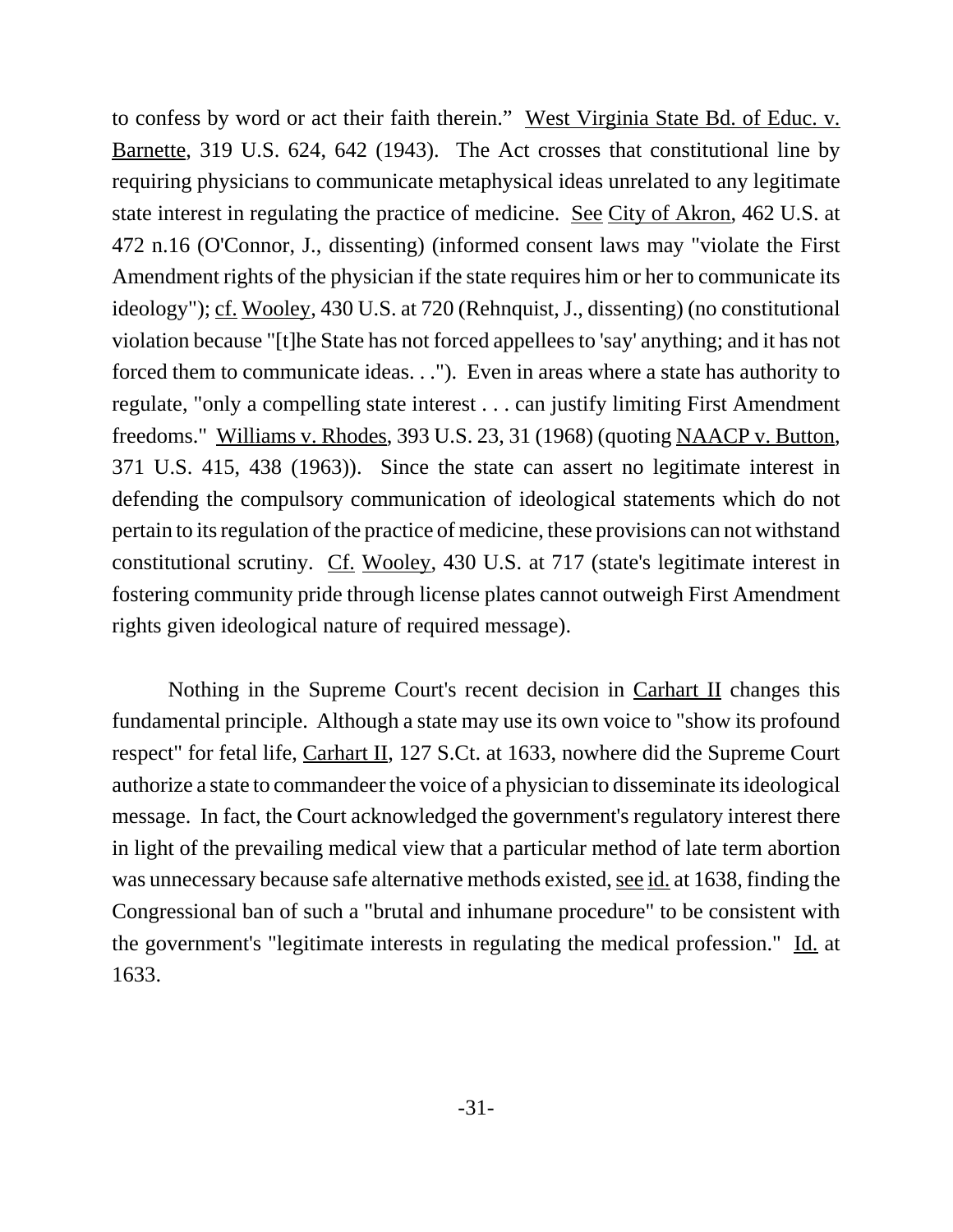to confess by word or act their faith therein." West Virginia State Bd. of Educ. v. Barnette, 319 U.S. 624, 642 (1943). The Act crosses that constitutional line by requiring physicians to communicate metaphysical ideas unrelated to any legitimate state interest in regulating the practice of medicine. See City of Akron, 462 U.S. at 472 n.16 (O'Connor, J., dissenting) (informed consent laws may "violate the First Amendment rights of the physician if the state requires him or her to communicate its ideology"); cf. Wooley, 430 U.S. at 720 (Rehnquist, J., dissenting) (no constitutional violation because "[t]he State has not forced appellees to 'say' anything; and it has not forced them to communicate ideas. . ."). Even in areas where a state has authority to regulate, "only a compelling state interest . . . can justify limiting First Amendment freedoms." Williams v. Rhodes, 393 U.S. 23, 31 (1968) (quoting NAACP v. Button, 371 U.S. 415, 438 (1963)). Since the state can assert no legitimate interest in defending the compulsory communication of ideological statements which do not pertain to its regulation of the practice of medicine, these provisions can not withstand constitutional scrutiny. Cf. Wooley, 430 U.S. at 717 (state's legitimate interest in fostering community pride through license plates cannot outweigh First Amendment rights given ideological nature of required message).

Nothing in the Supreme Court's recent decision in Carhart II changes this fundamental principle. Although a state may use its own voice to "show its profound respect" for fetal life, Carhart II, 127 S.Ct. at 1633, nowhere did the Supreme Court authorize a state to commandeer the voice of a physician to disseminate its ideological message. In fact, the Court acknowledged the government's regulatory interest there in light of the prevailing medical view that a particular method of late term abortion was unnecessary because safe alternative methods existed, see id. at 1638, finding the Congressional ban of such a "brutal and inhumane procedure" to be consistent with the government's "legitimate interests in regulating the medical profession." Id. at 1633.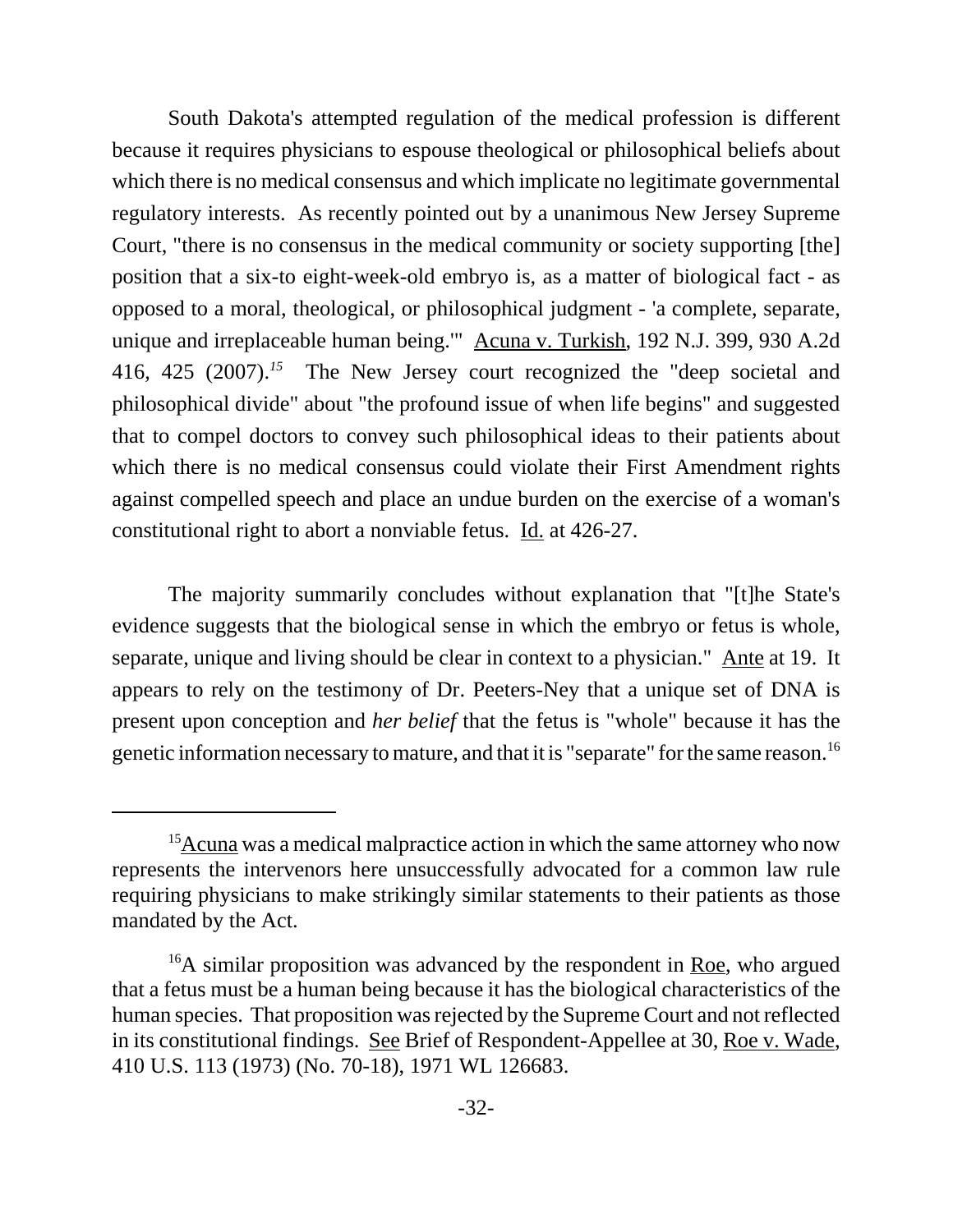South Dakota's attempted regulation of the medical profession is different because it requires physicians to espouse theological or philosophical beliefs about which there is no medical consensus and which implicate no legitimate governmental regulatory interests. As recently pointed out by a unanimous New Jersey Supreme Court, "there is no consensus in the medical community or society supporting [the] position that a six-to eight-week-old embryo is, as a matter of biological fact - as opposed to a moral, theological, or philosophical judgment - 'a complete, separate, unique and irreplaceable human being.'" Acuna v. Turkish, 192 N.J. 399, 930 A.2d 416, 425 (2007).*<sup>15</sup>* The New Jersey court recognized the "deep societal and philosophical divide" about "the profound issue of when life begins" and suggested that to compel doctors to convey such philosophical ideas to their patients about which there is no medical consensus could violate their First Amendment rights against compelled speech and place an undue burden on the exercise of a woman's constitutional right to abort a nonviable fetus. Id. at 426-27.

The majority summarily concludes without explanation that "[t]he State's evidence suggests that the biological sense in which the embryo or fetus is whole, separate, unique and living should be clear in context to a physician." Ante at 19. It appears to rely on the testimony of Dr. Peeters-Ney that a unique set of DNA is present upon conception and *her belief* that the fetus is "whole" because it has the genetic information necessary to mature, and that it is "separate" for the same reason.<sup>16</sup>

 $15$ <sup>15</sup>Acuna was a medical malpractice action in which the same attorney who now represents the intervenors here unsuccessfully advocated for a common law rule requiring physicians to make strikingly similar statements to their patients as those mandated by the Act.

 $16A$  similar proposition was advanced by the respondent in Roe, who argued that a fetus must be a human being because it has the biological characteristics of the human species. That proposition was rejected by the Supreme Court and not reflected in its constitutional findings. See Brief of Respondent-Appellee at 30, Roe v. Wade, 410 U.S. 113 (1973) (No. 70-18), 1971 WL 126683.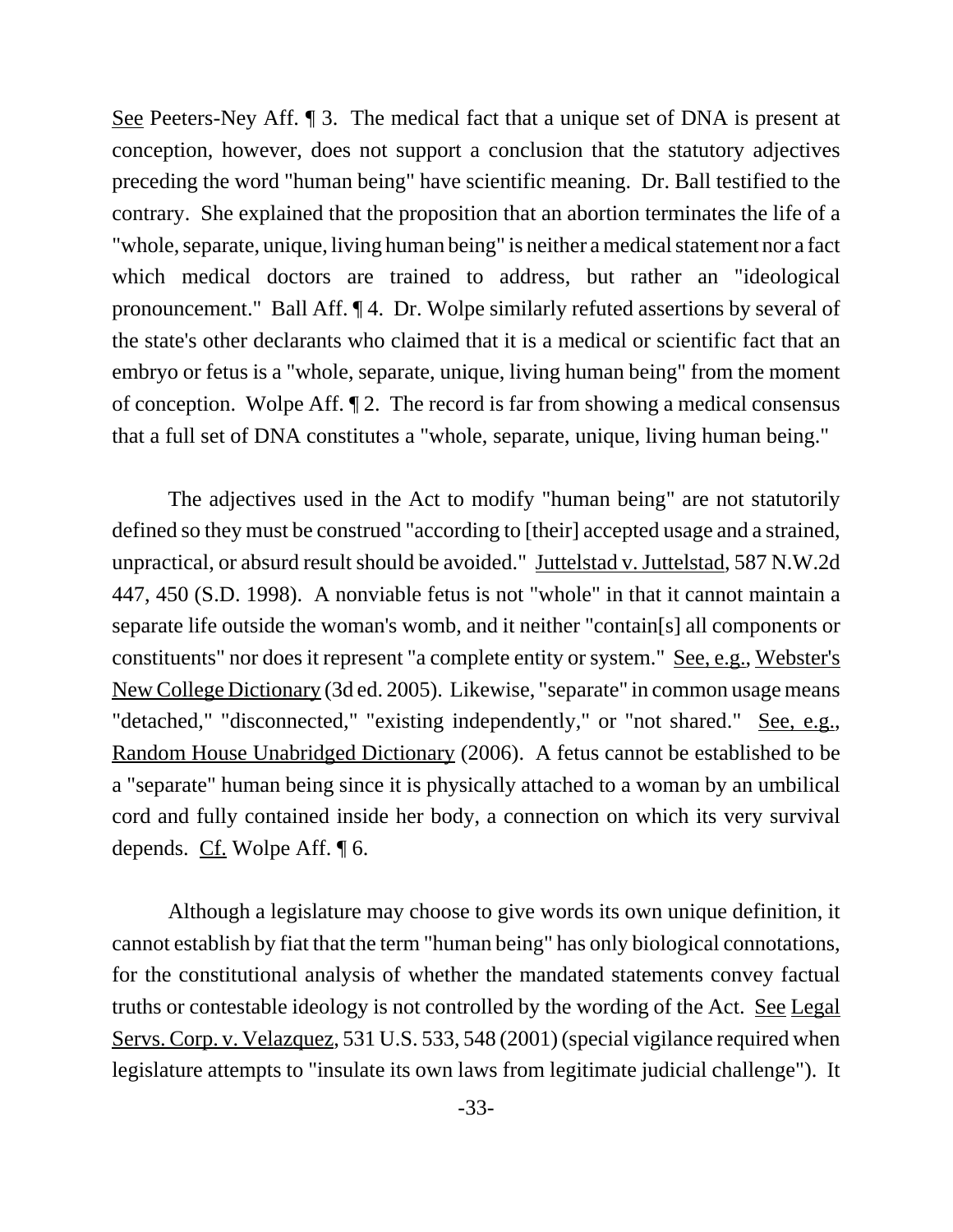See Peeters-Ney Aff. ¶ 3. The medical fact that a unique set of DNA is present at conception, however, does not support a conclusion that the statutory adjectives preceding the word "human being" have scientific meaning. Dr. Ball testified to the contrary. She explained that the proposition that an abortion terminates the life of a "whole, separate, unique, living human being" is neither a medical statement nor a fact which medical doctors are trained to address, but rather an "ideological pronouncement." Ball Aff. ¶ 4. Dr. Wolpe similarly refuted assertions by several of the state's other declarants who claimed that it is a medical or scientific fact that an embryo or fetus is a "whole, separate, unique, living human being" from the moment of conception. Wolpe Aff. ¶ 2. The record is far from showing a medical consensus that a full set of DNA constitutes a "whole, separate, unique, living human being."

The adjectives used in the Act to modify "human being" are not statutorily defined so they must be construed "according to [their] accepted usage and a strained, unpractical, or absurd result should be avoided." Juttelstad v. Juttelstad, 587 N.W.2d 447, 450 (S.D. 1998). A nonviable fetus is not "whole" in that it cannot maintain a separate life outside the woman's womb, and it neither "contain[s] all components or constituents" nor does it represent "a complete entity or system." See, e.g., Webster's New College Dictionary (3d ed. 2005). Likewise, "separate" in common usage means "detached," "disconnected," "existing independently," or "not shared." See, e.g., Random House Unabridged Dictionary (2006). A fetus cannot be established to be a "separate" human being since it is physically attached to a woman by an umbilical cord and fully contained inside her body, a connection on which its very survival depends. Cf. Wolpe Aff. ¶ 6.

Although a legislature may choose to give words its own unique definition, it cannot establish by fiat that the term "human being" has only biological connotations, for the constitutional analysis of whether the mandated statements convey factual truths or contestable ideology is not controlled by the wording of the Act. See Legal Servs. Corp. v. Velazquez, 531 U.S. 533, 548 (2001) (special vigilance required when legislature attempts to "insulate its own laws from legitimate judicial challenge"). It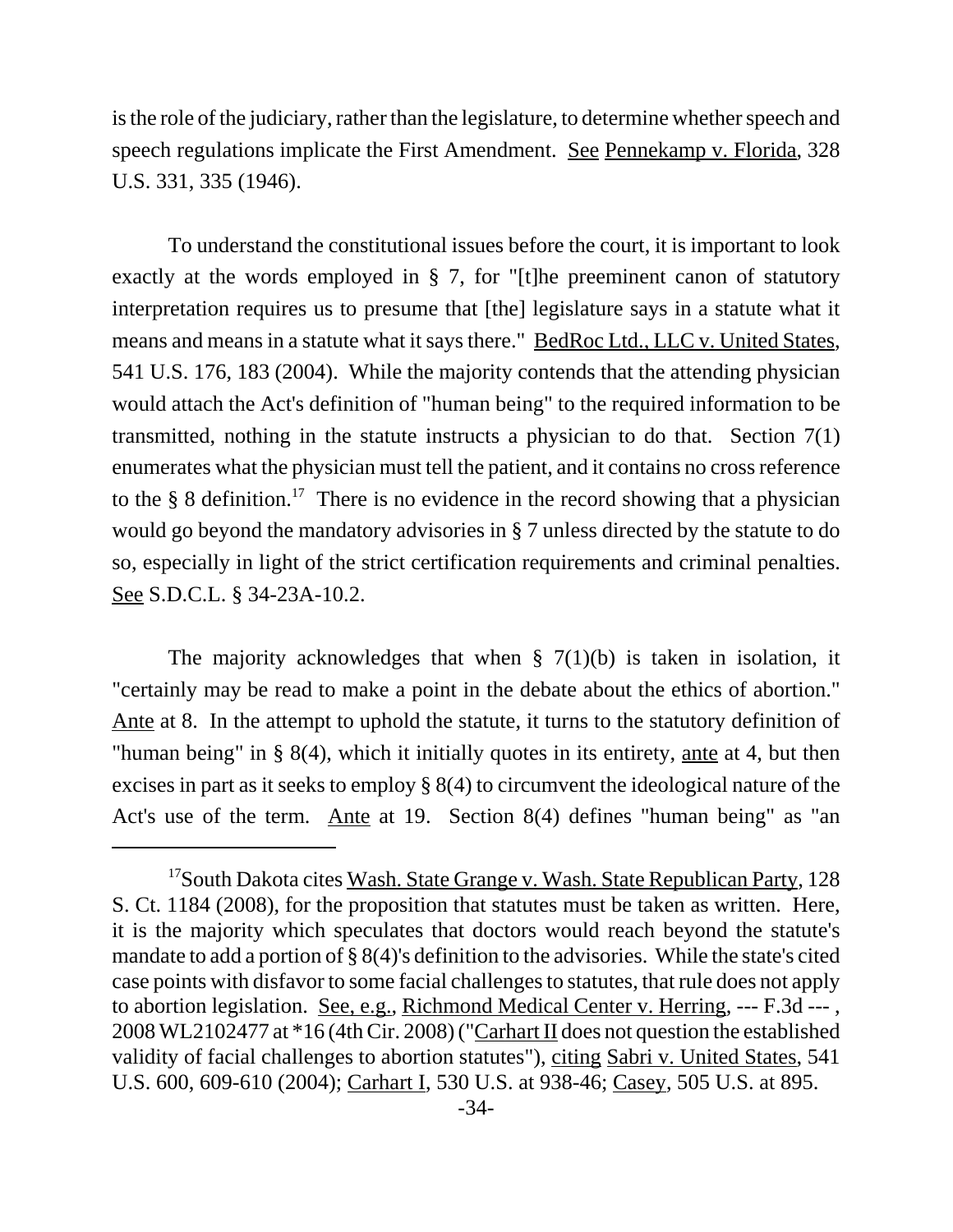is the role of the judiciary, rather than the legislature, to determine whether speech and speech regulations implicate the First Amendment. See Pennekamp v. Florida, 328 U.S. 331, 335 (1946).

To understand the constitutional issues before the court, it is important to look exactly at the words employed in § 7, for "[t]he preeminent canon of statutory interpretation requires us to presume that [the] legislature says in a statute what it means and means in a statute what it says there." BedRoc Ltd., LLC v. United States, 541 U.S. 176, 183 (2004). While the majority contends that the attending physician would attach the Act's definition of "human being" to the required information to be transmitted, nothing in the statute instructs a physician to do that. Section 7(1) enumerates what the physician must tell the patient, and it contains no cross reference to the  $\S$  8 definition.<sup>17</sup> There is no evidence in the record showing that a physician would go beyond the mandatory advisories in § 7 unless directed by the statute to do so, especially in light of the strict certification requirements and criminal penalties. See S.D.C.L. § 34-23A-10.2.

The majority acknowledges that when  $\S$  7(1)(b) is taken in isolation, it "certainly may be read to make a point in the debate about the ethics of abortion." Ante at 8. In the attempt to uphold the statute, it turns to the statutory definition of "human being" in § 8(4), which it initially quotes in its entirety, ante at 4, but then excises in part as it seeks to employ § 8(4) to circumvent the ideological nature of the Act's use of the term. Ante at 19. Section 8(4) defines "human being" as "an

<sup>&</sup>lt;sup>17</sup>South Dakota cites Wash. State Grange v. Wash. State Republican Party, 128 S. Ct. 1184 (2008), for the proposition that statutes must be taken as written. Here, it is the majority which speculates that doctors would reach beyond the statute's mandate to add a portion of § 8(4)'s definition to the advisories. While the state's cited case points with disfavor to some facial challenges to statutes, that rule does not apply to abortion legislation. See, e.g., Richmond Medical Center v. Herring, --- F.3d --- , 2008 WL2102477 at \*16 (4th Cir. 2008) ("Carhart II does not question the established validity of facial challenges to abortion statutes"), citing Sabri v. United States, 541 U.S. 600, 609-610 (2004); Carhart I, 530 U.S. at 938-46; Casey, 505 U.S. at 895.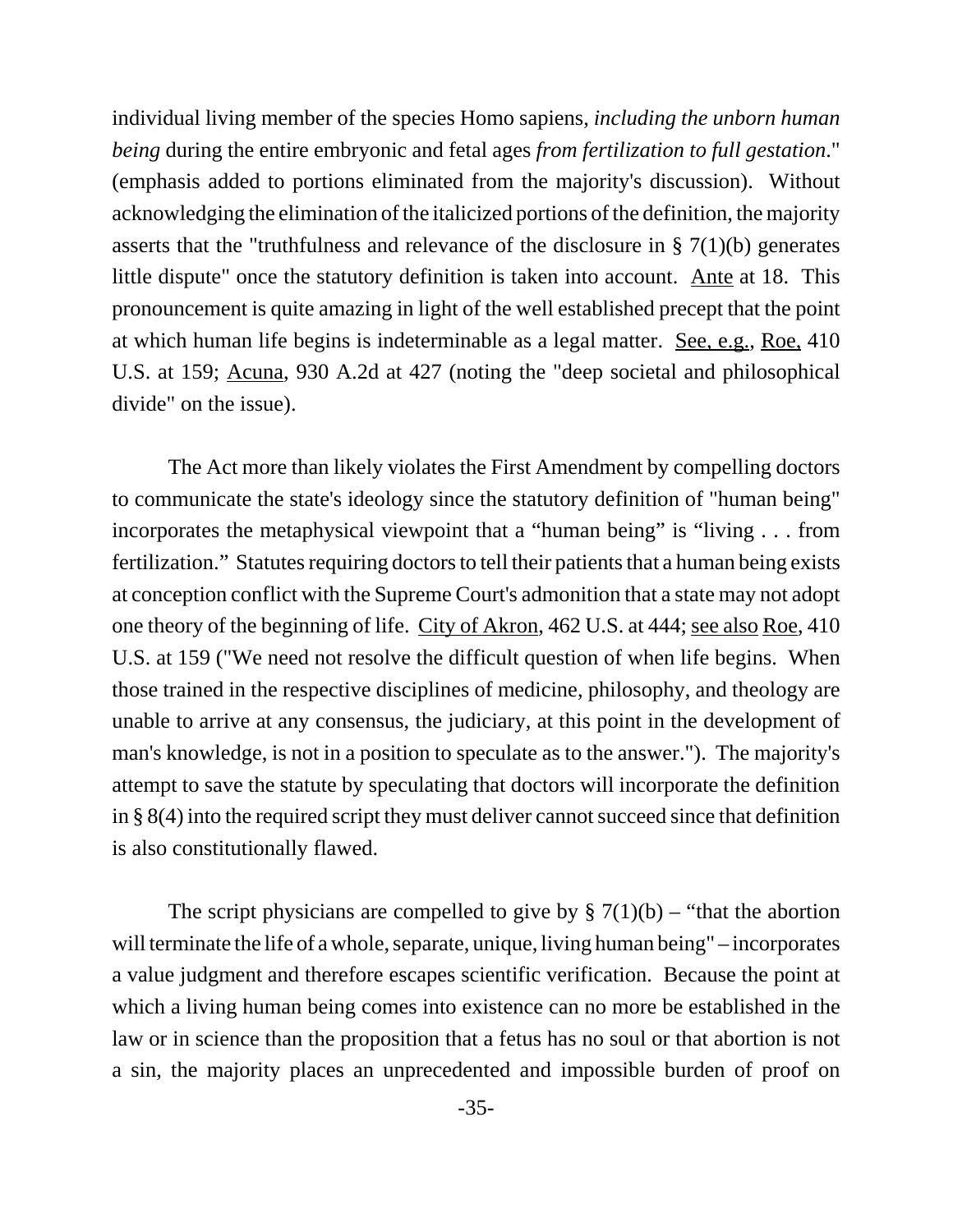individual living member of the species Homo sapiens, *including the unborn human being* during the entire embryonic and fetal ages *from fertilization to full gestation*." (emphasis added to portions eliminated from the majority's discussion). Without acknowledging the elimination of the italicized portions of the definition, the majority asserts that the "truthfulness and relevance of the disclosure in  $\S 7(1)(b)$  generates little dispute" once the statutory definition is taken into account. Ante at 18. This pronouncement is quite amazing in light of the well established precept that the point at which human life begins is indeterminable as a legal matter. See, e.g., Roe, 410 U.S. at 159; Acuna, 930 A.2d at 427 (noting the "deep societal and philosophical divide" on the issue).

The Act more than likely violates the First Amendment by compelling doctors to communicate the state's ideology since the statutory definition of "human being" incorporates the metaphysical viewpoint that a "human being" is "living . . . from fertilization." Statutes requiring doctors to tell their patients that a human being exists at conception conflict with the Supreme Court's admonition that a state may not adopt one theory of the beginning of life. City of Akron, 462 U.S. at 444; see also Roe, 410 U.S. at 159 ("We need not resolve the difficult question of when life begins. When those trained in the respective disciplines of medicine, philosophy, and theology are unable to arrive at any consensus, the judiciary, at this point in the development of man's knowledge, is not in a position to speculate as to the answer."). The majority's attempt to save the statute by speculating that doctors will incorporate the definition in § 8(4) into the required script they must deliver cannot succeed since that definition is also constitutionally flawed.

The script physicians are compelled to give by  $\S 7(1)(b)$  – "that the abortion" will terminate the life of a whole, separate, unique, living human being" – incorporates a value judgment and therefore escapes scientific verification. Because the point at which a living human being comes into existence can no more be established in the law or in science than the proposition that a fetus has no soul or that abortion is not a sin, the majority places an unprecedented and impossible burden of proof on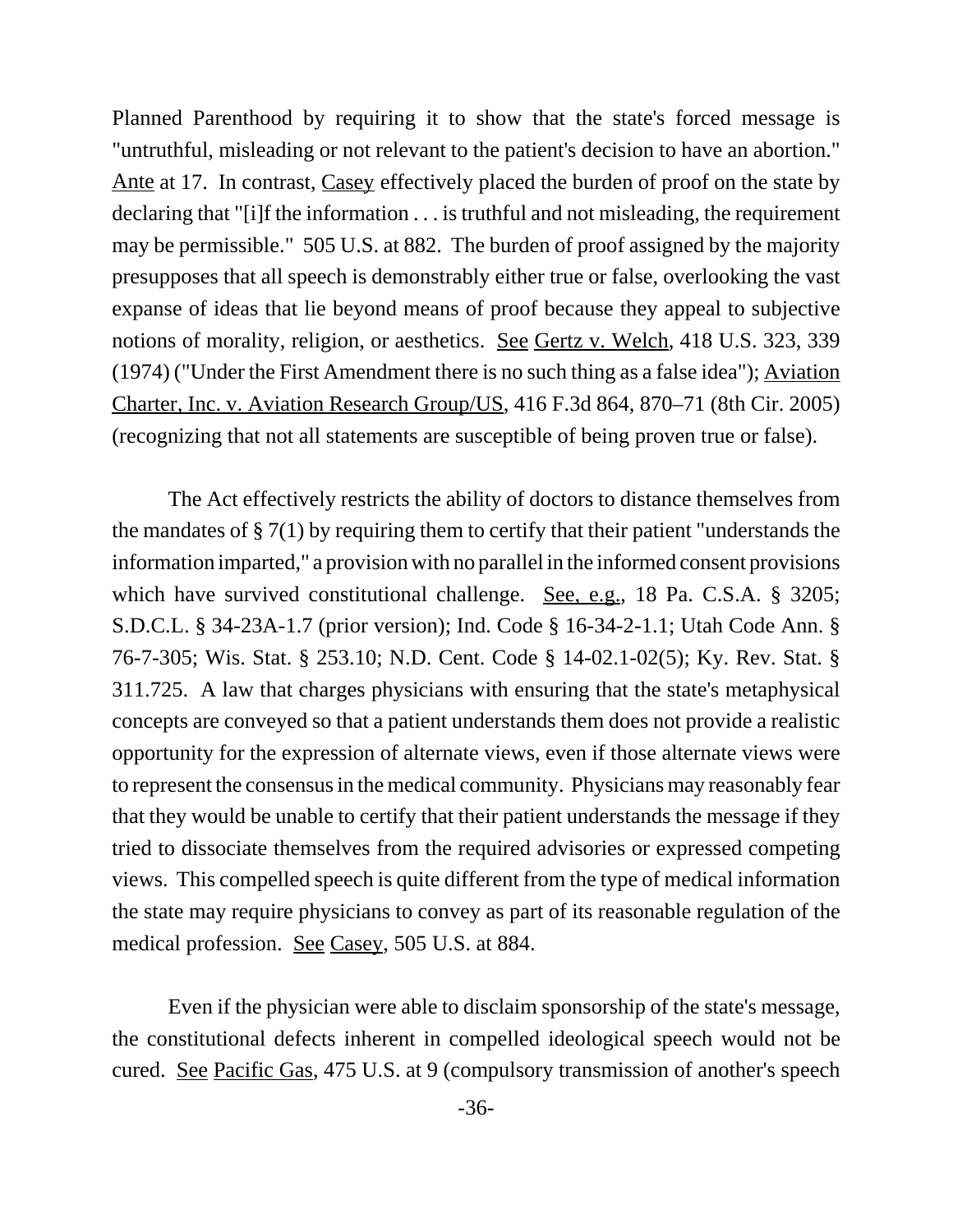Planned Parenthood by requiring it to show that the state's forced message is "untruthful, misleading or not relevant to the patient's decision to have an abortion." Ante at 17. In contrast, Casey effectively placed the burden of proof on the state by declaring that "[i]f the information . . . is truthful and not misleading, the requirement may be permissible." 505 U.S. at 882. The burden of proof assigned by the majority presupposes that all speech is demonstrably either true or false, overlooking the vast expanse of ideas that lie beyond means of proof because they appeal to subjective notions of morality, religion, or aesthetics. See Gertz v. Welch, 418 U.S. 323, 339 (1974) ("Under the First Amendment there is no such thing as a false idea"); Aviation Charter, Inc. v. Aviation Research Group/US, 416 F.3d 864, 870–71 (8th Cir. 2005) (recognizing that not all statements are susceptible of being proven true or false).

The Act effectively restricts the ability of doctors to distance themselves from the mandates of § 7(1) by requiring them to certify that their patient "understands the information imparted," a provision with no parallel in the informed consent provisions which have survived constitutional challenge. See, e.g., 18 Pa. C.S.A. § 3205; S.D.C.L. § 34-23A-1.7 (prior version); Ind. Code § 16-34-2-1.1; Utah Code Ann. § 76-7-305; Wis. Stat. § 253.10; N.D. Cent. Code § 14-02.1-02(5); Ky. Rev. Stat. § 311.725. A law that charges physicians with ensuring that the state's metaphysical concepts are conveyed so that a patient understands them does not provide a realistic opportunity for the expression of alternate views, even if those alternate views were to represent the consensus in the medical community. Physicians may reasonably fear that they would be unable to certify that their patient understands the message if they tried to dissociate themselves from the required advisories or expressed competing views. This compelled speech is quite different from the type of medical information the state may require physicians to convey as part of its reasonable regulation of the medical profession. See Casey, 505 U.S. at 884.

Even if the physician were able to disclaim sponsorship of the state's message, the constitutional defects inherent in compelled ideological speech would not be cured. See Pacific Gas, 475 U.S. at 9 (compulsory transmission of another's speech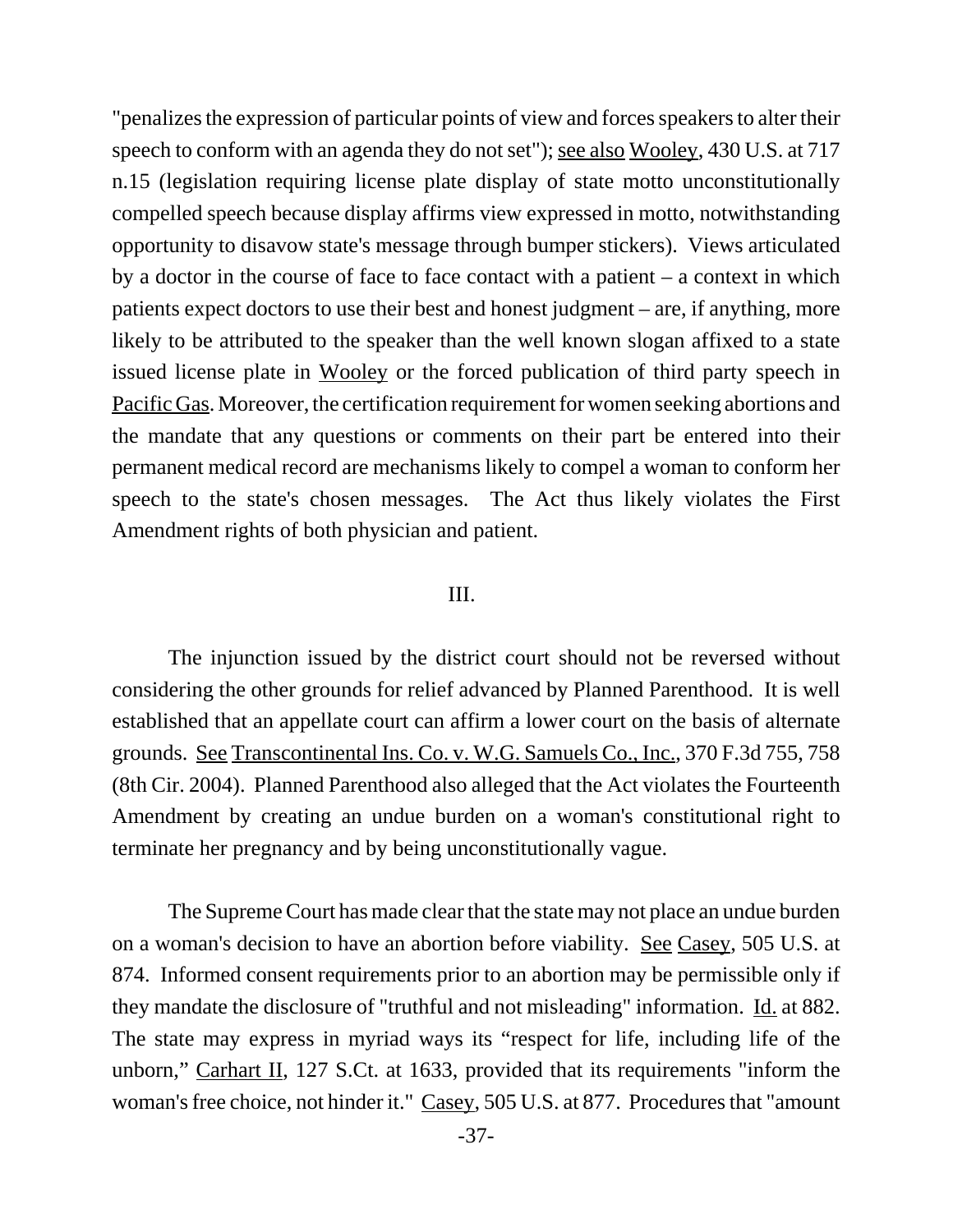"penalizes the expression of particular points of view and forces speakers to alter their speech to conform with an agenda they do not set"); see also Wooley, 430 U.S. at 717 n.15 (legislation requiring license plate display of state motto unconstitutionally compelled speech because display affirms view expressed in motto, notwithstanding opportunity to disavow state's message through bumper stickers). Views articulated by a doctor in the course of face to face contact with a patient – a context in which patients expect doctors to use their best and honest judgment – are, if anything, more likely to be attributed to the speaker than the well known slogan affixed to a state issued license plate in Wooley or the forced publication of third party speech in Pacific Gas. Moreover, the certification requirement for women seeking abortions and the mandate that any questions or comments on their part be entered into their permanent medical record are mechanisms likely to compel a woman to conform her speech to the state's chosen messages. The Act thus likely violates the First Amendment rights of both physician and patient.

#### III.

The injunction issued by the district court should not be reversed without considering the other grounds for relief advanced by Planned Parenthood. It is well established that an appellate court can affirm a lower court on the basis of alternate grounds. See Transcontinental Ins. Co. v. W.G. Samuels Co., Inc., 370 F.3d 755, 758 (8th Cir. 2004). Planned Parenthood also alleged that the Act violates the Fourteenth Amendment by creating an undue burden on a woman's constitutional right to terminate her pregnancy and by being unconstitutionally vague.

The Supreme Court has made clear that the state may not place an undue burden on a woman's decision to have an abortion before viability. See Casey, 505 U.S. at 874. Informed consent requirements prior to an abortion may be permissible only if they mandate the disclosure of "truthful and not misleading" information. Id. at 882. The state may express in myriad ways its "respect for life, including life of the unborn," Carhart II, 127 S.Ct. at 1633, provided that its requirements "inform the woman's free choice, not hinder it." Casey, 505 U.S. at 877. Procedures that "amount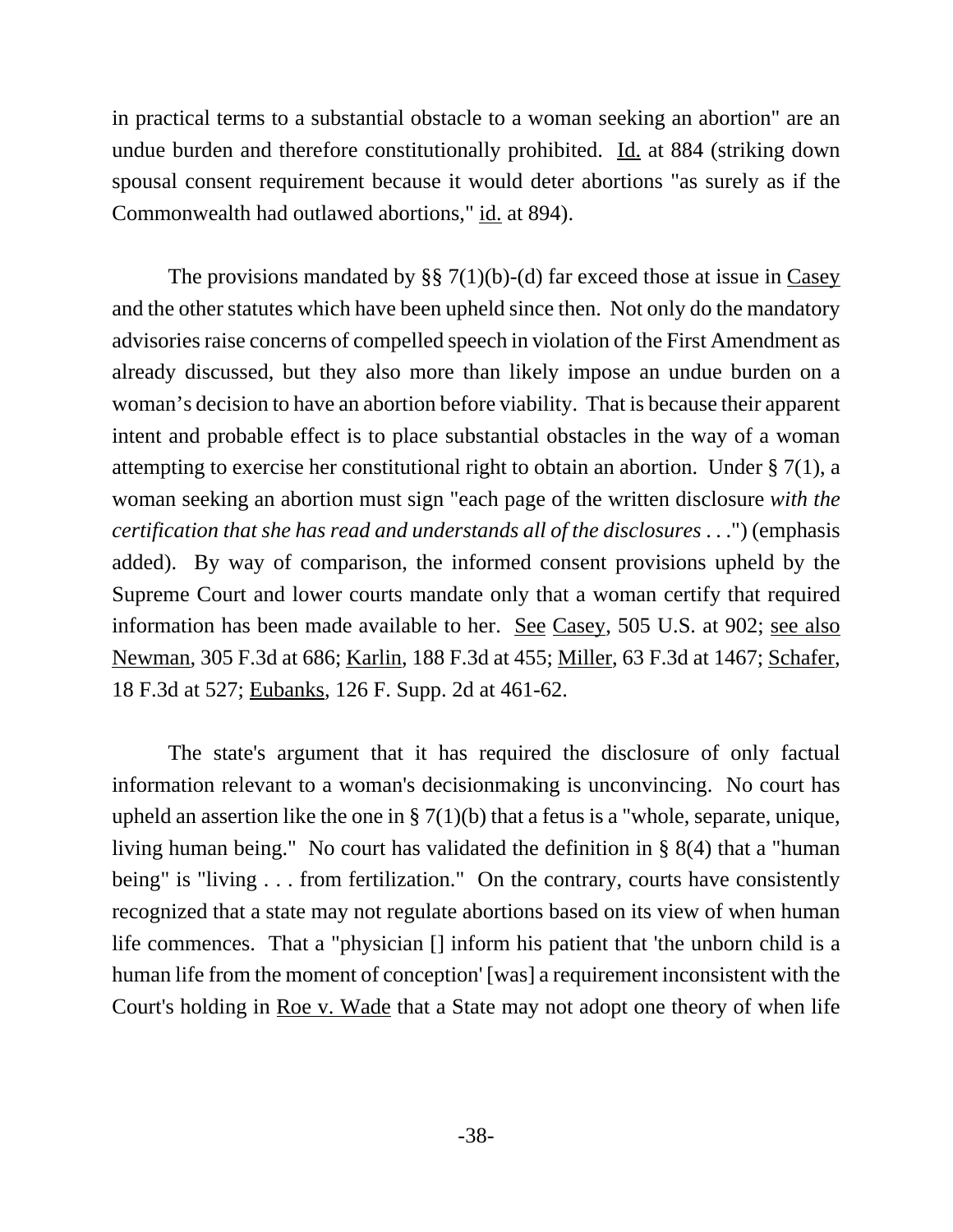in practical terms to a substantial obstacle to a woman seeking an abortion" are an undue burden and therefore constitutionally prohibited. Id. at 884 (striking down spousal consent requirement because it would deter abortions "as surely as if the Commonwealth had outlawed abortions," id. at 894).

The provisions mandated by §§ 7(1)(b)-(d) far exceed those at issue in Casey and the other statutes which have been upheld since then. Not only do the mandatory advisories raise concerns of compelled speech in violation of the First Amendment as already discussed, but they also more than likely impose an undue burden on a woman's decision to have an abortion before viability. That is because their apparent intent and probable effect is to place substantial obstacles in the way of a woman attempting to exercise her constitutional right to obtain an abortion. Under § 7(1), a woman seeking an abortion must sign "each page of the written disclosure *with the certification that she has read and understands all of the disclosures* . . .") (emphasis added). By way of comparison, the informed consent provisions upheld by the Supreme Court and lower courts mandate only that a woman certify that required information has been made available to her. See Casey, 505 U.S. at 902; see also Newman, 305 F.3d at 686; Karlin, 188 F.3d at 455; Miller, 63 F.3d at 1467; Schafer, 18 F.3d at 527; Eubanks, 126 F. Supp. 2d at 461-62.

The state's argument that it has required the disclosure of only factual information relevant to a woman's decisionmaking is unconvincing. No court has upheld an assertion like the one in  $\S 7(1)(b)$  that a fetus is a "whole, separate, unique, living human being." No court has validated the definition in § 8(4) that a "human being" is "living . . . from fertilization." On the contrary, courts have consistently recognized that a state may not regulate abortions based on its view of when human life commences. That a "physician [] inform his patient that 'the unborn child is a human life from the moment of conception' [was] a requirement inconsistent with the Court's holding in Roe v. Wade that a State may not adopt one theory of when life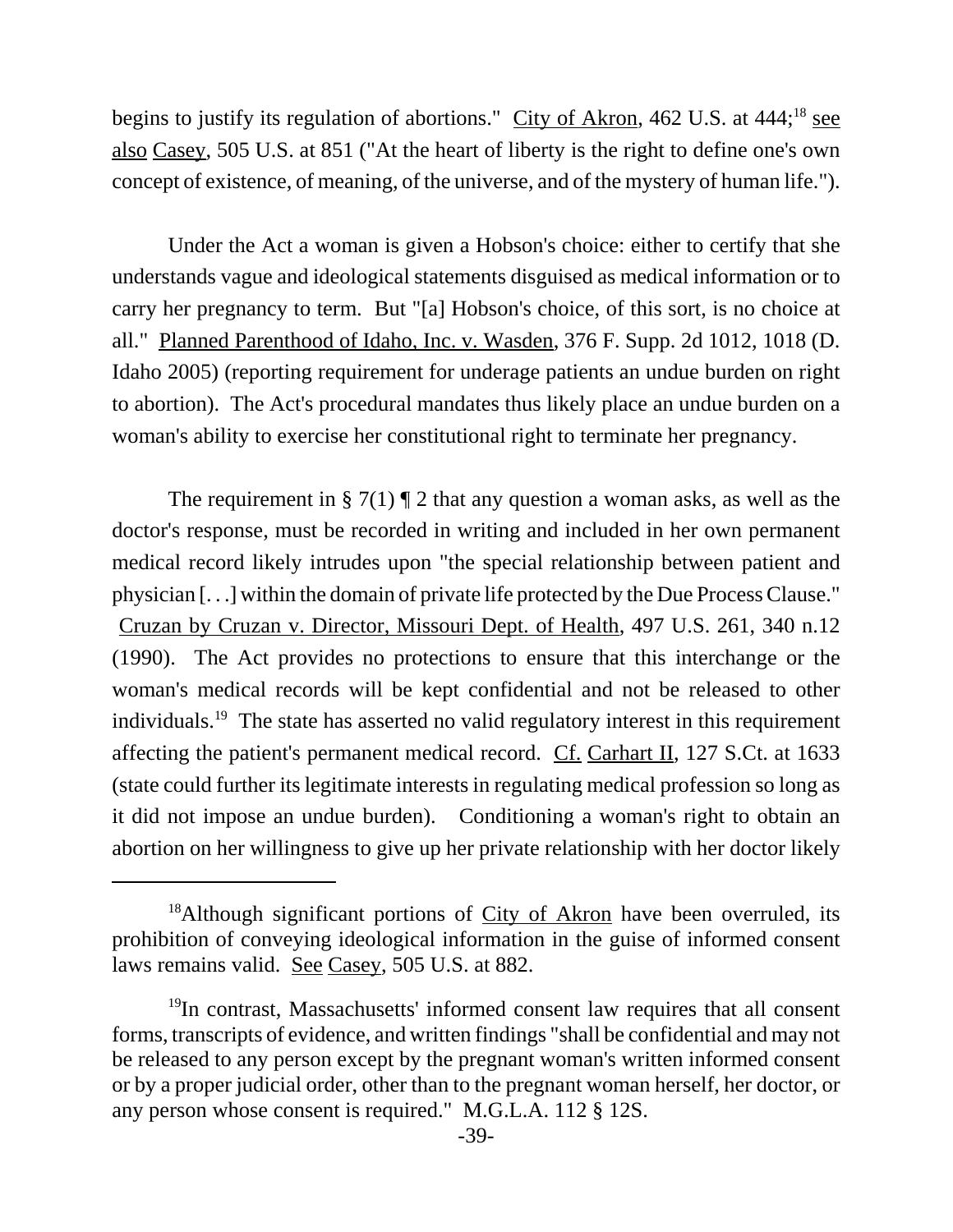begins to justify its regulation of abortions." City of Akron, 462 U.S. at 444;<sup>18</sup> see also Casey, 505 U.S. at 851 ("At the heart of liberty is the right to define one's own concept of existence, of meaning, of the universe, and of the mystery of human life.").

Under the Act a woman is given a Hobson's choice: either to certify that she understands vague and ideological statements disguised as medical information or to carry her pregnancy to term. But "[a] Hobson's choice, of this sort, is no choice at all." Planned Parenthood of Idaho, Inc. v. Wasden, 376 F. Supp. 2d 1012, 1018 (D. Idaho 2005) (reporting requirement for underage patients an undue burden on right to abortion). The Act's procedural mandates thus likely place an undue burden on a woman's ability to exercise her constitutional right to terminate her pregnancy.

The requirement in § 7(1)  $\parallel$  2 that any question a woman asks, as well as the doctor's response, must be recorded in writing and included in her own permanent medical record likely intrudes upon "the special relationship between patient and physician [. . .] within the domain of private life protected by the Due Process Clause." Cruzan by Cruzan v. Director, Missouri Dept. of Health, 497 U.S. 261, 340 n.12 (1990). The Act provides no protections to ensure that this interchange or the woman's medical records will be kept confidential and not be released to other individuals.19 The state has asserted no valid regulatory interest in this requirement affecting the patient's permanent medical record. Cf. Carhart II, 127 S.Ct. at 1633 (state could further its legitimate interests in regulating medical profession so long as it did not impose an undue burden). Conditioning a woman's right to obtain an abortion on her willingness to give up her private relationship with her doctor likely

 $18$ Although significant portions of City of Akron have been overruled, its prohibition of conveying ideological information in the guise of informed consent laws remains valid. See Casey, 505 U.S. at 882.

<sup>&</sup>lt;sup>19</sup>In contrast, Massachusetts' informed consent law requires that all consent forms, transcripts of evidence, and written findings "shall be confidential and may not be released to any person except by the pregnant woman's written informed consent or by a proper judicial order, other than to the pregnant woman herself, her doctor, or any person whose consent is required." M.G.L.A. 112 § 12S.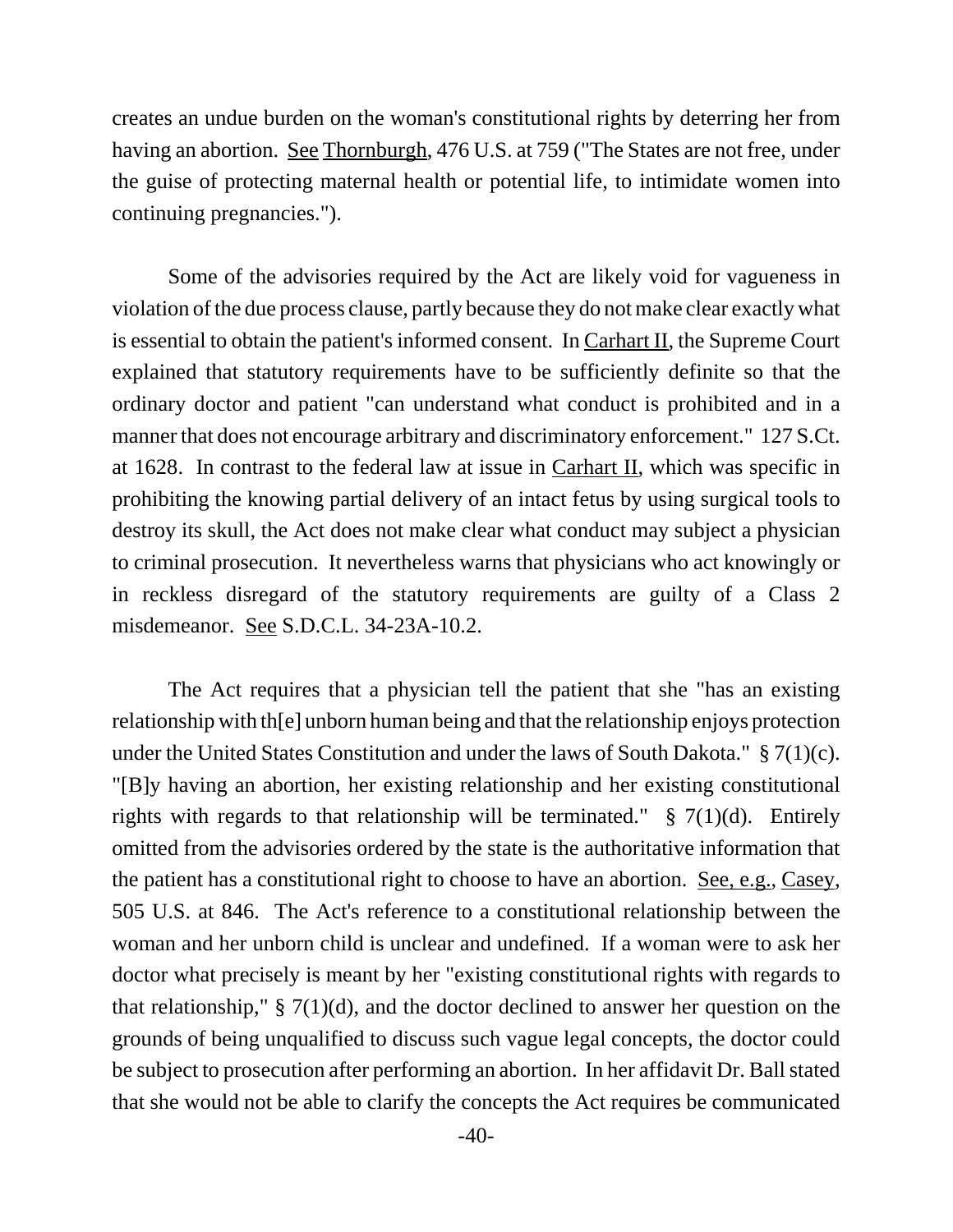creates an undue burden on the woman's constitutional rights by deterring her from having an abortion. <u>See Thornburgh</u>, 476 U.S. at 759 ("The States are not free, under the guise of protecting maternal health or potential life, to intimidate women into continuing pregnancies.").

Some of the advisories required by the Act are likely void for vagueness in violation of the due process clause, partly because they do not make clear exactly what is essential to obtain the patient's informed consent. In Carhart II, the Supreme Court explained that statutory requirements have to be sufficiently definite so that the ordinary doctor and patient "can understand what conduct is prohibited and in a manner that does not encourage arbitrary and discriminatory enforcement." 127 S.Ct. at 1628. In contrast to the federal law at issue in Carhart II, which was specific in prohibiting the knowing partial delivery of an intact fetus by using surgical tools to destroy its skull, the Act does not make clear what conduct may subject a physician to criminal prosecution. It nevertheless warns that physicians who act knowingly or in reckless disregard of the statutory requirements are guilty of a Class 2 misdemeanor. See S.D.C.L. 34-23A-10.2.

The Act requires that a physician tell the patient that she "has an existing relationship with th[e] unborn human being and that the relationship enjoys protection under the United States Constitution and under the laws of South Dakota." § 7(1)(c). "[B]y having an abortion, her existing relationship and her existing constitutional rights with regards to that relationship will be terminated."  $\S$  7(1)(d). Entirely omitted from the advisories ordered by the state is the authoritative information that the patient has a constitutional right to choose to have an abortion. See, e.g., Casey, 505 U.S. at 846. The Act's reference to a constitutional relationship between the woman and her unborn child is unclear and undefined. If a woman were to ask her doctor what precisely is meant by her "existing constitutional rights with regards to that relationship,"  $\S 7(1)(d)$ , and the doctor declined to answer her question on the grounds of being unqualified to discuss such vague legal concepts, the doctor could be subject to prosecution after performing an abortion. In her affidavit Dr. Ball stated that she would not be able to clarify the concepts the Act requires be communicated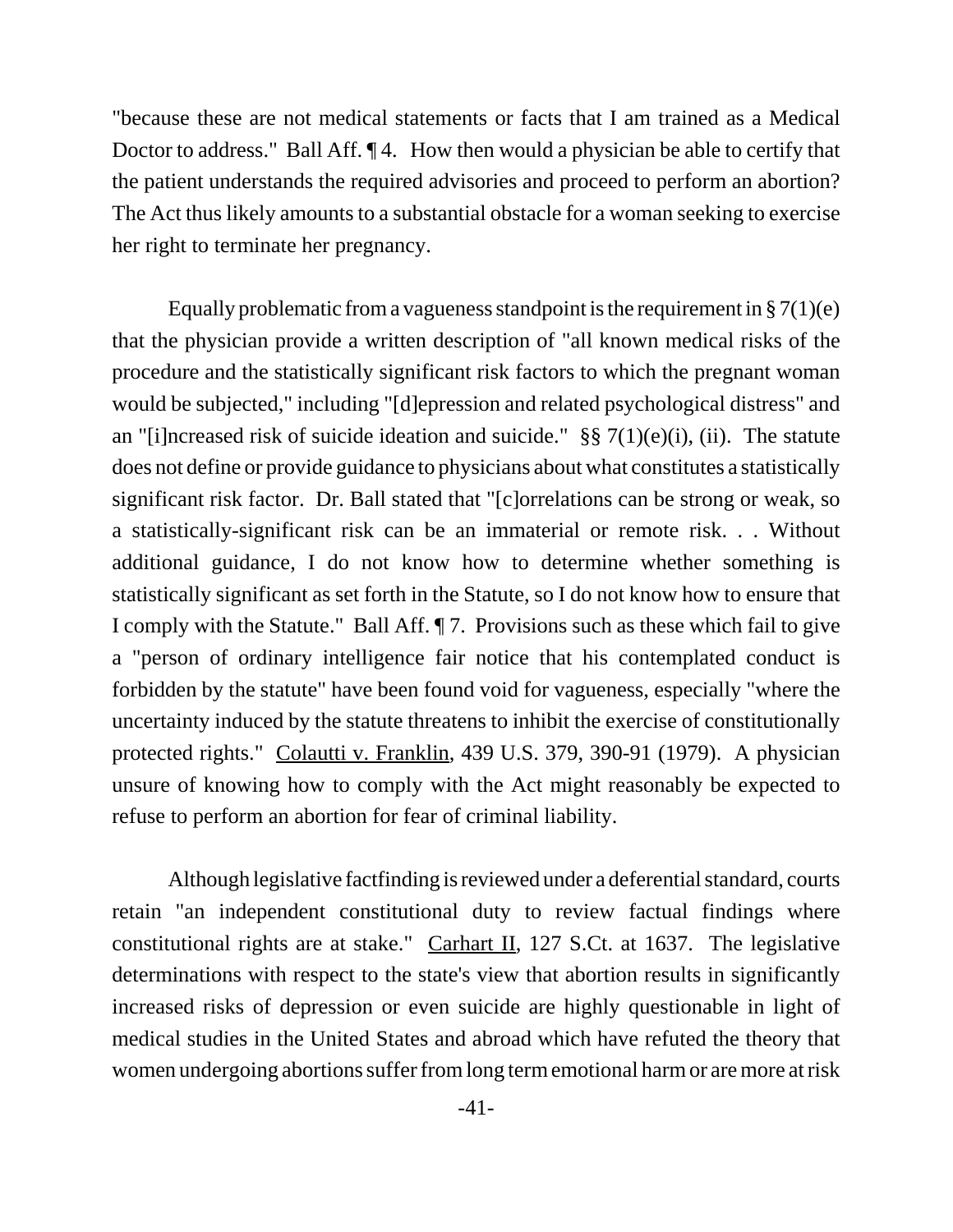"because these are not medical statements or facts that I am trained as a Medical Doctor to address." Ball Aff.  $\P$ 4. How then would a physician be able to certify that the patient understands the required advisories and proceed to perform an abortion? The Act thus likely amounts to a substantial obstacle for a woman seeking to exercise her right to terminate her pregnancy.

Equally problematic from a vagueness standpoint is the requirement in  $\S 7(1)(e)$ that the physician provide a written description of "all known medical risks of the procedure and the statistically significant risk factors to which the pregnant woman would be subjected," including "[d]epression and related psychological distress" and an "[i]ncreased risk of suicide ideation and suicide."  $\S$ § 7(1)(e)(i), (ii). The statute does not define or provide guidance to physicians about what constitutes a statistically significant risk factor. Dr. Ball stated that "[c]orrelations can be strong or weak, so a statistically-significant risk can be an immaterial or remote risk. . . Without additional guidance, I do not know how to determine whether something is statistically significant as set forth in the Statute, so I do not know how to ensure that I comply with the Statute." Ball Aff. ¶ 7. Provisions such as these which fail to give a "person of ordinary intelligence fair notice that his contemplated conduct is forbidden by the statute" have been found void for vagueness, especially "where the uncertainty induced by the statute threatens to inhibit the exercise of constitutionally protected rights." Colautti v. Franklin, 439 U.S. 379, 390-91 (1979). A physician unsure of knowing how to comply with the Act might reasonably be expected to refuse to perform an abortion for fear of criminal liability.

Although legislative factfinding is reviewed under a deferential standard, courts retain "an independent constitutional duty to review factual findings where constitutional rights are at stake." Carhart II, 127 S.Ct. at 1637. The legislative determinations with respect to the state's view that abortion results in significantly increased risks of depression or even suicide are highly questionable in light of medical studies in the United States and abroad which have refuted the theory that women undergoing abortions suffer from long term emotional harm or are more at risk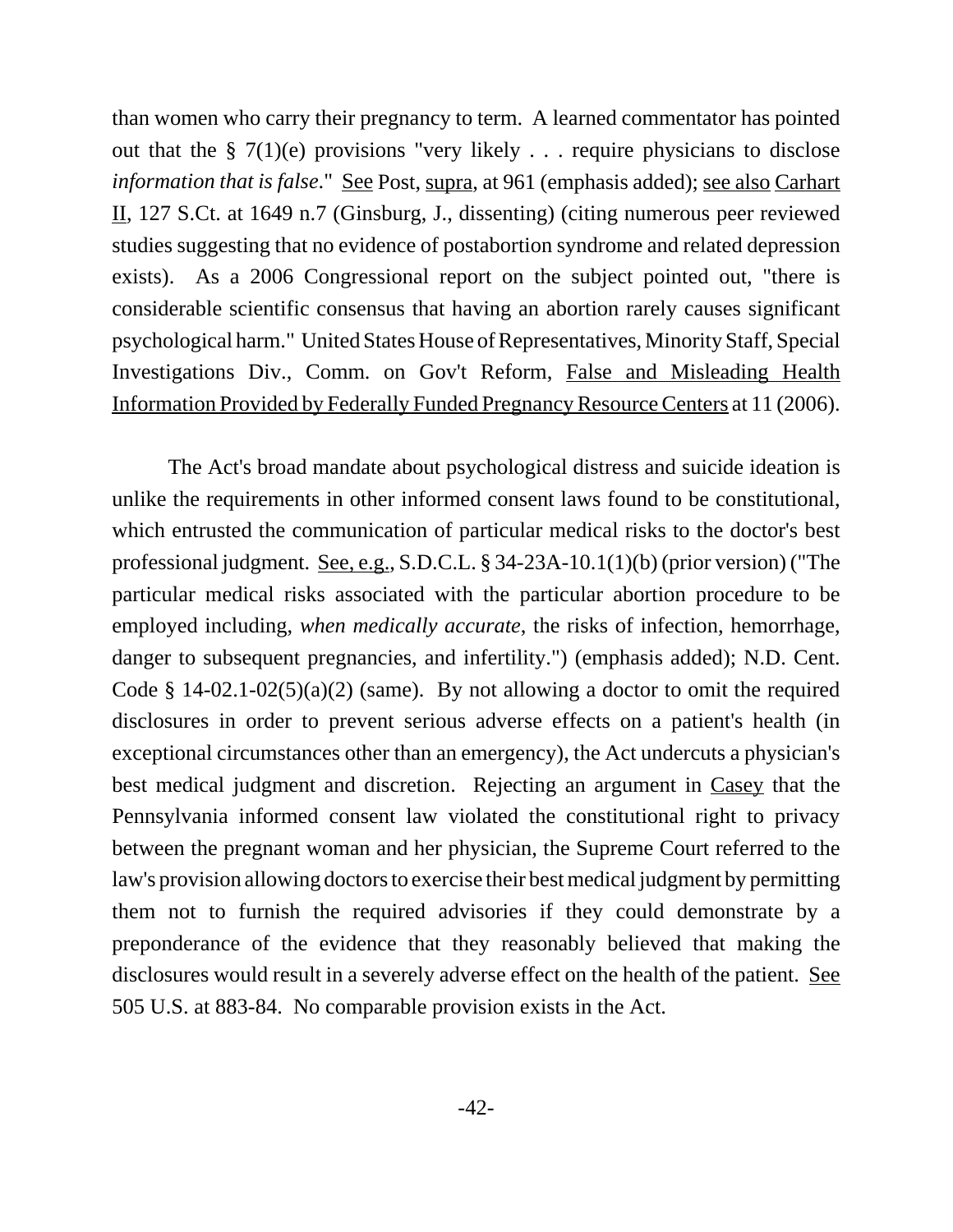than women who carry their pregnancy to term. A learned commentator has pointed out that the  $\S$  7(1)(e) provisions "very likely . . . require physicians to disclose *information that is false*." See Post, supra, at 961 (emphasis added); see also Carhart II, 127 S.Ct. at 1649 n.7 (Ginsburg, J., dissenting) (citing numerous peer reviewed studies suggesting that no evidence of postabortion syndrome and related depression exists). As a 2006 Congressional report on the subject pointed out, "there is considerable scientific consensus that having an abortion rarely causes significant psychological harm." United States House of Representatives, Minority Staff, Special Investigations Div., Comm. on Gov't Reform, False and Misleading Health Information Provided by Federally Funded Pregnancy Resource Centers at 11 (2006).

The Act's broad mandate about psychological distress and suicide ideation is unlike the requirements in other informed consent laws found to be constitutional, which entrusted the communication of particular medical risks to the doctor's best professional judgment. See, e.g., S.D.C.L. § 34-23A-10.1(1)(b) (prior version) ("The particular medical risks associated with the particular abortion procedure to be employed including, *when medically accurate*, the risks of infection, hemorrhage, danger to subsequent pregnancies, and infertility.") (emphasis added); N.D. Cent. Code  $\S$  14-02.1-02(5)(a)(2) (same). By not allowing a doctor to omit the required disclosures in order to prevent serious adverse effects on a patient's health (in exceptional circumstances other than an emergency), the Act undercuts a physician's best medical judgment and discretion. Rejecting an argument in Casey that the Pennsylvania informed consent law violated the constitutional right to privacy between the pregnant woman and her physician, the Supreme Court referred to the law's provision allowing doctors to exercise their best medical judgment by permitting them not to furnish the required advisories if they could demonstrate by a preponderance of the evidence that they reasonably believed that making the disclosures would result in a severely adverse effect on the health of the patient. See 505 U.S. at 883-84. No comparable provision exists in the Act.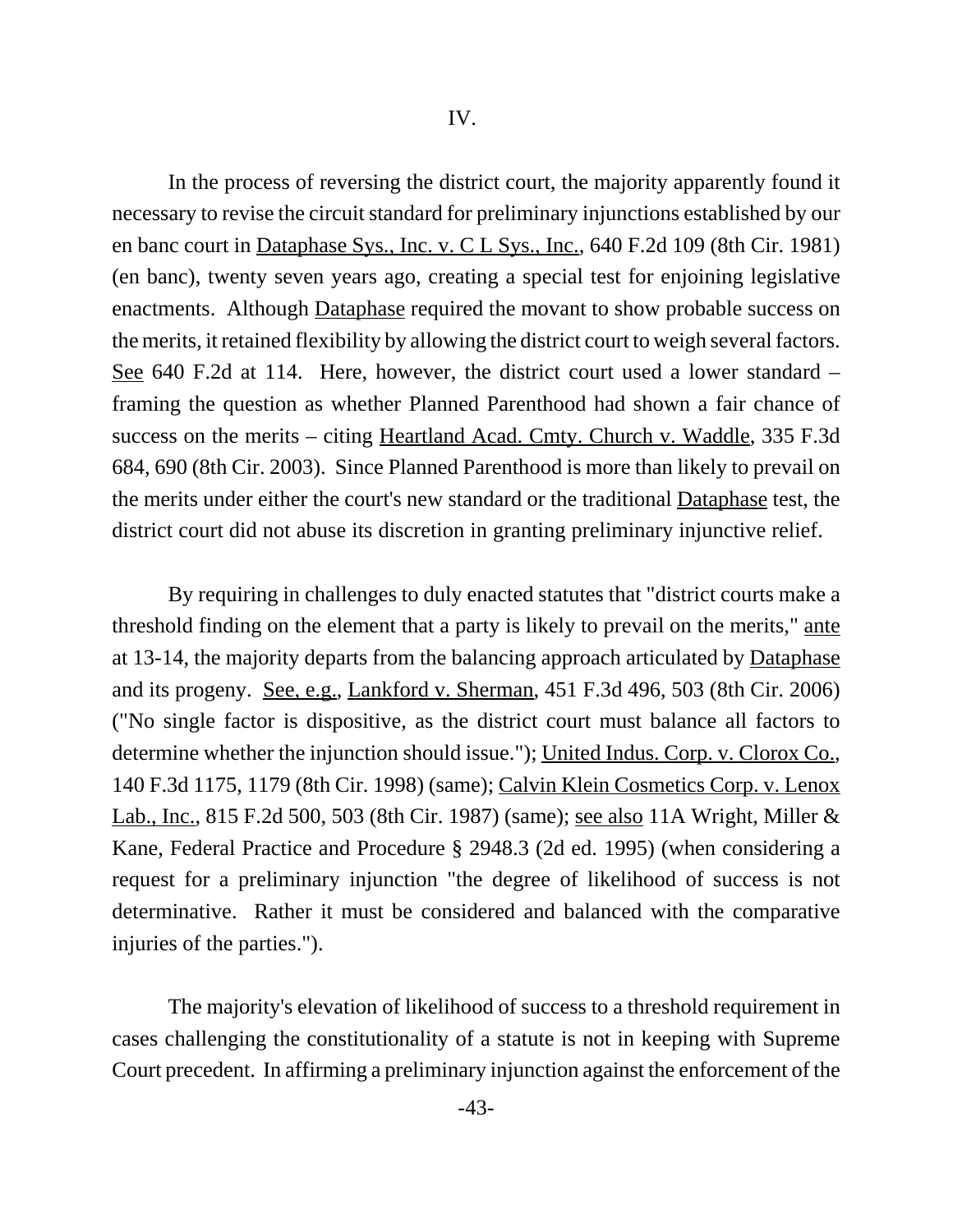In the process of reversing the district court, the majority apparently found it necessary to revise the circuit standard for preliminary injunctions established by our en banc court in Dataphase Sys., Inc. v. C L Sys., Inc., 640 F.2d 109 (8th Cir. 1981) (en banc), twenty seven years ago, creating a special test for enjoining legislative enactments. Although Dataphase required the movant to show probable success on the merits, it retained flexibility by allowing the district court to weigh several factors. See 640 F.2d at 114. Here, however, the district court used a lower standard – framing the question as whether Planned Parenthood had shown a fair chance of success on the merits – citing Heartland Acad. Cmty. Church v. Waddle, 335 F.3d 684, 690 (8th Cir. 2003). Since Planned Parenthood is more than likely to prevail on the merits under either the court's new standard or the traditional Dataphase test, the district court did not abuse its discretion in granting preliminary injunctive relief.

By requiring in challenges to duly enacted statutes that "district courts make a threshold finding on the element that a party is likely to prevail on the merits," ante at 13-14, the majority departs from the balancing approach articulated by Dataphase and its progeny. See, e.g., Lankford v. Sherman, 451 F.3d 496, 503 (8th Cir. 2006) ("No single factor is dispositive, as the district court must balance all factors to determine whether the injunction should issue."); United Indus. Corp. v. Clorox Co., 140 F.3d 1175, 1179 (8th Cir. 1998) (same); Calvin Klein Cosmetics Corp. v. Lenox Lab., Inc., 815 F.2d 500, 503 (8th Cir. 1987) (same); see also 11A Wright, Miller & Kane, Federal Practice and Procedure § 2948.3 (2d ed. 1995) (when considering a request for a preliminary injunction "the degree of likelihood of success is not determinative. Rather it must be considered and balanced with the comparative injuries of the parties.").

The majority's elevation of likelihood of success to a threshold requirement in cases challenging the constitutionality of a statute is not in keeping with Supreme Court precedent. In affirming a preliminary injunction against the enforcement of the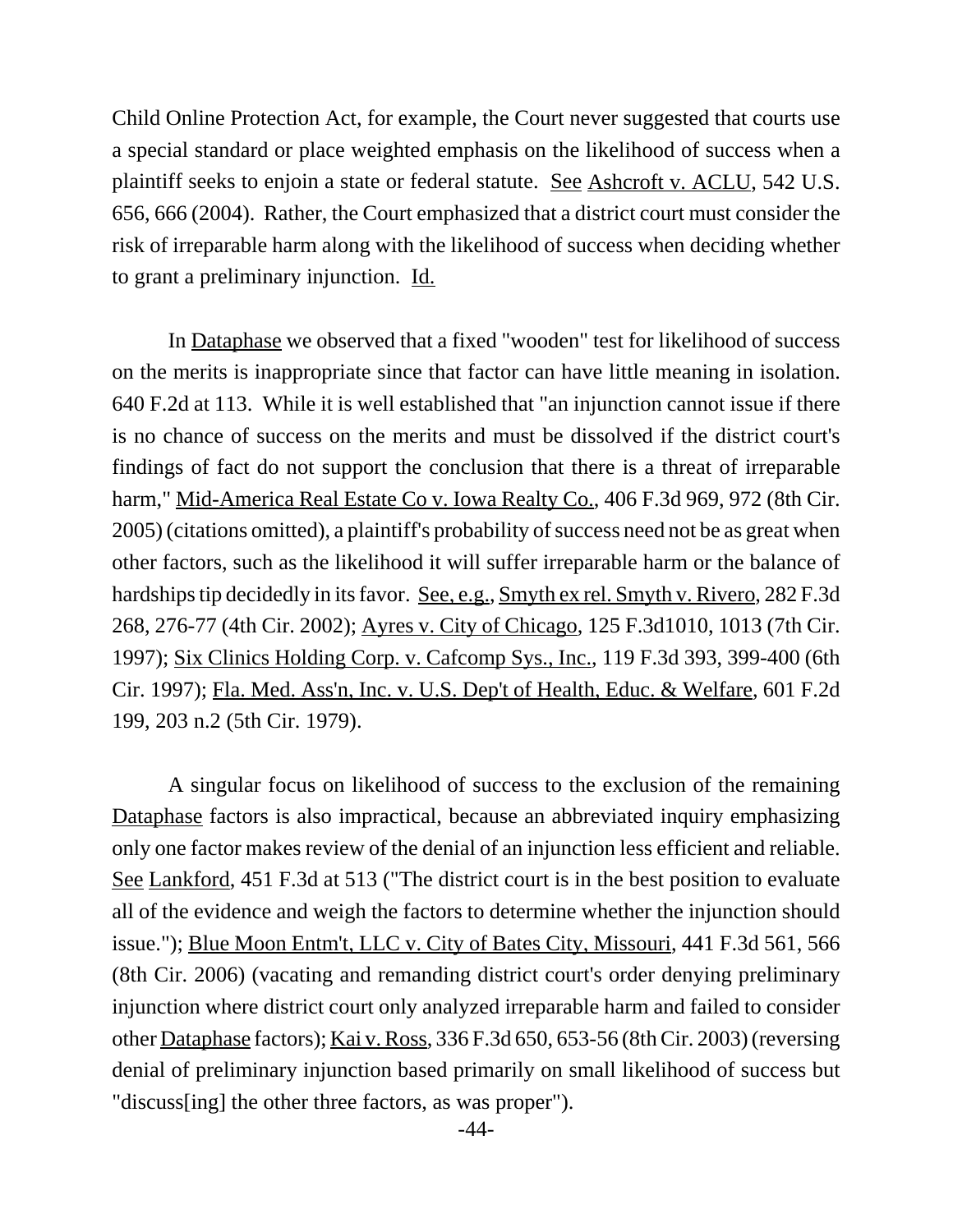Child Online Protection Act, for example, the Court never suggested that courts use a special standard or place weighted emphasis on the likelihood of success when a plaintiff seeks to enjoin a state or federal statute. See Ashcroft v. ACLU, 542 U.S. 656, 666 (2004). Rather, the Court emphasized that a district court must consider the risk of irreparable harm along with the likelihood of success when deciding whether to grant a preliminary injunction. Id.

In Dataphase we observed that a fixed "wooden" test for likelihood of success on the merits is inappropriate since that factor can have little meaning in isolation. 640 F.2d at 113. While it is well established that "an injunction cannot issue if there is no chance of success on the merits and must be dissolved if the district court's findings of fact do not support the conclusion that there is a threat of irreparable harm," Mid-America Real Estate Co v. Iowa Realty Co., 406 F.3d 969, 972 (8th Cir. 2005) (citations omitted), a plaintiff's probability of success need not be as great when other factors, such as the likelihood it will suffer irreparable harm or the balance of hardships tip decidedly in its favor. See, e.g., Smyth ex rel. Smyth v. Rivero, 282 F.3d 268, 276-77 (4th Cir. 2002); Ayres v. City of Chicago, 125 F.3d1010, 1013 (7th Cir. 1997); Six Clinics Holding Corp. v. Cafcomp Sys., Inc., 119 F.3d 393, 399-400 (6th Cir. 1997); Fla. Med. Ass'n, Inc. v. U.S. Dep't of Health, Educ. & Welfare, 601 F.2d 199, 203 n.2 (5th Cir. 1979).

A singular focus on likelihood of success to the exclusion of the remaining Dataphase factors is also impractical, because an abbreviated inquiry emphasizing only one factor makes review of the denial of an injunction less efficient and reliable. See Lankford, 451 F.3d at 513 ("The district court is in the best position to evaluate all of the evidence and weigh the factors to determine whether the injunction should issue."); Blue Moon Entm't, LLC v. City of Bates City, Missouri, 441 F.3d 561, 566 (8th Cir. 2006) (vacating and remanding district court's order denying preliminary injunction where district court only analyzed irreparable harm and failed to consider other Dataphase factors); Kai v. Ross, 336 F.3d 650, 653-56 (8th Cir. 2003) (reversing denial of preliminary injunction based primarily on small likelihood of success but "discuss[ing] the other three factors, as was proper").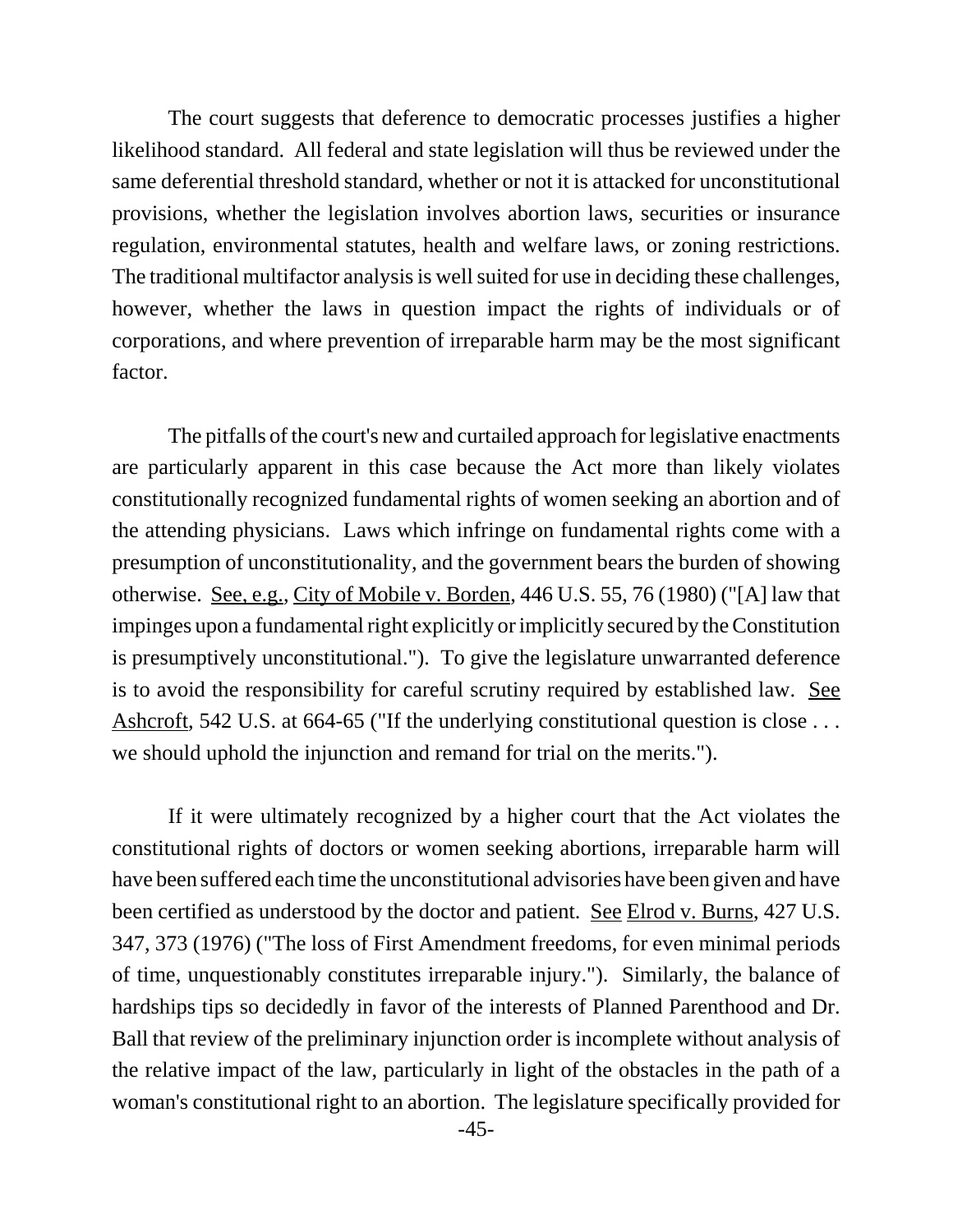The court suggests that deference to democratic processes justifies a higher likelihood standard. All federal and state legislation will thus be reviewed under the same deferential threshold standard, whether or not it is attacked for unconstitutional provisions, whether the legislation involves abortion laws, securities or insurance regulation, environmental statutes, health and welfare laws, or zoning restrictions. The traditional multifactor analysis is well suited for use in deciding these challenges, however, whether the laws in question impact the rights of individuals or of corporations, and where prevention of irreparable harm may be the most significant factor.

The pitfalls of the court's new and curtailed approach for legislative enactments are particularly apparent in this case because the Act more than likely violates constitutionally recognized fundamental rights of women seeking an abortion and of the attending physicians. Laws which infringe on fundamental rights come with a presumption of unconstitutionality, and the government bears the burden of showing otherwise. See, e.g., City of Mobile v. Borden, 446 U.S. 55, 76 (1980) ("[A] law that impinges upon a fundamental right explicitly or implicitly secured by the Constitution is presumptively unconstitutional."). To give the legislature unwarranted deference is to avoid the responsibility for careful scrutiny required by established law. See Ashcroft, 542 U.S. at 664-65 ("If the underlying constitutional question is close ... we should uphold the injunction and remand for trial on the merits.").

If it were ultimately recognized by a higher court that the Act violates the constitutional rights of doctors or women seeking abortions, irreparable harm will have been suffered each time the unconstitutional advisories have been given and have been certified as understood by the doctor and patient. <u>See Elrod v. Burns</u>, 427 U.S. 347, 373 (1976) ("The loss of First Amendment freedoms, for even minimal periods of time, unquestionably constitutes irreparable injury."). Similarly, the balance of hardships tips so decidedly in favor of the interests of Planned Parenthood and Dr. Ball that review of the preliminary injunction order is incomplete without analysis of the relative impact of the law, particularly in light of the obstacles in the path of a woman's constitutional right to an abortion. The legislature specifically provided for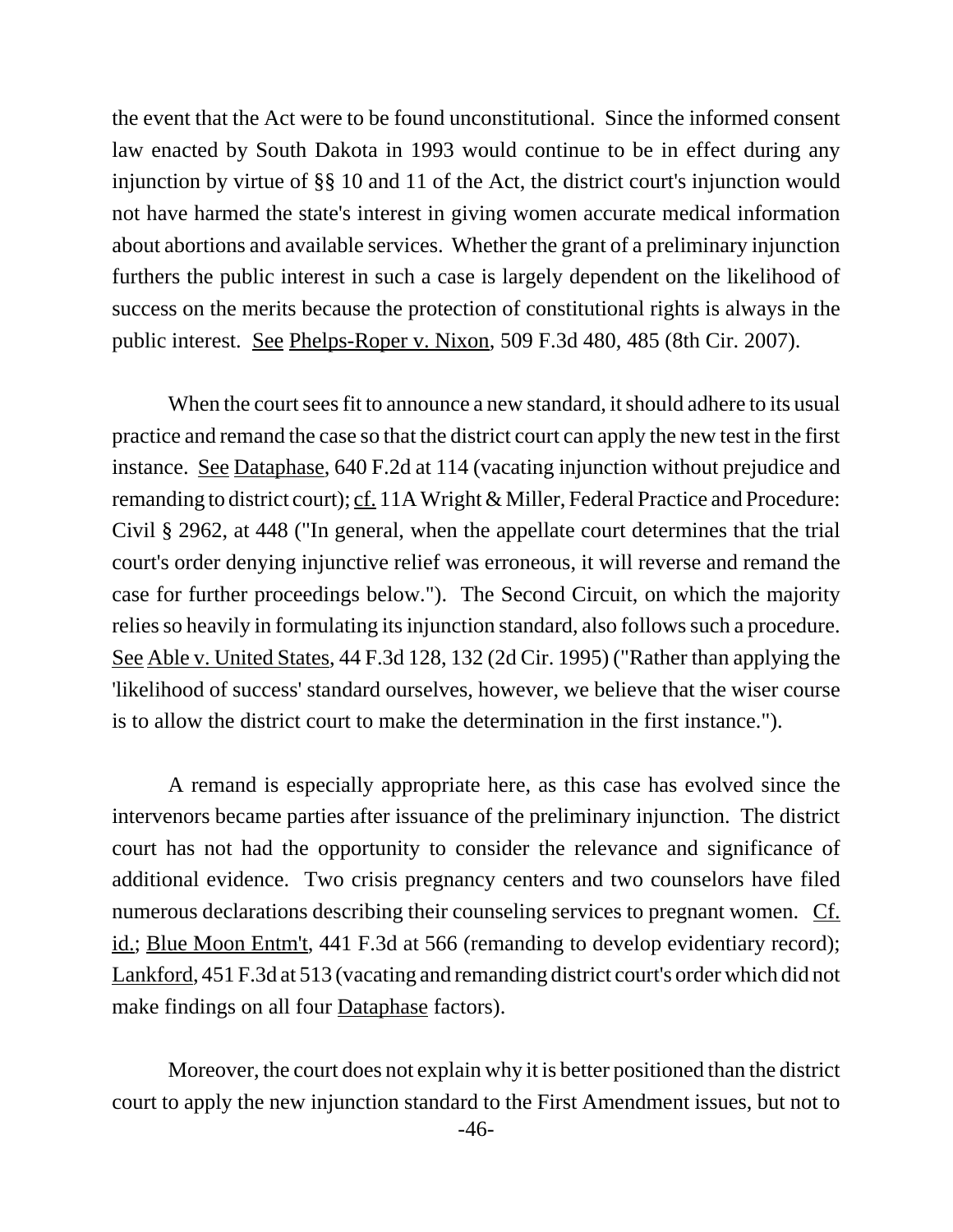the event that the Act were to be found unconstitutional. Since the informed consent law enacted by South Dakota in 1993 would continue to be in effect during any injunction by virtue of §§ 10 and 11 of the Act, the district court's injunction would not have harmed the state's interest in giving women accurate medical information about abortions and available services. Whether the grant of a preliminary injunction furthers the public interest in such a case is largely dependent on the likelihood of success on the merits because the protection of constitutional rights is always in the public interest. See Phelps-Roper v. Nixon, 509 F.3d 480, 485 (8th Cir. 2007).

When the court sees fit to announce a new standard, it should adhere to its usual practice and remand the case so that the district court can apply the new test in the first instance. See Dataphase, 640 F.2d at 114 (vacating injunction without prejudice and remanding to district court); cf. 11A Wright & Miller, Federal Practice and Procedure: Civil § 2962, at 448 ("In general, when the appellate court determines that the trial court's order denying injunctive relief was erroneous, it will reverse and remand the case for further proceedings below."). The Second Circuit, on which the majority relies so heavily in formulating its injunction standard, also follows such a procedure. See Able v. United States, 44 F.3d 128, 132 (2d Cir. 1995) ("Rather than applying the 'likelihood of success' standard ourselves, however, we believe that the wiser course is to allow the district court to make the determination in the first instance.").

A remand is especially appropriate here, as this case has evolved since the intervenors became parties after issuance of the preliminary injunction. The district court has not had the opportunity to consider the relevance and significance of additional evidence. Two crisis pregnancy centers and two counselors have filed numerous declarations describing their counseling services to pregnant women. Cf. id.; Blue Moon Entm't, 441 F.3d at 566 (remanding to develop evidentiary record); Lankford, 451 F.3d at 513 (vacating and remanding district court's order which did not make findings on all four Dataphase factors).

Moreover, the court does not explain why it is better positioned than the district court to apply the new injunction standard to the First Amendment issues, but not to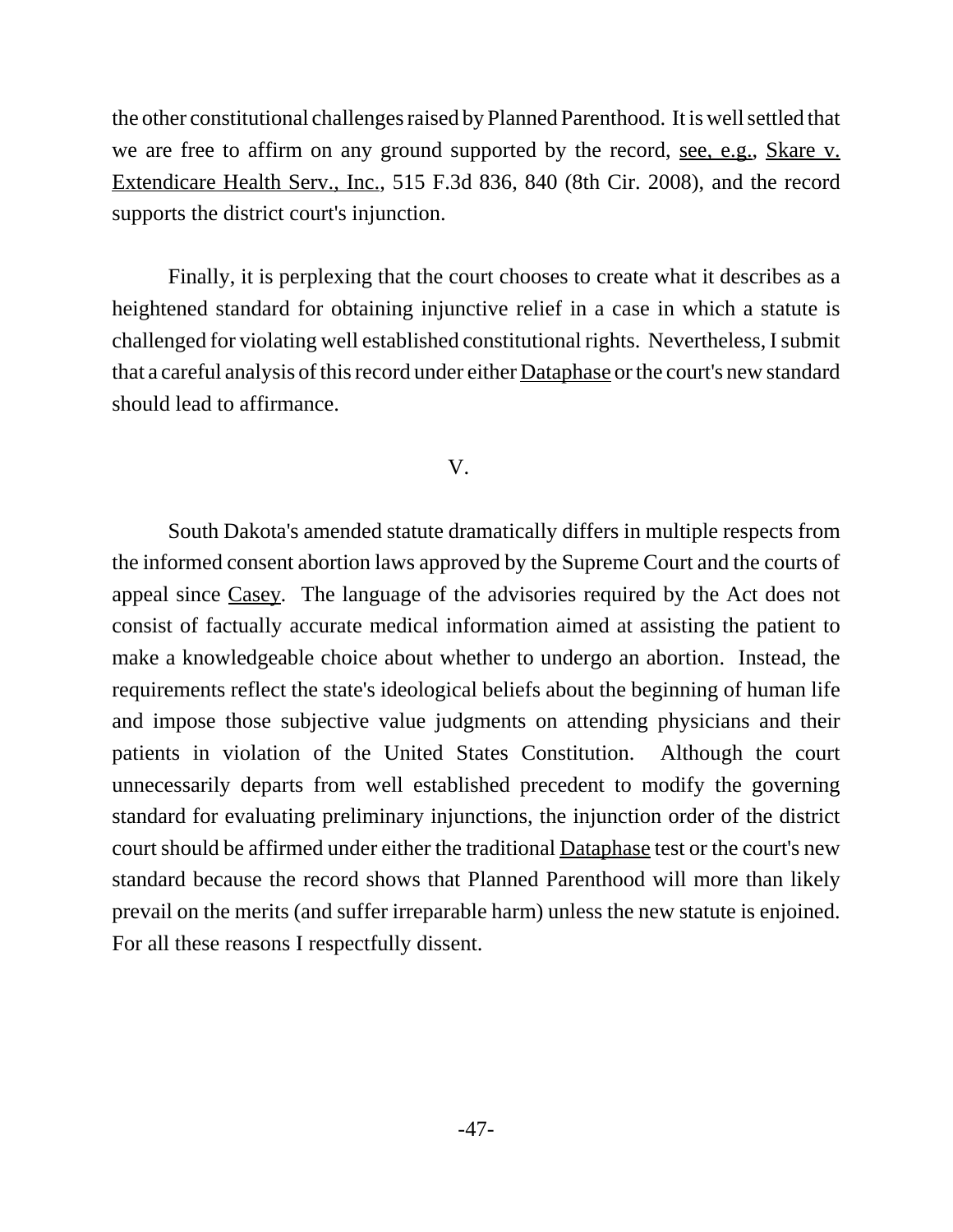the other constitutional challenges raised by Planned Parenthood. It is well settled that we are free to affirm on any ground supported by the record, <u>see, e.g.</u>, *Skare v.* Extendicare Health Serv., Inc., 515 F.3d 836, 840 (8th Cir. 2008), and the record supports the district court's injunction.

Finally, it is perplexing that the court chooses to create what it describes as a heightened standard for obtaining injunctive relief in a case in which a statute is challenged for violating well established constitutional rights. Nevertheless, I submit that a careful analysis of this record under either Dataphase or the court's new standard should lead to affirmance.

## V.

South Dakota's amended statute dramatically differs in multiple respects from the informed consent abortion laws approved by the Supreme Court and the courts of appeal since Casey*.* The language of the advisories required by the Act does not consist of factually accurate medical information aimed at assisting the patient to make a knowledgeable choice about whether to undergo an abortion. Instead, the requirements reflect the state's ideological beliefs about the beginning of human life and impose those subjective value judgments on attending physicians and their patients in violation of the United States Constitution. Although the court unnecessarily departs from well established precedent to modify the governing standard for evaluating preliminary injunctions, the injunction order of the district court should be affirmed under either the traditional Dataphase test or the court's new standard because the record shows that Planned Parenthood will more than likely prevail on the merits (and suffer irreparable harm) unless the new statute is enjoined. For all these reasons I respectfully dissent.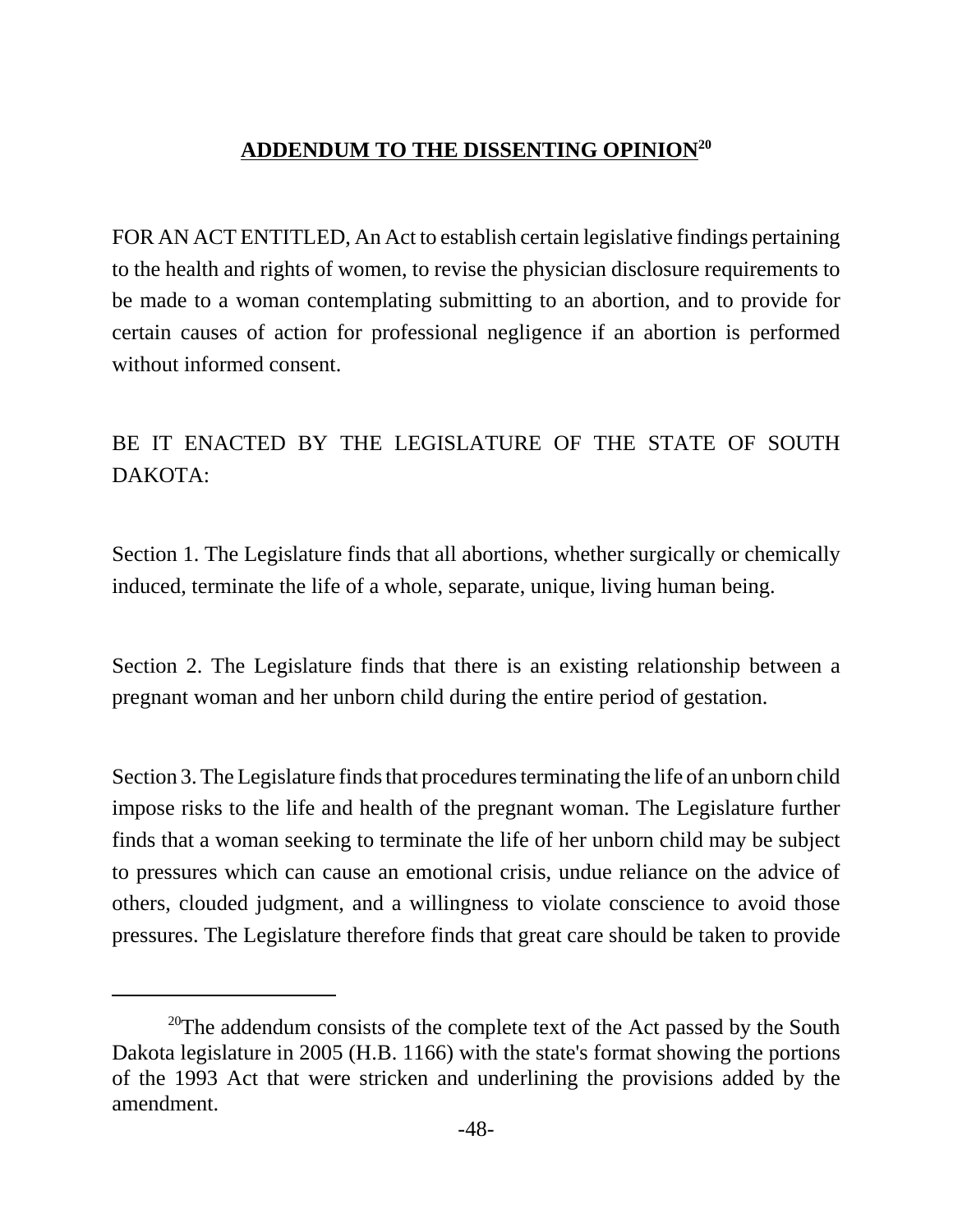# **ADDENDUM TO THE DISSENTING OPINION20**

FOR AN ACT ENTITLED, An Act to establish certain legislative findings pertaining to the health and rights of women, to revise the physician disclosure requirements to be made to a woman contemplating submitting to an abortion, and to provide for certain causes of action for professional negligence if an abortion is performed without informed consent.

# BE IT ENACTED BY THE LEGISLATURE OF THE STATE OF SOUTH DAKOTA:

Section 1. The Legislature finds that all abortions, whether surgically or chemically induced, terminate the life of a whole, separate, unique, living human being.

Section 2. The Legislature finds that there is an existing relationship between a pregnant woman and her unborn child during the entire period of gestation.

Section 3. The Legislature finds that procedures terminating the life of an unborn child impose risks to the life and health of the pregnant woman. The Legislature further finds that a woman seeking to terminate the life of her unborn child may be subject to pressures which can cause an emotional crisis, undue reliance on the advice of others, clouded judgment, and a willingness to violate conscience to avoid those pressures. The Legislature therefore finds that great care should be taken to provide

 $20$ The addendum consists of the complete text of the Act passed by the South Dakota legislature in 2005 (H.B. 1166) with the state's format showing the portions of the 1993 Act that were stricken and underlining the provisions added by the amendment.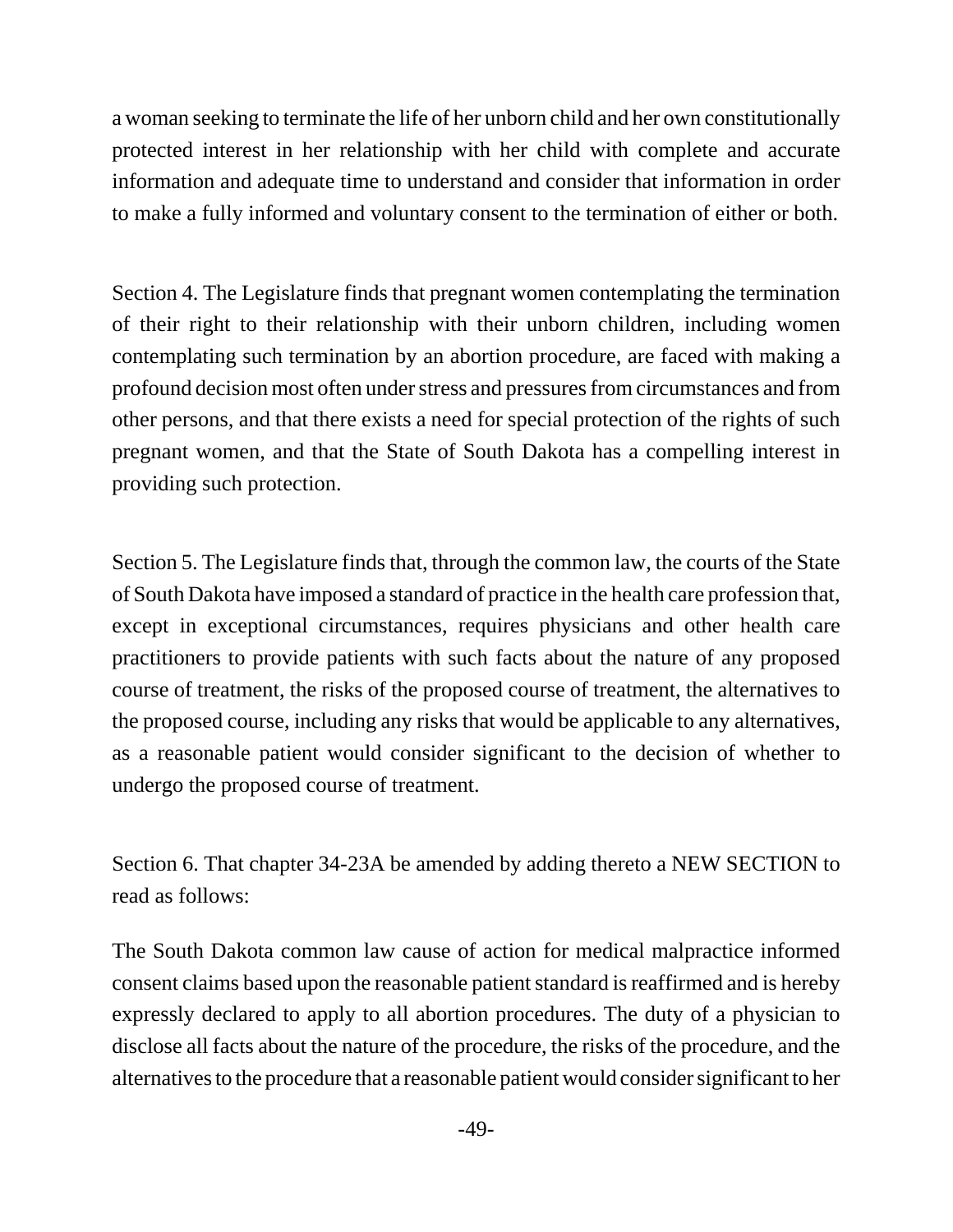a woman seeking to terminate the life of her unborn child and her own constitutionally protected interest in her relationship with her child with complete and accurate information and adequate time to understand and consider that information in order to make a fully informed and voluntary consent to the termination of either or both.

Section 4. The Legislature finds that pregnant women contemplating the termination of their right to their relationship with their unborn children, including women contemplating such termination by an abortion procedure, are faced with making a profound decision most often under stress and pressures from circumstances and from other persons, and that there exists a need for special protection of the rights of such pregnant women, and that the State of South Dakota has a compelling interest in providing such protection.

Section 5. The Legislature finds that, through the common law, the courts of the State of South Dakota have imposed a standard of practice in the health care profession that, except in exceptional circumstances, requires physicians and other health care practitioners to provide patients with such facts about the nature of any proposed course of treatment, the risks of the proposed course of treatment, the alternatives to the proposed course, including any risks that would be applicable to any alternatives, as a reasonable patient would consider significant to the decision of whether to undergo the proposed course of treatment.

Section 6. That chapter 34-23A be amended by adding thereto a NEW SECTION to read as follows:

The South Dakota common law cause of action for medical malpractice informed consent claims based upon the reasonable patient standard is reaffirmed and is hereby expressly declared to apply to all abortion procedures. The duty of a physician to disclose all facts about the nature of the procedure, the risks of the procedure, and the alternatives to the procedure that a reasonable patient would consider significant to her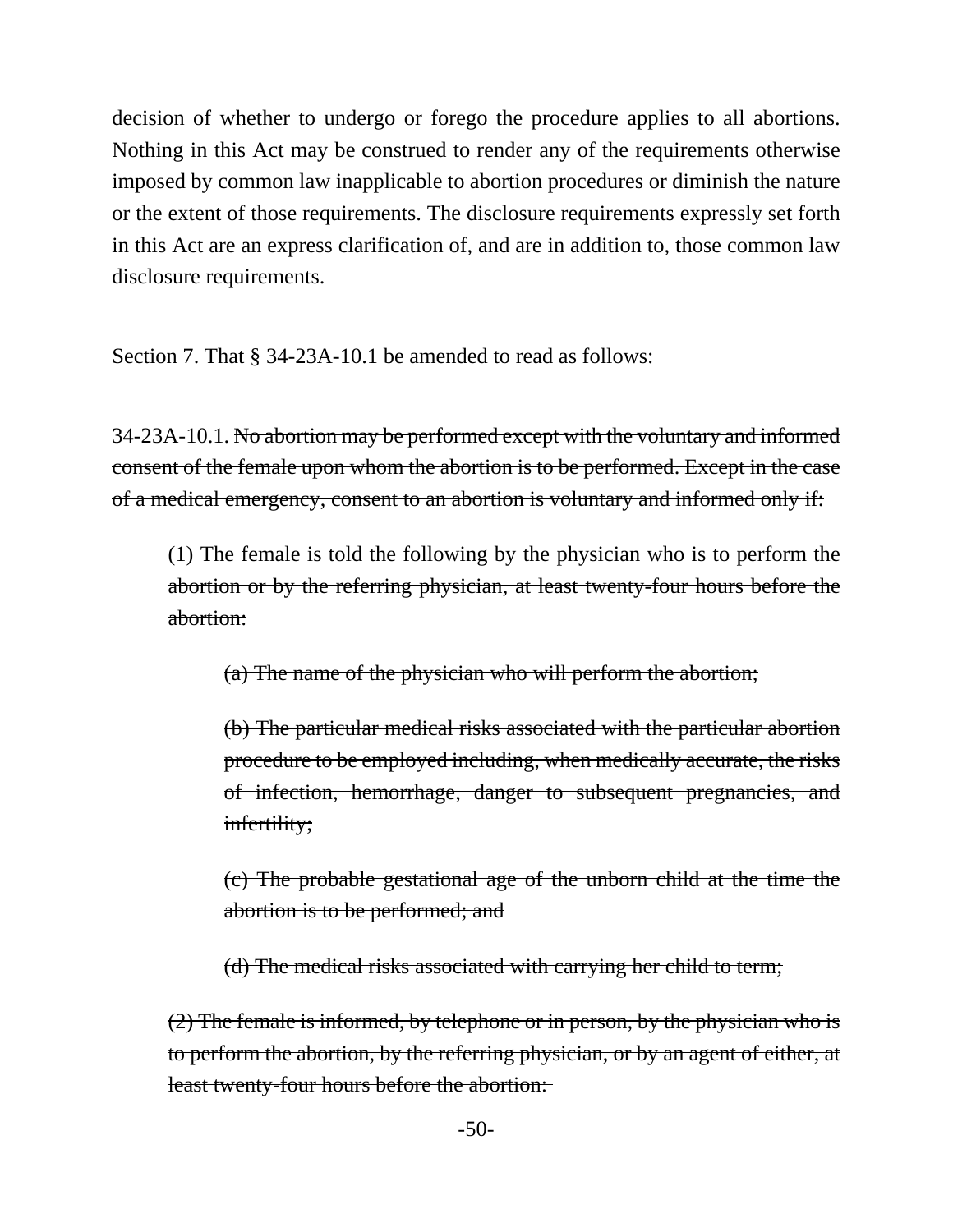decision of whether to undergo or forego the procedure applies to all abortions. Nothing in this Act may be construed to render any of the requirements otherwise imposed by common law inapplicable to abortion procedures or diminish the nature or the extent of those requirements. The disclosure requirements expressly set forth in this Act are an express clarification of, and are in addition to, those common law disclosure requirements.

Section 7. That § 34-23A-10.1 be amended to read as follows:

34-23A-10.1. No abortion may be performed except with the voluntary and informed consent of the female upon whom the abortion is to be performed. Except in the case of a medical emergency, consent to an abortion is voluntary and informed only if:

(1) The female is told the following by the physician who is to perform the abortion or by the referring physician, at least twenty-four hours before the abortion:

(a) The name of the physician who will perform the abortion;

(b) The particular medical risks associated with the particular abortion procedure to be employed including, when medically accurate, the risks of infection, hemorrhage, danger to subsequent pregnancies, and infertility;

(c) The probable gestational age of the unborn child at the time the abortion is to be performed; and

(d) The medical risks associated with carrying her child to term;

 $(2)$  The female is informed, by telephone or in person, by the physician who is to perform the abortion, by the referring physician, or by an agent of either, at least twenty-four hours before the abortion: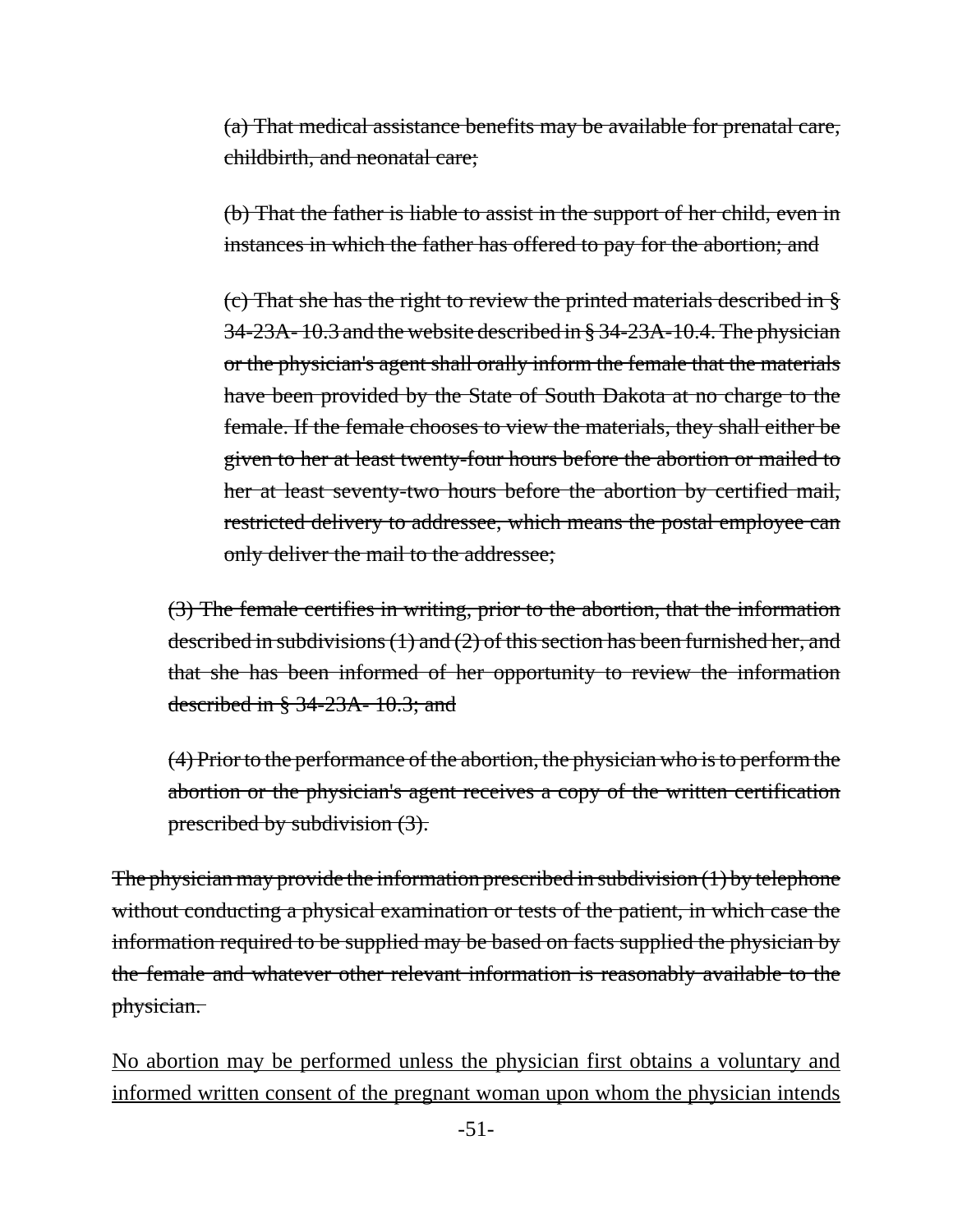(a) That medical assistance benefits may be available for prenatal care, childbirth, and neonatal care;

(b) That the father is liable to assist in the support of her child, even in instances in which the father has offered to pay for the abortion; and

(c) That she has the right to review the printed materials described in § 34-23A- 10.3 and the website described in § 34-23A-10.4. The physician or the physician's agent shall orally inform the female that the materials have been provided by the State of South Dakota at no charge to the female. If the female chooses to view the materials, they shall either be given to her at least twenty-four hours before the abortion or mailed to her at least seventy-two hours before the abortion by certified mail, restricted delivery to addressee, which means the postal employee can only deliver the mail to the addressee;

(3) The female certifies in writing, prior to the abortion, that the information described in subdivisions (1) and (2) of this section has been furnished her, and that she has been informed of her opportunity to review the information described in § 34-23A- 10.3; and

(4) Prior to the performance of the abortion, the physician who is to perform the abortion or the physician's agent receives a copy of the written certification prescribed by subdivision (3).

The physician may provide the information prescribed in subdivision  $(1)$  by telephone without conducting a physical examination or tests of the patient, in which case the information required to be supplied may be based on facts supplied the physician by the female and whatever other relevant information is reasonably available to the physician.

No abortion may be performed unless the physician first obtains a voluntary and informed written consent of the pregnant woman upon whom the physician intends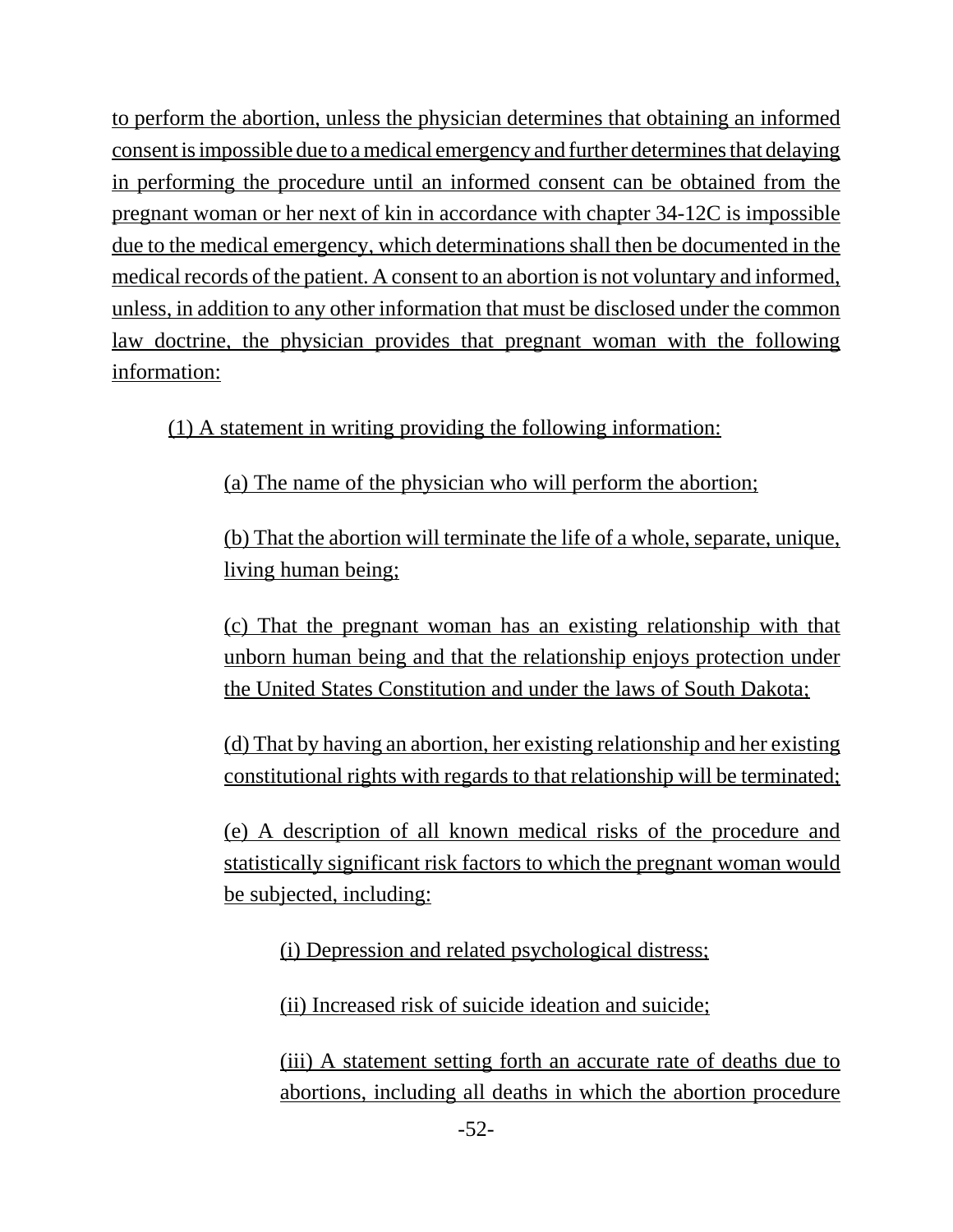to perform the abortion, unless the physician determines that obtaining an informed consent is impossible due to a medical emergency and further determines that delaying in performing the procedure until an informed consent can be obtained from the pregnant woman or her next of kin in accordance with chapter 34-12C is impossible due to the medical emergency, which determinations shall then be documented in the medical records of the patient. A consent to an abortion is not voluntary and informed, unless, in addition to any other information that must be disclosed under the common law doctrine, the physician provides that pregnant woman with the following information:

(1) A statement in writing providing the following information:

(a) The name of the physician who will perform the abortion;

(b) That the abortion will terminate the life of a whole, separate, unique, living human being;

(c) That the pregnant woman has an existing relationship with that unborn human being and that the relationship enjoys protection under the United States Constitution and under the laws of South Dakota;

(d) That by having an abortion, her existing relationship and her existing constitutional rights with regards to that relationship will be terminated;

(e) A description of all known medical risks of the procedure and statistically significant risk factors to which the pregnant woman would be subjected, including:

(i) Depression and related psychological distress;

(ii) Increased risk of suicide ideation and suicide;

(iii) A statement setting forth an accurate rate of deaths due to abortions, including all deaths in which the abortion procedure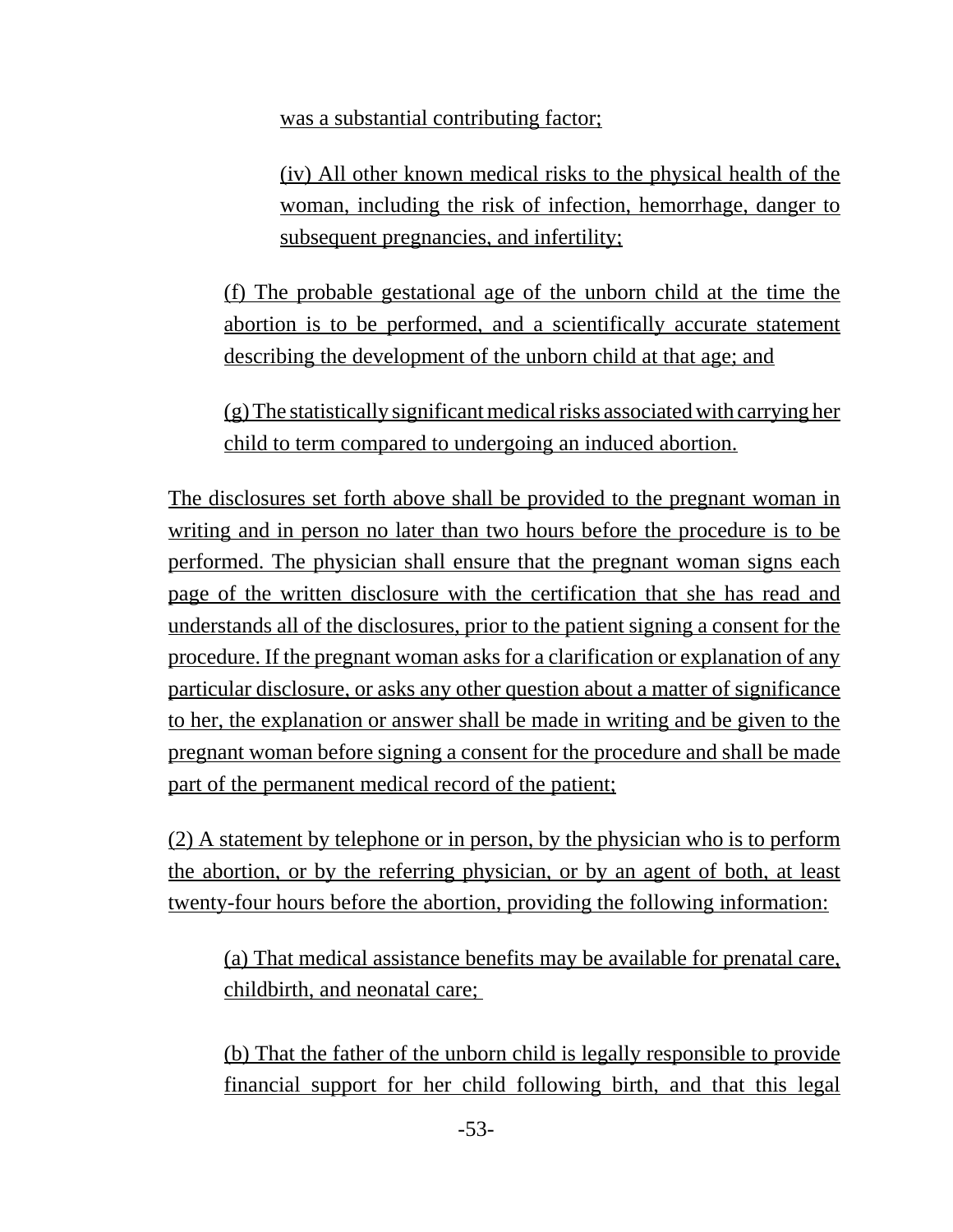was a substantial contributing factor;

(iv) All other known medical risks to the physical health of the woman, including the risk of infection, hemorrhage, danger to subsequent pregnancies, and infertility;

(f) The probable gestational age of the unborn child at the time the abortion is to be performed, and a scientifically accurate statement describing the development of the unborn child at that age; and

(g) The statistically significant medical risks associated with carrying her child to term compared to undergoing an induced abortion.

The disclosures set forth above shall be provided to the pregnant woman in writing and in person no later than two hours before the procedure is to be performed. The physician shall ensure that the pregnant woman signs each page of the written disclosure with the certification that she has read and understands all of the disclosures, prior to the patient signing a consent for the procedure. If the pregnant woman asks for a clarification or explanation of any particular disclosure, or asks any other question about a matter of significance to her, the explanation or answer shall be made in writing and be given to the pregnant woman before signing a consent for the procedure and shall be made part of the permanent medical record of the patient;

(2) A statement by telephone or in person, by the physician who is to perform the abortion, or by the referring physician, or by an agent of both, at least twenty-four hours before the abortion, providing the following information:

(a) That medical assistance benefits may be available for prenatal care, childbirth, and neonatal care;

(b) That the father of the unborn child is legally responsible to provide financial support for her child following birth, and that this legal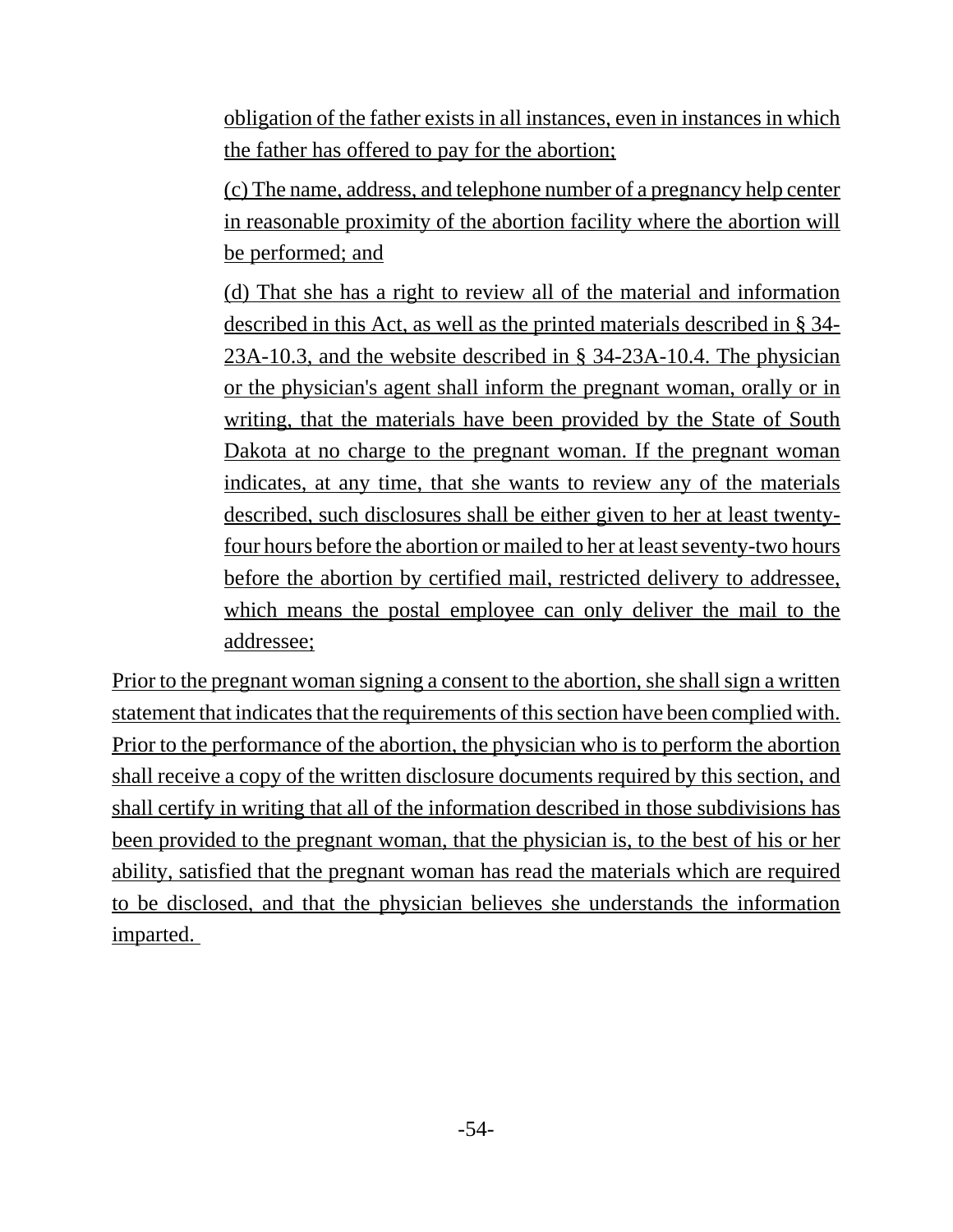obligation of the father exists in all instances, even in instances in which the father has offered to pay for the abortion;

(c) The name, address, and telephone number of a pregnancy help center in reasonable proximity of the abortion facility where the abortion will be performed; and

(d) That she has a right to review all of the material and information described in this Act, as well as the printed materials described in § 34- 23A-10.3, and the website described in § 34-23A-10.4. The physician or the physician's agent shall inform the pregnant woman, orally or in writing, that the materials have been provided by the State of South Dakota at no charge to the pregnant woman. If the pregnant woman indicates, at any time, that she wants to review any of the materials described, such disclosures shall be either given to her at least twentyfour hours before the abortion or mailed to her at least seventy-two hours before the abortion by certified mail, restricted delivery to addressee, which means the postal employee can only deliver the mail to the addressee;

Prior to the pregnant woman signing a consent to the abortion, she shall sign a written statement that indicates that the requirements of this section have been complied with. Prior to the performance of the abortion, the physician who is to perform the abortion shall receive a copy of the written disclosure documents required by this section, and shall certify in writing that all of the information described in those subdivisions has been provided to the pregnant woman, that the physician is, to the best of his or her ability, satisfied that the pregnant woman has read the materials which are required to be disclosed, and that the physician believes she understands the information imparted.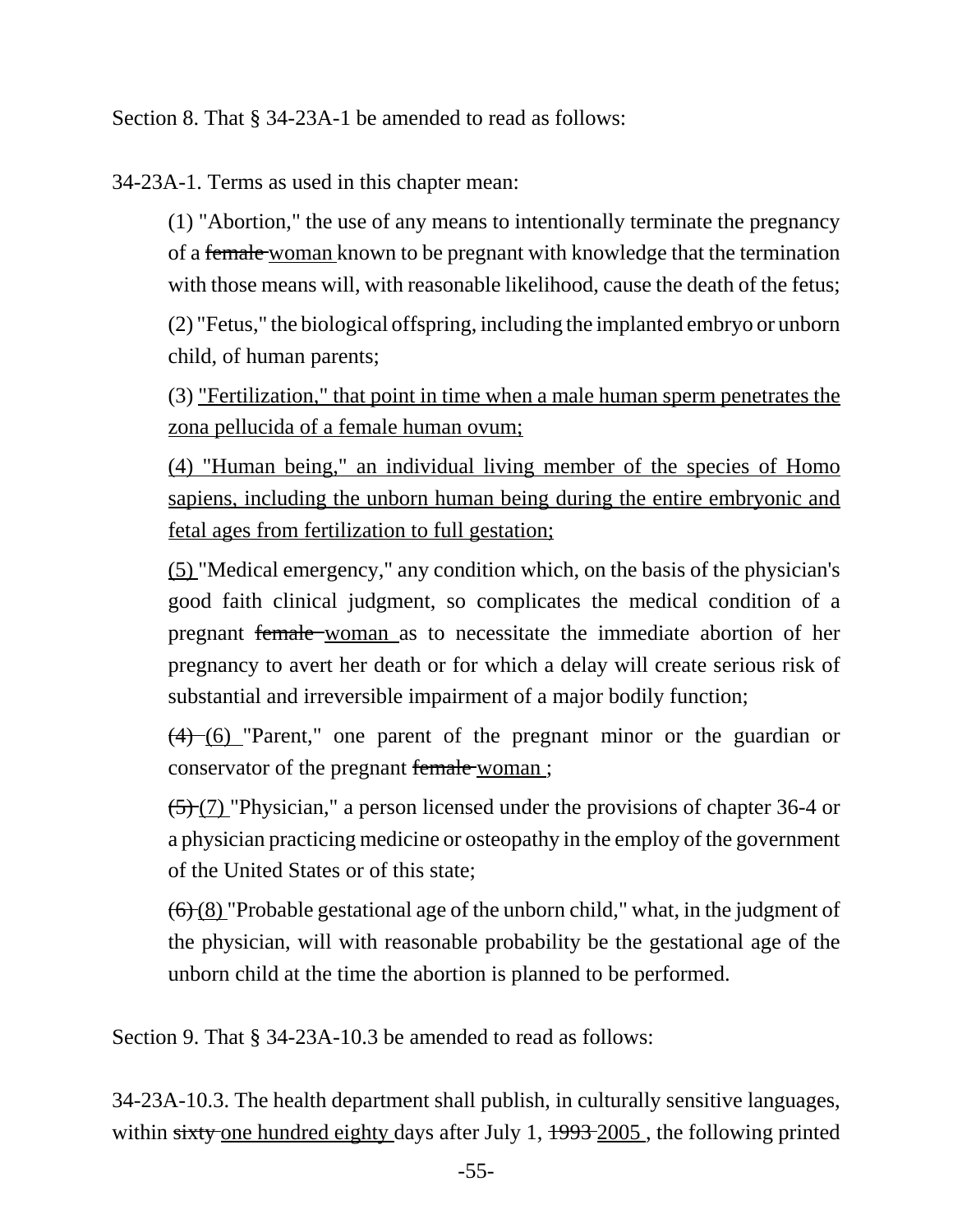Section 8. That § 34-23A-1 be amended to read as follows:

34-23A-1. Terms as used in this chapter mean:

(1) "Abortion," the use of any means to intentionally terminate the pregnancy of a female woman known to be pregnant with knowledge that the termination with those means will, with reasonable likelihood, cause the death of the fetus;

(2) "Fetus," the biological offspring, including the implanted embryo or unborn child, of human parents;

(3) "Fertilization," that point in time when a male human sperm penetrates the zona pellucida of a female human ovum;

(4) "Human being," an individual living member of the species of Homo sapiens, including the unborn human being during the entire embryonic and fetal ages from fertilization to full gestation;

(5) "Medical emergency," any condition which, on the basis of the physician's good faith clinical judgment, so complicates the medical condition of a pregnant female woman as to necessitate the immediate abortion of her pregnancy to avert her death or for which a delay will create serious risk of substantial and irreversible impairment of a major bodily function;

 $(4)$  (6) "Parent," one parent of the pregnant minor or the guardian or conservator of the pregnant female woman;

(5) (7) "Physician," a person licensed under the provisions of chapter 36-4 or a physician practicing medicine or osteopathy in the employ of the government of the United States or of this state;

 $(6)(8)$  "Probable gestational age of the unborn child," what, in the judgment of the physician, will with reasonable probability be the gestational age of the unborn child at the time the abortion is planned to be performed.

Section 9. That § 34-23A-10.3 be amended to read as follows:

34-23A-10.3. The health department shall publish, in culturally sensitive languages, within sixty one hundred eighty days after July 1,  $1993-2005$ , the following printed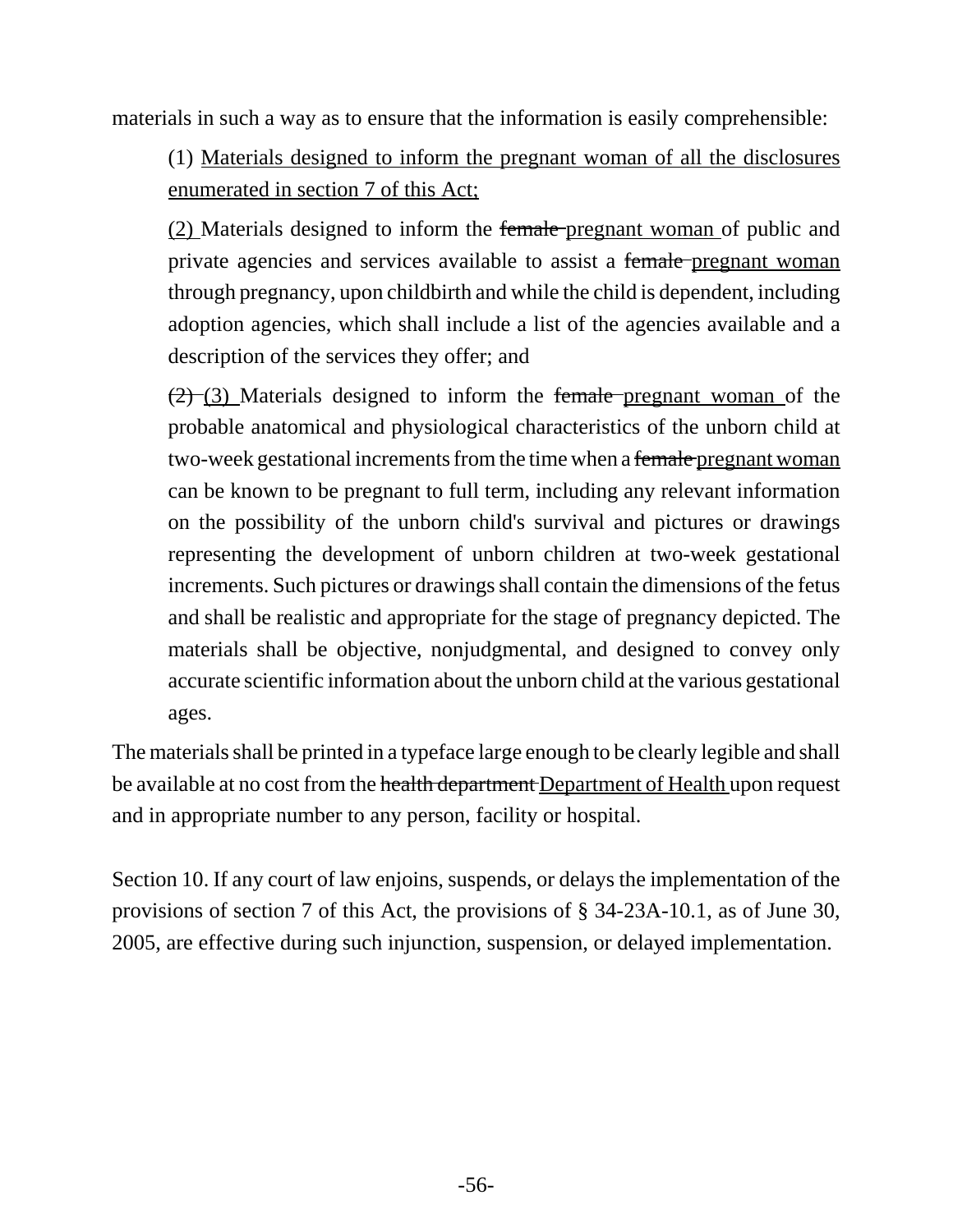materials in such a way as to ensure that the information is easily comprehensible:

(1) Materials designed to inform the pregnant woman of all the disclosures enumerated in section 7 of this Act;

(2) Materials designed to inform the female pregnant woman of public and private agencies and services available to assist a female pregnant woman through pregnancy, upon childbirth and while the child is dependent, including adoption agencies, which shall include a list of the agencies available and a description of the services they offer; and

 $(2)$  (3) Materials designed to inform the female pregnant woman of the probable anatomical and physiological characteristics of the unborn child at two-week gestational increments from the time when a female pregnant woman can be known to be pregnant to full term, including any relevant information on the possibility of the unborn child's survival and pictures or drawings representing the development of unborn children at two-week gestational increments. Such pictures or drawings shall contain the dimensions of the fetus and shall be realistic and appropriate for the stage of pregnancy depicted. The materials shall be objective, nonjudgmental, and designed to convey only accurate scientific information about the unborn child at the various gestational ages.

The materials shall be printed in a typeface large enough to be clearly legible and shall be available at no cost from the health department Department of Health upon request and in appropriate number to any person, facility or hospital.

Section 10. If any court of law enjoins, suspends, or delays the implementation of the provisions of section 7 of this Act, the provisions of § 34-23A-10.1, as of June 30, 2005, are effective during such injunction, suspension, or delayed implementation.